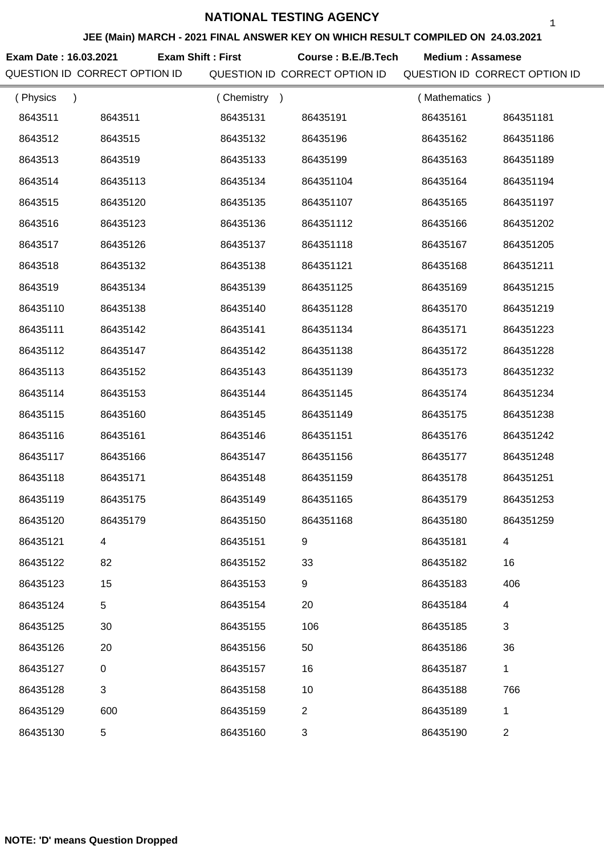**JEE (Main) MARCH - 2021 FINAL ANSWER KEY ON WHICH RESULT COMPILED ON 24.03.2021**

**Exam Date : 16.03.2021 Course : B.E./B.Tech Medium : Assamese Exam Shift : First**

QUESTION ID CORRECT OPTION ID QUESTION ID CORRECT OPTION ID QUESTION ID CORRECT OPTION ID

| (Physics<br>$\lambda$ |           | (Chemistry<br>$\rightarrow$ |                  | (Mathematics) |           |
|-----------------------|-----------|-----------------------------|------------------|---------------|-----------|
| 8643511               | 8643511   | 86435131                    | 86435191         | 86435161      | 864351181 |
| 8643512               | 8643515   | 86435132                    | 86435196         | 86435162      | 864351186 |
| 8643513               | 8643519   | 86435133                    | 86435199         | 86435163      | 864351189 |
| 8643514               | 86435113  | 86435134                    | 864351104        | 86435164      | 864351194 |
| 8643515               | 86435120  | 86435135                    | 864351107        | 86435165      | 864351197 |
| 8643516               | 86435123  | 86435136                    | 864351112        | 86435166      | 864351202 |
| 8643517               | 86435126  | 86435137                    | 864351118        | 86435167      | 864351205 |
| 8643518               | 86435132  | 86435138                    | 864351121        | 86435168      | 864351211 |
| 8643519               | 86435134  | 86435139                    | 864351125        | 86435169      | 864351215 |
| 86435110              | 86435138  | 86435140                    | 864351128        | 86435170      | 864351219 |
| 86435111              | 86435142  | 86435141                    | 864351134        | 86435171      | 864351223 |
| 86435112              | 86435147  | 86435142                    | 864351138        | 86435172      | 864351228 |
| 86435113              | 86435152  | 86435143                    | 864351139        | 86435173      | 864351232 |
| 86435114              | 86435153  | 86435144                    | 864351145        | 86435174      | 864351234 |
| 86435115              | 86435160  | 86435145                    | 864351149        | 86435175      | 864351238 |
| 86435116              | 86435161  | 86435146                    | 864351151        | 86435176      | 864351242 |
| 86435117              | 86435166  | 86435147                    | 864351156        | 86435177      | 864351248 |
| 86435118              | 86435171  | 86435148                    | 864351159        | 86435178      | 864351251 |
| 86435119              | 86435175  | 86435149                    | 864351165        | 86435179      | 864351253 |
| 86435120              | 86435179  | 86435150                    | 864351168        | 86435180      | 864351259 |
| 86435121              |           | 86435151                    | 9                | 86435181      |           |
| 86435122              | 82        | 86435152                    | 33               | 86435182      | 16        |
| 86435123              | 15        | 86435153                    | $\boldsymbol{9}$ | 86435183      | 406       |
| 86435124              | 5         | 86435154                    | 20               | 86435184      | 4         |
| 86435125              | 30        | 86435155                    | 106              | 86435185      | 3         |
| 86435126              | 20        | 86435156                    | 50               | 86435186      | 36        |
| 86435127              | $\pmb{0}$ | 86435157                    | 16               | 86435187      | 1         |
| 86435128              | 3         | 86435158                    | 10               | 86435188      | 766       |
| 86435129              | 600       | 86435159                    | $\overline{2}$   | 86435189      | 1         |
| 86435130              | 5         | 86435160                    | 3                | 86435190      | 2         |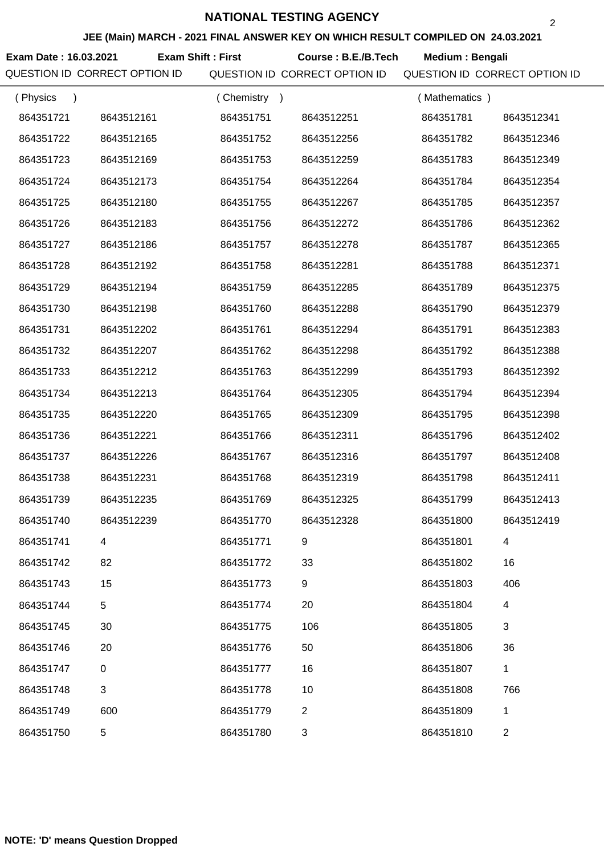#### **JEE (Main) MARCH - 2021 FINAL ANSWER KEY ON WHICH RESULT COMPILED ON 24.03.2021**

**Exam Date : 16.03.2021 Course : B.E./B.Tech Medium : Bengali Exam Shift : First**

| (Physics<br>$\lambda$ |            | (Chemistry<br>$\rightarrow$ |                | (Mathematics) |                |
|-----------------------|------------|-----------------------------|----------------|---------------|----------------|
| 864351721             | 8643512161 | 864351751                   | 8643512251     | 864351781     | 8643512341     |
| 864351722             | 8643512165 | 864351752                   | 8643512256     | 864351782     | 8643512346     |
| 864351723             | 8643512169 | 864351753                   | 8643512259     | 864351783     | 8643512349     |
| 864351724             | 8643512173 | 864351754                   | 8643512264     | 864351784     | 8643512354     |
| 864351725             | 8643512180 | 864351755                   | 8643512267     | 864351785     | 8643512357     |
| 864351726             | 8643512183 | 864351756                   | 8643512272     | 864351786     | 8643512362     |
| 864351727             | 8643512186 | 864351757                   | 8643512278     | 864351787     | 8643512365     |
| 864351728             | 8643512192 | 864351758                   | 8643512281     | 864351788     | 8643512371     |
| 864351729             | 8643512194 | 864351759                   | 8643512285     | 864351789     | 8643512375     |
| 864351730             | 8643512198 | 864351760                   | 8643512288     | 864351790     | 8643512379     |
| 864351731             | 8643512202 | 864351761                   | 8643512294     | 864351791     | 8643512383     |
| 864351732             | 8643512207 | 864351762                   | 8643512298     | 864351792     | 8643512388     |
| 864351733             | 8643512212 | 864351763                   | 8643512299     | 864351793     | 8643512392     |
| 864351734             | 8643512213 | 864351764                   | 8643512305     | 864351794     | 8643512394     |
| 864351735             | 8643512220 | 864351765                   | 8643512309     | 864351795     | 8643512398     |
| 864351736             | 8643512221 | 864351766                   | 8643512311     | 864351796     | 8643512402     |
| 864351737             | 8643512226 | 864351767                   | 8643512316     | 864351797     | 8643512408     |
| 864351738             | 8643512231 | 864351768                   | 8643512319     | 864351798     | 8643512411     |
| 864351739             | 8643512235 | 864351769                   | 8643512325     | 864351799     | 8643512413     |
| 864351740             | 8643512239 | 864351770                   | 8643512328     | 864351800     | 8643512419     |
| 864351741             |            | 864351771                   | 9              | 864351801     |                |
| 864351742             | 82         | 864351772                   | 33             | 864351802     | 16             |
| 864351743             | 15         | 864351773                   | 9              | 864351803     | 406            |
| 864351744             | 5          | 864351774                   | 20             | 864351804     | 4              |
| 864351745             | 30         | 864351775                   | 106            | 864351805     | 3              |
| 864351746             | 20         | 864351776                   | 50             | 864351806     | 36             |
| 864351747             | $\pmb{0}$  | 864351777                   | 16             | 864351807     | 1              |
| 864351748             | $\sqrt{3}$ | 864351778                   | 10             | 864351808     | 766            |
| 864351749             | 600        | 864351779                   | $\overline{2}$ | 864351809     | 1              |
| 864351750             | 5          | 864351780                   | 3              | 864351810     | $\overline{c}$ |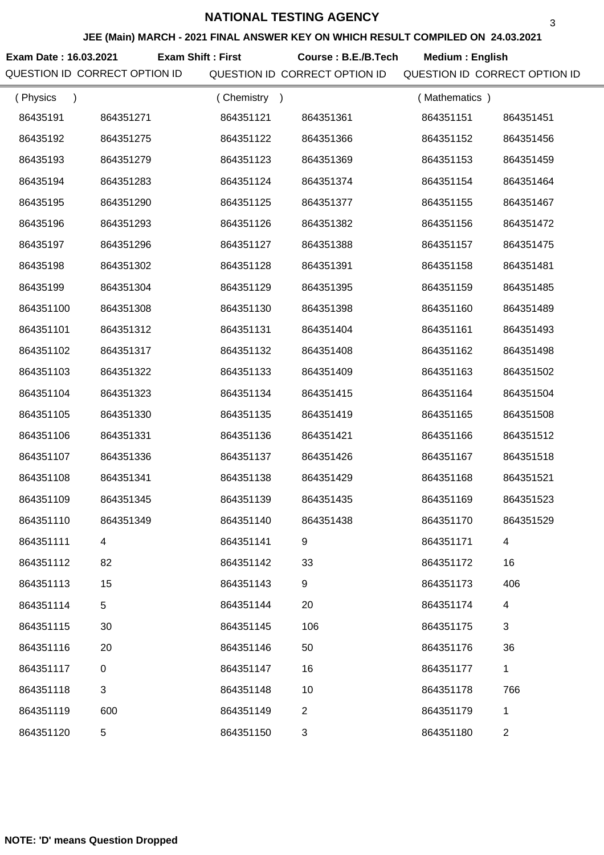#### **JEE (Main) MARCH - 2021 FINAL ANSWER KEY ON WHICH RESULT COMPILED ON 24.03.2021**

**Exam Date : 16.03.2021 Course : B.E./B.Tech Medium : English Exam Shift : First**

| (Physics<br>$\lambda$ |             | (Chemistry) |                | (Mathematics) |                |
|-----------------------|-------------|-------------|----------------|---------------|----------------|
| 86435191              | 864351271   | 864351121   | 864351361      | 864351151     | 864351451      |
| 86435192              | 864351275   | 864351122   | 864351366      | 864351152     | 864351456      |
| 86435193              | 864351279   | 864351123   | 864351369      | 864351153     | 864351459      |
| 86435194              | 864351283   | 864351124   | 864351374      | 864351154     | 864351464      |
| 86435195              | 864351290   | 864351125   | 864351377      | 864351155     | 864351467      |
| 86435196              | 864351293   | 864351126   | 864351382      | 864351156     | 864351472      |
| 86435197              | 864351296   | 864351127   | 864351388      | 864351157     | 864351475      |
| 86435198              | 864351302   | 864351128   | 864351391      | 864351158     | 864351481      |
| 86435199              | 864351304   | 864351129   | 864351395      | 864351159     | 864351485      |
| 864351100             | 864351308   | 864351130   | 864351398      | 864351160     | 864351489      |
| 864351101             | 864351312   | 864351131   | 864351404      | 864351161     | 864351493      |
| 864351102             | 864351317   | 864351132   | 864351408      | 864351162     | 864351498      |
| 864351103             | 864351322   | 864351133   | 864351409      | 864351163     | 864351502      |
| 864351104             | 864351323   | 864351134   | 864351415      | 864351164     | 864351504      |
| 864351105             | 864351330   | 864351135   | 864351419      | 864351165     | 864351508      |
| 864351106             | 864351331   | 864351136   | 864351421      | 864351166     | 864351512      |
| 864351107             | 864351336   | 864351137   | 864351426      | 864351167     | 864351518      |
| 864351108             | 864351341   | 864351138   | 864351429      | 864351168     | 864351521      |
| 864351109             | 864351345   | 864351139   | 864351435      | 864351169     | 864351523      |
| 864351110             | 864351349   | 864351140   | 864351438      | 864351170     | 864351529      |
| 864351111             |             | 864351141   |                | 864351171     |                |
| 864351112             | 82          | 864351142   | 33             | 864351172     | 16             |
| 864351113             | 15          | 864351143   | 9              | 864351173     | 406            |
| 864351114             | 5           | 864351144   | 20             | 864351174     | 4              |
| 864351115             | 30          | 864351145   | 106            | 864351175     | 3              |
| 864351116             | 20          | 864351146   | 50             | 864351176     | 36             |
| 864351117             | $\mathbf 0$ | 864351147   | 16             | 864351177     | 1              |
| 864351118             | 3           | 864351148   | 10             | 864351178     | 766            |
| 864351119             | 600         | 864351149   | $\overline{2}$ | 864351179     | 1              |
| 864351120             | 5           | 864351150   | 3              | 864351180     | $\overline{c}$ |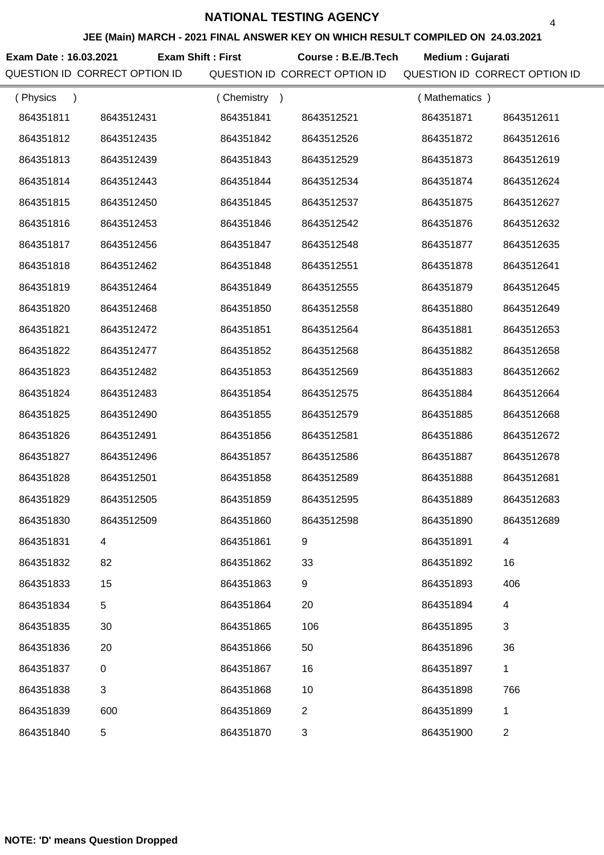#### **JEE (Main) MARCH - 2021 FINAL ANSWER KEY ON WHICH RESULT COMPILED ON 24.03.2021**

**Exam Date : 16.03.2021 Exam Shift : First Course : B.E./B.Tech Medium : Gujarati** 

QUESTION ID CORRECT OPTION ID QUESTION ID CORRECT OPTION ID QUESTION ID CORRECT OPTION ID

| (Physics  |            | (Chemistry<br>$\rightarrow$ |            | (Mathematics) |                |
|-----------|------------|-----------------------------|------------|---------------|----------------|
| 864351811 | 8643512431 | 864351841                   | 8643512521 | 864351871     | 8643512611     |
| 864351812 | 8643512435 | 864351842                   | 8643512526 | 864351872     | 8643512616     |
| 864351813 | 8643512439 | 864351843                   | 8643512529 | 864351873     | 8643512619     |
| 864351814 | 8643512443 | 864351844                   | 8643512534 | 864351874     | 8643512624     |
| 864351815 | 8643512450 | 864351845                   | 8643512537 | 864351875     | 8643512627     |
| 864351816 | 8643512453 | 864351846                   | 8643512542 | 864351876     | 8643512632     |
| 864351817 | 8643512456 | 864351847                   | 8643512548 | 864351877     | 8643512635     |
| 864351818 | 8643512462 | 864351848                   | 8643512551 | 864351878     | 8643512641     |
| 864351819 | 8643512464 | 864351849                   | 8643512555 | 864351879     | 8643512645     |
| 864351820 | 8643512468 | 864351850                   | 8643512558 | 864351880     | 8643512649     |
| 864351821 | 8643512472 | 864351851                   | 8643512564 | 864351881     | 8643512653     |
| 864351822 | 8643512477 | 864351852                   | 8643512568 | 864351882     | 8643512658     |
| 864351823 | 8643512482 | 864351853                   | 8643512569 | 864351883     | 8643512662     |
| 864351824 | 8643512483 | 864351854                   | 8643512575 | 864351884     | 8643512664     |
| 864351825 | 8643512490 | 864351855                   | 8643512579 | 864351885     | 8643512668     |
| 864351826 | 8643512491 | 864351856                   | 8643512581 | 864351886     | 8643512672     |
| 864351827 | 8643512496 | 864351857                   | 8643512586 | 864351887     | 8643512678     |
| 864351828 | 8643512501 | 864351858                   | 8643512589 | 864351888     | 8643512681     |
| 864351829 | 8643512505 | 864351859                   | 8643512595 | 864351889     | 8643512683     |
| 864351830 | 8643512509 | 864351860                   | 8643512598 | 864351890     | 8643512689     |
| 864351831 |            | 864351861                   |            | 864351891     |                |
| 864351832 | 82         | 864351862                   | 33         | 864351892     | 16             |
| 864351833 | 15         | 864351863                   | 9          | 864351893     | 406            |
| 864351834 | 5          | 864351864                   | 20         | 864351894     | 4              |
| 864351835 | 30         | 864351865                   | 106        | 864351895     | 3              |
| 864351836 | 20         | 864351866                   | 50         | 864351896     | 36             |
| 864351837 | $\pmb{0}$  | 864351867                   | 16         | 864351897     | $\mathbf{1}$   |
| 864351838 | 3          | 864351868                   | 10         | 864351898     | 766            |
| 864351839 | 600        | 864351869                   | 2          | 864351899     | 1              |
| 864351840 | 5          | 864351870                   | 3          | 864351900     | $\overline{c}$ |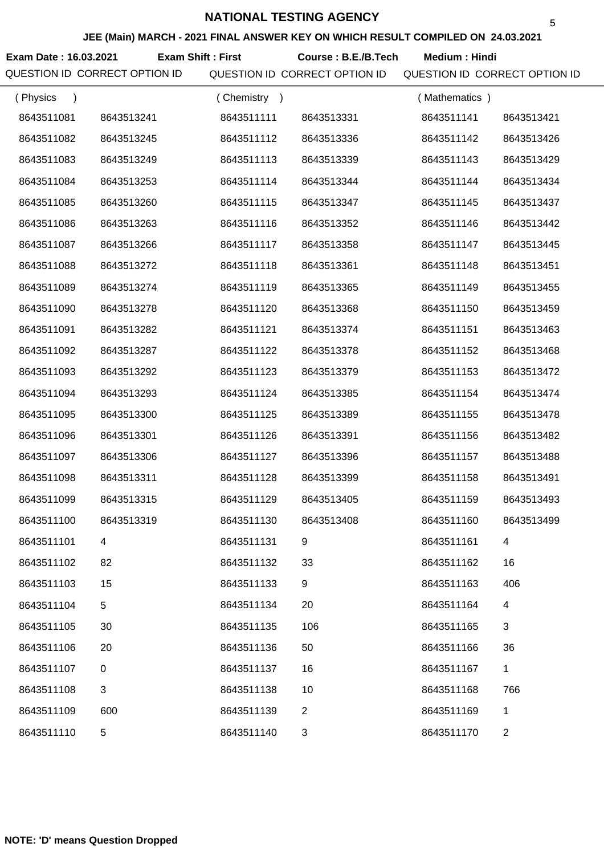**JEE (Main) MARCH - 2021 FINAL ANSWER KEY ON WHICH RESULT COMPILED ON 24.03.2021**

Exam Date : 16.03.2021 Exam Shift : First Course : B.E./B.Tech Medium : Hindi

| (Physics<br>$\lambda$ |             | (Chemistry) |                | (Mathematics) |                |
|-----------------------|-------------|-------------|----------------|---------------|----------------|
| 8643511081            | 8643513241  | 8643511111  | 8643513331     | 8643511141    | 8643513421     |
| 8643511082            | 8643513245  | 8643511112  | 8643513336     | 8643511142    | 8643513426     |
| 8643511083            | 8643513249  | 8643511113  | 8643513339     | 8643511143    | 8643513429     |
| 8643511084            | 8643513253  | 8643511114  | 8643513344     | 8643511144    | 8643513434     |
| 8643511085            | 8643513260  | 8643511115  | 8643513347     | 8643511145    | 8643513437     |
| 8643511086            | 8643513263  | 8643511116  | 8643513352     | 8643511146    | 8643513442     |
| 8643511087            | 8643513266  | 8643511117  | 8643513358     | 8643511147    | 8643513445     |
| 8643511088            | 8643513272  | 8643511118  | 8643513361     | 8643511148    | 8643513451     |
| 8643511089            | 8643513274  | 8643511119  | 8643513365     | 8643511149    | 8643513455     |
| 8643511090            | 8643513278  | 8643511120  | 8643513368     | 8643511150    | 8643513459     |
| 8643511091            | 8643513282  | 8643511121  | 8643513374     | 8643511151    | 8643513463     |
| 8643511092            | 8643513287  | 8643511122  | 8643513378     | 8643511152    | 8643513468     |
| 8643511093            | 8643513292  | 8643511123  | 8643513379     | 8643511153    | 8643513472     |
| 8643511094            | 8643513293  | 8643511124  | 8643513385     | 8643511154    | 8643513474     |
| 8643511095            | 8643513300  | 8643511125  | 8643513389     | 8643511155    | 8643513478     |
| 8643511096            | 8643513301  | 8643511126  | 8643513391     | 8643511156    | 8643513482     |
| 8643511097            | 8643513306  | 8643511127  | 8643513396     | 8643511157    | 8643513488     |
| 8643511098            | 8643513311  | 8643511128  | 8643513399     | 8643511158    | 8643513491     |
| 8643511099            | 8643513315  | 8643511129  | 8643513405     | 8643511159    | 8643513493     |
| 8643511100            | 8643513319  | 8643511130  | 8643513408     | 8643511160    | 8643513499     |
| 8643511101            |             | 8643511131  |                | 8643511161    |                |
| 8643511102            | 82          | 8643511132  | 33             | 8643511162    | 16             |
| 8643511103            | 15          | 8643511133  | 9              | 8643511163    | 406            |
| 8643511104            | 5           | 8643511134  | 20             | 8643511164    | 4              |
| 8643511105            | 30          | 8643511135  | 106            | 8643511165    | 3              |
| 8643511106            | 20          | 8643511136  | 50             | 8643511166    | 36             |
| 8643511107            | $\pmb{0}$   | 8643511137  | 16             | 8643511167    | $\mathbf{1}$   |
| 8643511108            | 3           | 8643511138  | 10             | 8643511168    | 766            |
| 8643511109            | 600         | 8643511139  | $\overline{2}$ | 8643511169    | 1              |
| 8643511110            | $\,$ 5 $\,$ | 8643511140  | 3              | 8643511170    | $\overline{2}$ |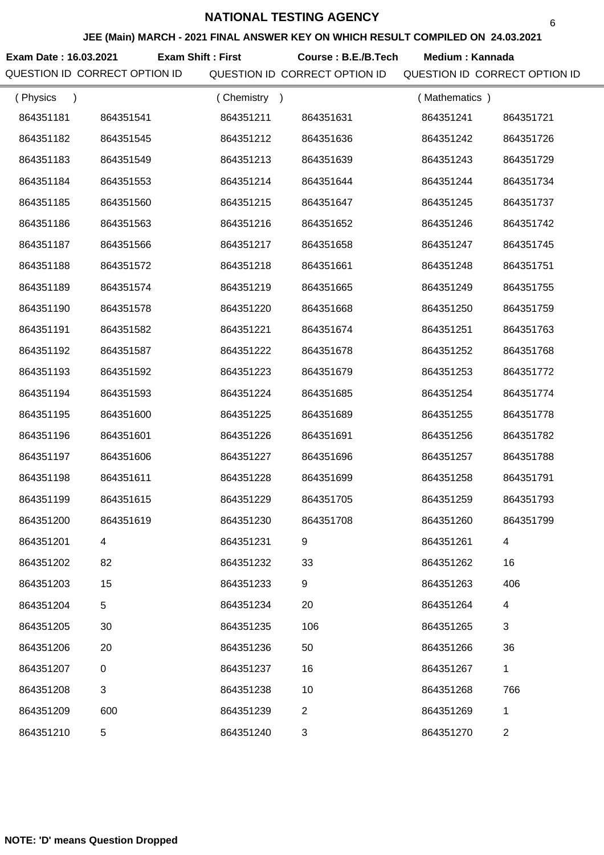#### **JEE (Main) MARCH - 2021 FINAL ANSWER KEY ON WHICH RESULT COMPILED ON 24.03.2021**

Exam Date : 16.03.2021 Exam Shift : First Course : B.E./B.Tech Medium : Kannada QUESTION ID CORRECT OPTION ID QUESTION ID CORRECT OPTION ID QUESTION ID CORRECT OPTION ID

| (Physics  |                  | (Chemistry) |                | (Mathematics) |                |
|-----------|------------------|-------------|----------------|---------------|----------------|
| 864351181 | 864351541        | 864351211   | 864351631      | 864351241     | 864351721      |
| 864351182 | 864351545        | 864351212   | 864351636      | 864351242     | 864351726      |
| 864351183 | 864351549        | 864351213   | 864351639      | 864351243     | 864351729      |
| 864351184 | 864351553        | 864351214   | 864351644      | 864351244     | 864351734      |
| 864351185 | 864351560        | 864351215   | 864351647      | 864351245     | 864351737      |
| 864351186 | 864351563        | 864351216   | 864351652      | 864351246     | 864351742      |
| 864351187 | 864351566        | 864351217   | 864351658      | 864351247     | 864351745      |
| 864351188 | 864351572        | 864351218   | 864351661      | 864351248     | 864351751      |
| 864351189 | 864351574        | 864351219   | 864351665      | 864351249     | 864351755      |
| 864351190 | 864351578        | 864351220   | 864351668      | 864351250     | 864351759      |
| 864351191 | 864351582        | 864351221   | 864351674      | 864351251     | 864351763      |
| 864351192 | 864351587        | 864351222   | 864351678      | 864351252     | 864351768      |
| 864351193 | 864351592        | 864351223   | 864351679      | 864351253     | 864351772      |
| 864351194 | 864351593        | 864351224   | 864351685      | 864351254     | 864351774      |
| 864351195 | 864351600        | 864351225   | 864351689      | 864351255     | 864351778      |
| 864351196 | 864351601        | 864351226   | 864351691      | 864351256     | 864351782      |
| 864351197 | 864351606        | 864351227   | 864351696      | 864351257     | 864351788      |
| 864351198 | 864351611        | 864351228   | 864351699      | 864351258     | 864351791      |
| 864351199 | 864351615        | 864351229   | 864351705      | 864351259     | 864351793      |
| 864351200 | 864351619        | 864351230   | 864351708      | 864351260     | 864351799      |
| 864351201 |                  | 864351231   | 9              | 864351261     | 4              |
| 864351202 | 82               | 864351232   | 33             | 864351262     | 16             |
| 864351203 | 15               | 864351233   | 9              | 864351263     | 406            |
| 864351204 | 5                | 864351234   | 20             | 864351264     | 4              |
| 864351205 | 30               | 864351235   | 106            | 864351265     | 3              |
| 864351206 | 20               | 864351236   | 50             | 864351266     | 36             |
| 864351207 | $\boldsymbol{0}$ | 864351237   | 16             | 864351267     | 1              |
| 864351208 | 3                | 864351238   | 10             | 864351268     | 766            |
| 864351209 | 600              | 864351239   | $\overline{2}$ | 864351269     | 1              |
| 864351210 | 5                | 864351240   | 3              | 864351270     | $\overline{c}$ |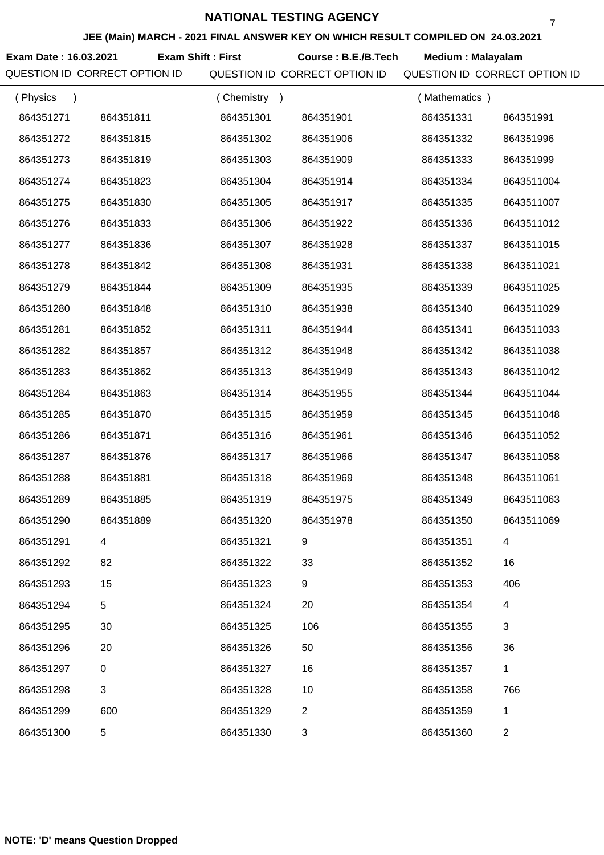#### **JEE (Main) MARCH - 2021 FINAL ANSWER KEY ON WHICH RESULT COMPILED ON 24.03.2021**

**Exam Date : 16.03.2021 Course : B.E./B.Tech Medium : Malayalam Exam Shift : First**

QUESTION ID CORRECT OPTION ID QUESTION ID CORRECT OPTION ID QUESTION ID CORRECT OPTION ID

| (Physics<br>$\lambda$ |             | (Chemistry)<br>$\rightarrow$ |                | (Mathematics) |                |
|-----------------------|-------------|------------------------------|----------------|---------------|----------------|
| 864351271             | 864351811   | 864351301                    | 864351901      | 864351331     | 864351991      |
| 864351272             | 864351815   | 864351302                    | 864351906      | 864351332     | 864351996      |
| 864351273             | 864351819   | 864351303                    | 864351909      | 864351333     | 864351999      |
| 864351274             | 864351823   | 864351304                    | 864351914      | 864351334     | 8643511004     |
| 864351275             | 864351830   | 864351305                    | 864351917      | 864351335     | 8643511007     |
| 864351276             | 864351833   | 864351306                    | 864351922      | 864351336     | 8643511012     |
| 864351277             | 864351836   | 864351307                    | 864351928      | 864351337     | 8643511015     |
| 864351278             | 864351842   | 864351308                    | 864351931      | 864351338     | 8643511021     |
| 864351279             | 864351844   | 864351309                    | 864351935      | 864351339     | 8643511025     |
| 864351280             | 864351848   | 864351310                    | 864351938      | 864351340     | 8643511029     |
| 864351281             | 864351852   | 864351311                    | 864351944      | 864351341     | 8643511033     |
| 864351282             | 864351857   | 864351312                    | 864351948      | 864351342     | 8643511038     |
| 864351283             | 864351862   | 864351313                    | 864351949      | 864351343     | 8643511042     |
| 864351284             | 864351863   | 864351314                    | 864351955      | 864351344     | 8643511044     |
| 864351285             | 864351870   | 864351315                    | 864351959      | 864351345     | 8643511048     |
| 864351286             | 864351871   | 864351316                    | 864351961      | 864351346     | 8643511052     |
| 864351287             | 864351876   | 864351317                    | 864351966      | 864351347     | 8643511058     |
| 864351288             | 864351881   | 864351318                    | 864351969      | 864351348     | 8643511061     |
| 864351289             | 864351885   | 864351319                    | 864351975      | 864351349     | 8643511063     |
| 864351290             | 864351889   | 864351320                    | 864351978      | 864351350     | 8643511069     |
| 864351291             |             | 864351321                    |                | 864351351     |                |
| 864351292             | 82          | 864351322                    | 33             | 864351352     | 16             |
| 864351293             | 15          | 864351323                    | 9              | 864351353     | 406            |
| 864351294             | 5           | 864351324                    | 20             | 864351354     | 4              |
| 864351295             | 30          | 864351325                    | 106            | 864351355     | 3              |
| 864351296             | 20          | 864351326                    | 50             | 864351356     | 36             |
| 864351297             | $\mathbf 0$ | 864351327                    | 16             | 864351357     | 1              |
| 864351298             | 3           | 864351328                    | 10             | 864351358     | 766            |
| 864351299             | 600         | 864351329                    | $\overline{2}$ | 864351359     | 1              |
| 864351300             | 5           | 864351330                    | 3              | 864351360     | $\overline{c}$ |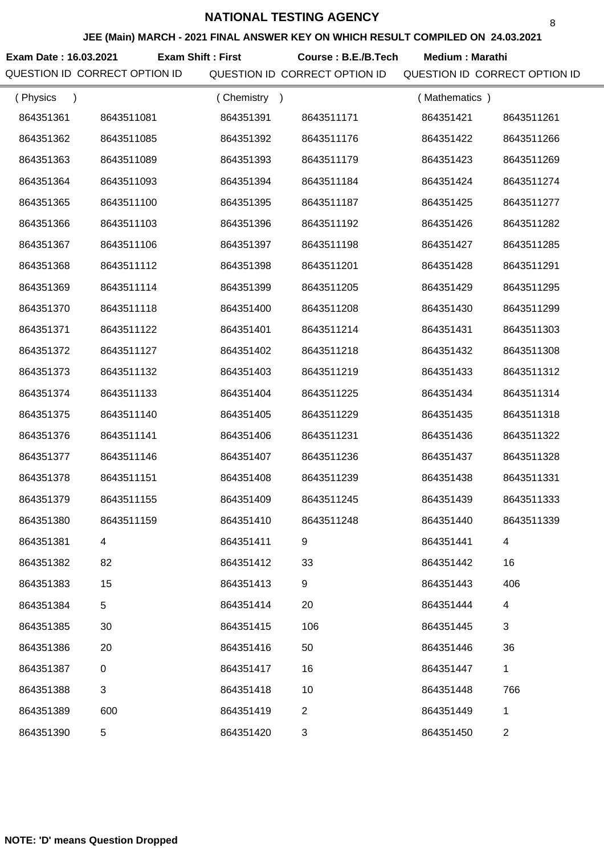#### **JEE (Main) MARCH - 2021 FINAL ANSWER KEY ON WHICH RESULT COMPILED ON 24.03.2021**

**Exam Date : 16.03.2021 Course : B.E./B.Tech Medium : Marathi Exam Shift : First**

QUESTION ID CORRECT OPTION ID QUESTION ID CORRECT OPTION ID QUESTION ID CORRECT OPTION ID

| (Physics<br>$\lambda$ |            | (Chemistry<br>$\rightarrow$ |                | (Mathematics) |                |
|-----------------------|------------|-----------------------------|----------------|---------------|----------------|
| 864351361             | 8643511081 | 864351391                   | 8643511171     | 864351421     | 8643511261     |
| 864351362             | 8643511085 | 864351392                   | 8643511176     | 864351422     | 8643511266     |
| 864351363             | 8643511089 | 864351393                   | 8643511179     | 864351423     | 8643511269     |
| 864351364             | 8643511093 | 864351394                   | 8643511184     | 864351424     | 8643511274     |
| 864351365             | 8643511100 | 864351395                   | 8643511187     | 864351425     | 8643511277     |
| 864351366             | 8643511103 | 864351396                   | 8643511192     | 864351426     | 8643511282     |
| 864351367             | 8643511106 | 864351397                   | 8643511198     | 864351427     | 8643511285     |
| 864351368             | 8643511112 | 864351398                   | 8643511201     | 864351428     | 8643511291     |
| 864351369             | 8643511114 | 864351399                   | 8643511205     | 864351429     | 8643511295     |
| 864351370             | 8643511118 | 864351400                   | 8643511208     | 864351430     | 8643511299     |
| 864351371             | 8643511122 | 864351401                   | 8643511214     | 864351431     | 8643511303     |
| 864351372             | 8643511127 | 864351402                   | 8643511218     | 864351432     | 8643511308     |
| 864351373             | 8643511132 | 864351403                   | 8643511219     | 864351433     | 8643511312     |
| 864351374             | 8643511133 | 864351404                   | 8643511225     | 864351434     | 8643511314     |
| 864351375             | 8643511140 | 864351405                   | 8643511229     | 864351435     | 8643511318     |
| 864351376             | 8643511141 | 864351406                   | 8643511231     | 864351436     | 8643511322     |
| 864351377             | 8643511146 | 864351407                   | 8643511236     | 864351437     | 8643511328     |
| 864351378             | 8643511151 | 864351408                   | 8643511239     | 864351438     | 8643511331     |
| 864351379             | 8643511155 | 864351409                   | 8643511245     | 864351439     | 8643511333     |
| 864351380             | 8643511159 | 864351410                   | 8643511248     | 864351440     | 8643511339     |
| 864351381             |            | 864351411                   |                | 864351441     |                |
| 864351382             | 82         | 864351412                   | 33             | 864351442     | 16             |
| 864351383             | 15         | 864351413                   | 9              | 864351443     | 406            |
| 864351384             | 5          | 864351414                   | 20             | 864351444     | 4              |
| 864351385             | 30         | 864351415                   | 106            | 864351445     | 3              |
| 864351386             | 20         | 864351416                   | 50             | 864351446     | 36             |
| 864351387             | $\pmb{0}$  | 864351417                   | 16             | 864351447     | $\mathbf{1}$   |
| 864351388             | 3          | 864351418                   | 10             | 864351448     | 766            |
| 864351389             | 600        | 864351419                   | $\overline{2}$ | 864351449     | 1              |
| 864351390             | 5          | 864351420                   | 3              | 864351450     | $\overline{2}$ |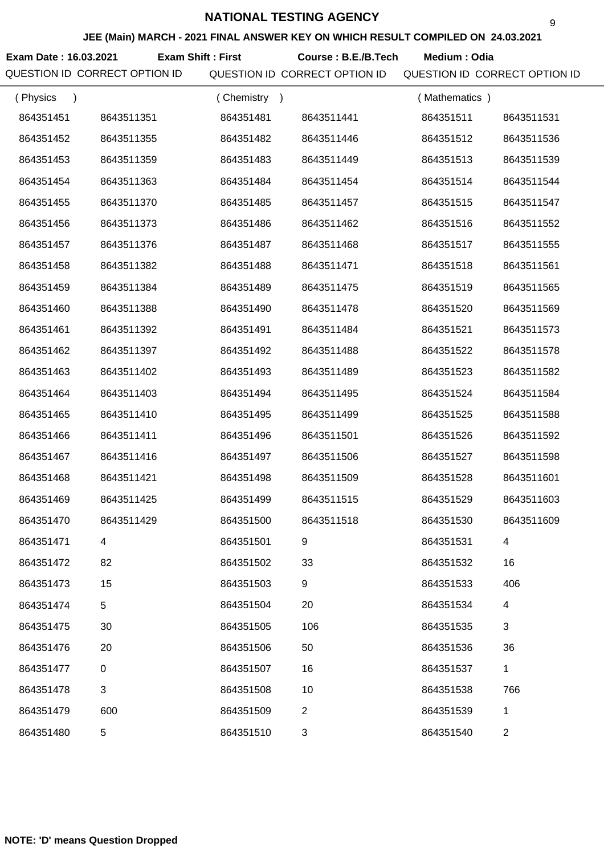#### **JEE (Main) MARCH - 2021 FINAL ANSWER KEY ON WHICH RESULT COMPILED ON 24.03.2021**

**Exam Date : 16.03.2021 Course : B.E./B.Tech Medium : Odia Exam Shift : First**

QUESTION ID CORRECT OPTION ID QUESTION ID CORRECT OPTION ID QUESTION ID CORRECT OPTION ID

| (Physics<br>$\lambda$ |            | (Chemistry)<br>$\rightarrow$ |                | (Mathematics) |            |
|-----------------------|------------|------------------------------|----------------|---------------|------------|
| 864351451             | 8643511351 | 864351481                    | 8643511441     | 864351511     | 8643511531 |
| 864351452             | 8643511355 | 864351482                    | 8643511446     | 864351512     | 8643511536 |
| 864351453             | 8643511359 | 864351483                    | 8643511449     | 864351513     | 8643511539 |
| 864351454             | 8643511363 | 864351484                    | 8643511454     | 864351514     | 8643511544 |
| 864351455             | 8643511370 | 864351485                    | 8643511457     | 864351515     | 8643511547 |
| 864351456             | 8643511373 | 864351486                    | 8643511462     | 864351516     | 8643511552 |
| 864351457             | 8643511376 | 864351487                    | 8643511468     | 864351517     | 8643511555 |
| 864351458             | 8643511382 | 864351488                    | 8643511471     | 864351518     | 8643511561 |
| 864351459             | 8643511384 | 864351489                    | 8643511475     | 864351519     | 8643511565 |
| 864351460             | 8643511388 | 864351490                    | 8643511478     | 864351520     | 8643511569 |
| 864351461             | 8643511392 | 864351491                    | 8643511484     | 864351521     | 8643511573 |
| 864351462             | 8643511397 | 864351492                    | 8643511488     | 864351522     | 8643511578 |
| 864351463             | 8643511402 | 864351493                    | 8643511489     | 864351523     | 8643511582 |
| 864351464             | 8643511403 | 864351494                    | 8643511495     | 864351524     | 8643511584 |
| 864351465             | 8643511410 | 864351495                    | 8643511499     | 864351525     | 8643511588 |
| 864351466             | 8643511411 | 864351496                    | 8643511501     | 864351526     | 8643511592 |
| 864351467             | 8643511416 | 864351497                    | 8643511506     | 864351527     | 8643511598 |
| 864351468             | 8643511421 | 864351498                    | 8643511509     | 864351528     | 8643511601 |
| 864351469             | 8643511425 | 864351499                    | 8643511515     | 864351529     | 8643511603 |
| 864351470             | 8643511429 | 864351500                    | 8643511518     | 864351530     | 8643511609 |
| 864351471             |            | 864351501                    |                | 864351531     |            |
| 864351472             | 82         | 864351502                    | 33             | 864351532     | 16         |
| 864351473             | 15         | 864351503                    | 9              | 864351533     | 406        |
| 864351474             | 5          | 864351504                    | 20             | 864351534     | 4          |
| 864351475             | 30         | 864351505                    | 106            | 864351535     | 3          |
| 864351476             | 20         | 864351506                    | 50             | 864351536     | 36         |
| 864351477             | $\pmb{0}$  | 864351507                    | 16             | 864351537     | 1          |
| 864351478             | 3          | 864351508                    | 10             | 864351538     | 766        |
| 864351479             | 600        | 864351509                    | $\overline{2}$ | 864351539     | 1          |
| 864351480             | 5          | 864351510                    | 3              | 864351540     | 2          |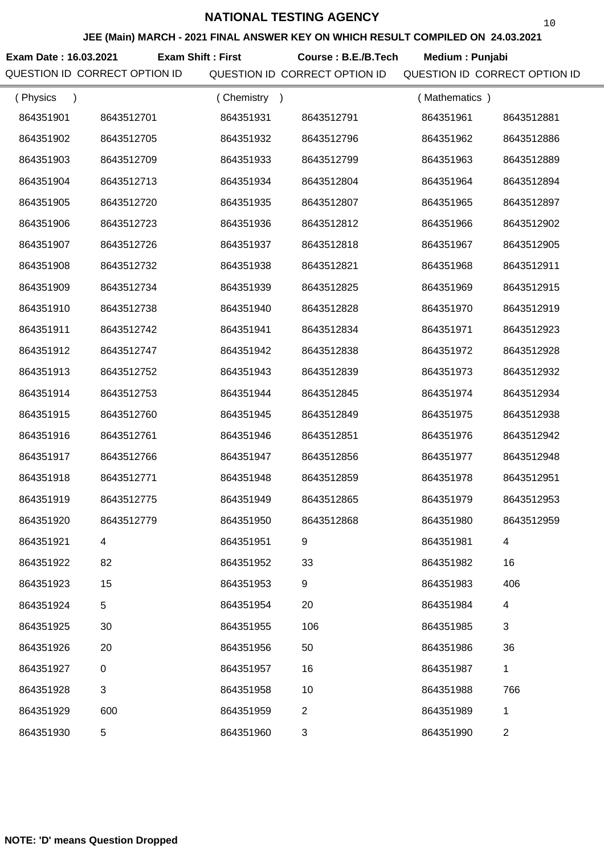**Exam Date : 16.03.2021 Course : B.E./B.Tech Medium : Punjabi Exam Shift : First**

| (Physics<br>$\lambda$ |            | (Chemistry<br>$\rightarrow$ |            | (Mathematics) |                |
|-----------------------|------------|-----------------------------|------------|---------------|----------------|
| 864351901             | 8643512701 | 864351931                   | 8643512791 | 864351961     | 8643512881     |
| 864351902             | 8643512705 | 864351932                   | 8643512796 | 864351962     | 8643512886     |
| 864351903             | 8643512709 | 864351933                   | 8643512799 | 864351963     | 8643512889     |
| 864351904             | 8643512713 | 864351934                   | 8643512804 | 864351964     | 8643512894     |
| 864351905             | 8643512720 | 864351935                   | 8643512807 | 864351965     | 8643512897     |
| 864351906             | 8643512723 | 864351936                   | 8643512812 | 864351966     | 8643512902     |
| 864351907             | 8643512726 | 864351937                   | 8643512818 | 864351967     | 8643512905     |
| 864351908             | 8643512732 | 864351938                   | 8643512821 | 864351968     | 8643512911     |
| 864351909             | 8643512734 | 864351939                   | 8643512825 | 864351969     | 8643512915     |
| 864351910             | 8643512738 | 864351940                   | 8643512828 | 864351970     | 8643512919     |
| 864351911             | 8643512742 | 864351941                   | 8643512834 | 864351971     | 8643512923     |
| 864351912             | 8643512747 | 864351942                   | 8643512838 | 864351972     | 8643512928     |
| 864351913             | 8643512752 | 864351943                   | 8643512839 | 864351973     | 8643512932     |
| 864351914             | 8643512753 | 864351944                   | 8643512845 | 864351974     | 8643512934     |
| 864351915             | 8643512760 | 864351945                   | 8643512849 | 864351975     | 8643512938     |
| 864351916             | 8643512761 | 864351946                   | 8643512851 | 864351976     | 8643512942     |
| 864351917             | 8643512766 | 864351947                   | 8643512856 | 864351977     | 8643512948     |
| 864351918             | 8643512771 | 864351948                   | 8643512859 | 864351978     | 8643512951     |
| 864351919             | 8643512775 | 864351949                   | 8643512865 | 864351979     | 8643512953     |
| 864351920             | 8643512779 | 864351950                   | 8643512868 | 864351980     | 8643512959     |
| 864351921             | 4          | 864351951                   | 9          | 864351981     | 4              |
| 864351922             | 82         | 864351952                   | 33         | 864351982     | 16             |
| 864351923             | 15         | 864351953                   | 9          | 864351983     | 406            |
| 864351924             | 5          | 864351954                   | 20         | 864351984     | 4              |
| 864351925             | 30         | 864351955                   | 106        | 864351985     | 3              |
| 864351926             | 20         | 864351956                   | 50         | 864351986     | 36             |
| 864351927             | $\pmb{0}$  | 864351957                   | 16         | 864351987     | $\mathbf{1}$   |
| 864351928             | 3          | 864351958                   | 10         | 864351988     | 766            |
| 864351929             | 600        | 864351959                   | 2          | 864351989     | 1              |
| 864351930             | 5          | 864351960                   | 3          | 864351990     | $\overline{2}$ |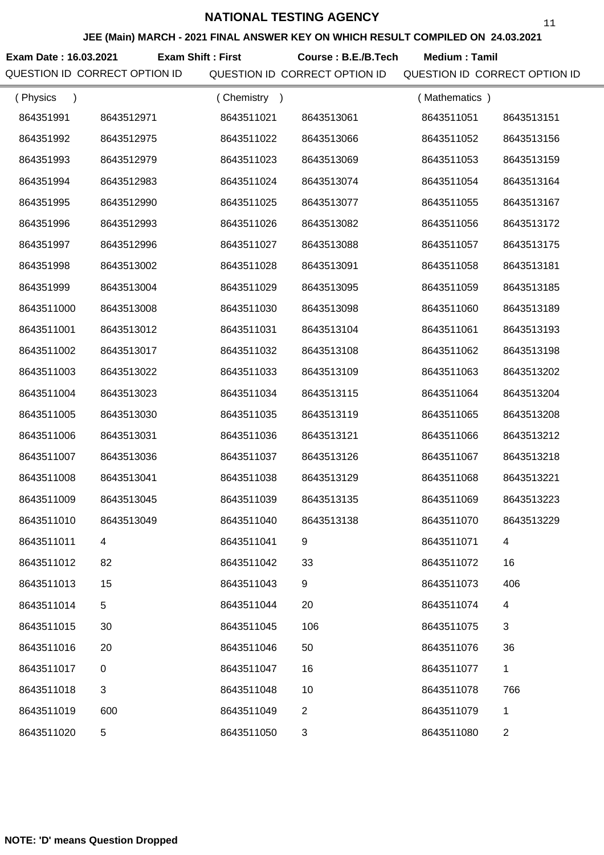**JEE (Main) MARCH - 2021 FINAL ANSWER KEY ON WHICH RESULT COMPILED ON 24.03.2021**

**Exam Date : 16.03.2021 Course : B.E./B.Tech Medium : Tamil Exam Shift : First**

QUESTION ID CORRECT OPTION ID QUESTION ID CORRECT OPTION ID QUESTION ID CORRECT OPTION ID

| (Physics<br>$\lambda$ |            | (Chemistry) |                | (Mathematics) |            |
|-----------------------|------------|-------------|----------------|---------------|------------|
| 864351991             | 8643512971 | 8643511021  | 8643513061     | 8643511051    | 8643513151 |
| 864351992             | 8643512975 | 8643511022  | 8643513066     | 8643511052    | 8643513156 |
| 864351993             | 8643512979 | 8643511023  | 8643513069     | 8643511053    | 8643513159 |
| 864351994             | 8643512983 | 8643511024  | 8643513074     | 8643511054    | 8643513164 |
| 864351995             | 8643512990 | 8643511025  | 8643513077     | 8643511055    | 8643513167 |
| 864351996             | 8643512993 | 8643511026  | 8643513082     | 8643511056    | 8643513172 |
| 864351997             | 8643512996 | 8643511027  | 8643513088     | 8643511057    | 8643513175 |
| 864351998             | 8643513002 | 8643511028  | 8643513091     | 8643511058    | 8643513181 |
| 864351999             | 8643513004 | 8643511029  | 8643513095     | 8643511059    | 8643513185 |
| 8643511000            | 8643513008 | 8643511030  | 8643513098     | 8643511060    | 8643513189 |
| 8643511001            | 8643513012 | 8643511031  | 8643513104     | 8643511061    | 8643513193 |
| 8643511002            | 8643513017 | 8643511032  | 8643513108     | 8643511062    | 8643513198 |
| 8643511003            | 8643513022 | 8643511033  | 8643513109     | 8643511063    | 8643513202 |
| 8643511004            | 8643513023 | 8643511034  | 8643513115     | 8643511064    | 8643513204 |
| 8643511005            | 8643513030 | 8643511035  | 8643513119     | 8643511065    | 8643513208 |
| 8643511006            | 8643513031 | 8643511036  | 8643513121     | 8643511066    | 8643513212 |
| 8643511007            | 8643513036 | 8643511037  | 8643513126     | 8643511067    | 8643513218 |
| 8643511008            | 8643513041 | 8643511038  | 8643513129     | 8643511068    | 8643513221 |
| 8643511009            | 8643513045 | 8643511039  | 8643513135     | 8643511069    | 8643513223 |
| 8643511010            | 8643513049 | 8643511040  | 8643513138     | 8643511070    | 8643513229 |
| 8643511011            |            | 8643511041  |                | 8643511071    |            |
| 8643511012            | 82         | 8643511042  | 33             | 8643511072    | 16         |
| 8643511013            | 15         | 8643511043  | 9              | 8643511073    | 406        |
| 8643511014            | 5          | 8643511044  | 20             | 8643511074    | 4          |
| 8643511015            | 30         | 8643511045  | 106            | 8643511075    | 3          |
| 8643511016            | 20         | 8643511046  | 50             | 8643511076    | 36         |
| 8643511017            | $\pmb{0}$  | 8643511047  | 16             | 8643511077    | 1          |
| 8643511018            | 3          | 8643511048  | 10             | 8643511078    | 766        |
| 8643511019            | 600        | 8643511049  | $\overline{2}$ | 8643511079    | 1          |
| 8643511020            | 5          | 8643511050  | 3              | 8643511080    | 2          |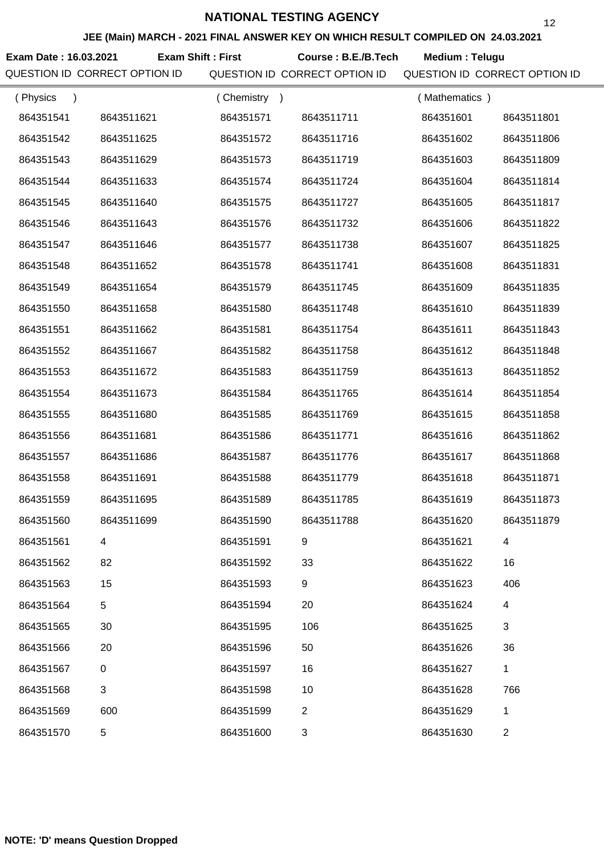**Exam Date : 16.03.2021 Course : B.E./B.Tech Medium : Telugu Exam Shift : First**

QUESTION ID CORRECT OPTION ID QUESTION ID CORRECT OPTION ID QUESTION ID CORRECT OPTION ID

| (Physics<br>$\lambda$ |            | (Chemistry)<br>$\rightarrow$ |                | (Mathematics) |                |
|-----------------------|------------|------------------------------|----------------|---------------|----------------|
| 864351541             | 8643511621 | 864351571                    | 8643511711     | 864351601     | 8643511801     |
| 864351542             | 8643511625 | 864351572                    | 8643511716     | 864351602     | 8643511806     |
| 864351543             | 8643511629 | 864351573                    | 8643511719     | 864351603     | 8643511809     |
| 864351544             | 8643511633 | 864351574                    | 8643511724     | 864351604     | 8643511814     |
| 864351545             | 8643511640 | 864351575                    | 8643511727     | 864351605     | 8643511817     |
| 864351546             | 8643511643 | 864351576                    | 8643511732     | 864351606     | 8643511822     |
| 864351547             | 8643511646 | 864351577                    | 8643511738     | 864351607     | 8643511825     |
| 864351548             | 8643511652 | 864351578                    | 8643511741     | 864351608     | 8643511831     |
| 864351549             | 8643511654 | 864351579                    | 8643511745     | 864351609     | 8643511835     |
| 864351550             | 8643511658 | 864351580                    | 8643511748     | 864351610     | 8643511839     |
| 864351551             | 8643511662 | 864351581                    | 8643511754     | 864351611     | 8643511843     |
| 864351552             | 8643511667 | 864351582                    | 8643511758     | 864351612     | 8643511848     |
| 864351553             | 8643511672 | 864351583                    | 8643511759     | 864351613     | 8643511852     |
| 864351554             | 8643511673 | 864351584                    | 8643511765     | 864351614     | 8643511854     |
| 864351555             | 8643511680 | 864351585                    | 8643511769     | 864351615     | 8643511858     |
| 864351556             | 8643511681 | 864351586                    | 8643511771     | 864351616     | 8643511862     |
| 864351557             | 8643511686 | 864351587                    | 8643511776     | 864351617     | 8643511868     |
| 864351558             | 8643511691 | 864351588                    | 8643511779     | 864351618     | 8643511871     |
| 864351559             | 8643511695 | 864351589                    | 8643511785     | 864351619     | 8643511873     |
| 864351560             | 8643511699 | 864351590                    | 8643511788     | 864351620     | 8643511879     |
| 864351561             |            | 864351591                    | 9              | 864351621     |                |
| 864351562             | 82         | 864351592                    | 33             | 864351622     | 16             |
| 864351563             | 15         | 864351593                    | 9              | 864351623     | 406            |
| 864351564             | 5          | 864351594                    | 20             | 864351624     | 4              |
| 864351565             | 30         | 864351595                    | 106            | 864351625     | 3              |
| 864351566             | 20         | 864351596                    | 50             | 864351626     | 36             |
| 864351567             | $\pmb{0}$  | 864351597                    | 16             | 864351627     | 1              |
| 864351568             | 3          | 864351598                    | 10             | 864351628     | 766            |
| 864351569             | 600        | 864351599                    | $\overline{2}$ | 864351629     | 1              |
| 864351570             | 5          | 864351600                    | 3              | 864351630     | $\overline{c}$ |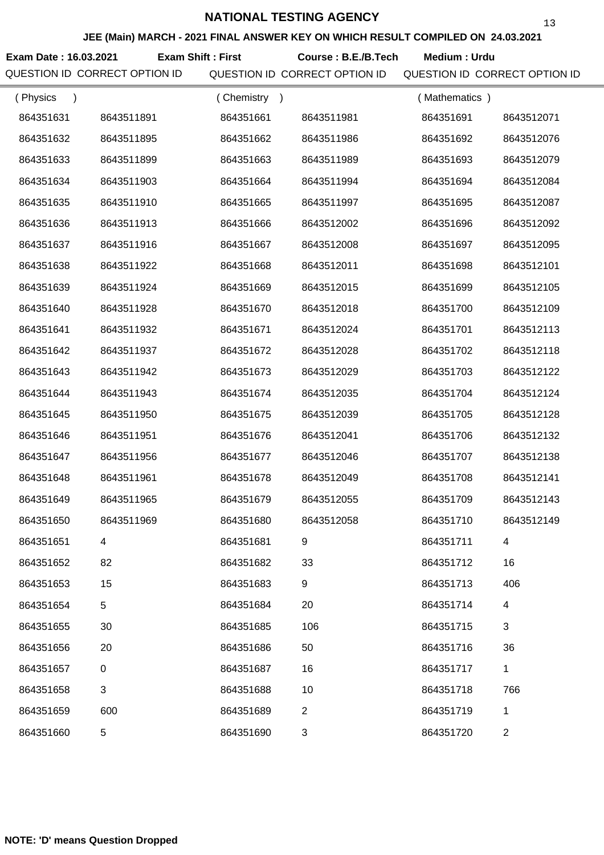**Exam Date : 16.03.2021 Course : B.E./B.Tech Medium : Urdu Exam Shift : First**

| (Physics<br>$\lambda$ |            | (Chemistry)<br>$\rightarrow$ |                | (Mathematics) |              |
|-----------------------|------------|------------------------------|----------------|---------------|--------------|
| 864351631             | 8643511891 | 864351661                    | 8643511981     | 864351691     | 8643512071   |
| 864351632             | 8643511895 | 864351662                    | 8643511986     | 864351692     | 8643512076   |
| 864351633             | 8643511899 | 864351663                    | 8643511989     | 864351693     | 8643512079   |
| 864351634             | 8643511903 | 864351664                    | 8643511994     | 864351694     | 8643512084   |
| 864351635             | 8643511910 | 864351665                    | 8643511997     | 864351695     | 8643512087   |
| 864351636             | 8643511913 | 864351666                    | 8643512002     | 864351696     | 8643512092   |
| 864351637             | 8643511916 | 864351667                    | 8643512008     | 864351697     | 8643512095   |
| 864351638             | 8643511922 | 864351668                    | 8643512011     | 864351698     | 8643512101   |
| 864351639             | 8643511924 | 864351669                    | 8643512015     | 864351699     | 8643512105   |
| 864351640             | 8643511928 | 864351670                    | 8643512018     | 864351700     | 8643512109   |
| 864351641             | 8643511932 | 864351671                    | 8643512024     | 864351701     | 8643512113   |
| 864351642             | 8643511937 | 864351672                    | 8643512028     | 864351702     | 8643512118   |
| 864351643             | 8643511942 | 864351673                    | 8643512029     | 864351703     | 8643512122   |
| 864351644             | 8643511943 | 864351674                    | 8643512035     | 864351704     | 8643512124   |
| 864351645             | 8643511950 | 864351675                    | 8643512039     | 864351705     | 8643512128   |
| 864351646             | 8643511951 | 864351676                    | 8643512041     | 864351706     | 8643512132   |
| 864351647             | 8643511956 | 864351677                    | 8643512046     | 864351707     | 8643512138   |
| 864351648             | 8643511961 | 864351678                    | 8643512049     | 864351708     | 8643512141   |
| 864351649             | 8643511965 | 864351679                    | 8643512055     | 864351709     | 8643512143   |
| 864351650             | 8643511969 | 864351680                    | 8643512058     | 864351710     | 8643512149   |
| 864351651             |            | 864351681                    | 9              | 864351711     |              |
| 864351652             | 82         | 864351682                    | 33             | 864351712     | 16           |
| 864351653             | 15         | 864351683                    | 9              | 864351713     | 406          |
| 864351654             | 5          | 864351684                    | 20             | 864351714     | 4            |
| 864351655             | 30         | 864351685                    | 106            | 864351715     | 3            |
| 864351656             | 20         | 864351686                    | 50             | 864351716     | 36           |
| 864351657             | $\pmb{0}$  | 864351687                    | 16             | 864351717     | $\mathbf{1}$ |
| 864351658             | 3          | 864351688                    | 10             | 864351718     | 766          |
| 864351659             | 600        | 864351689                    | $\overline{2}$ | 864351719     | 1            |
| 864351660             | 5          | 864351690                    | 3              | 864351720     | 2            |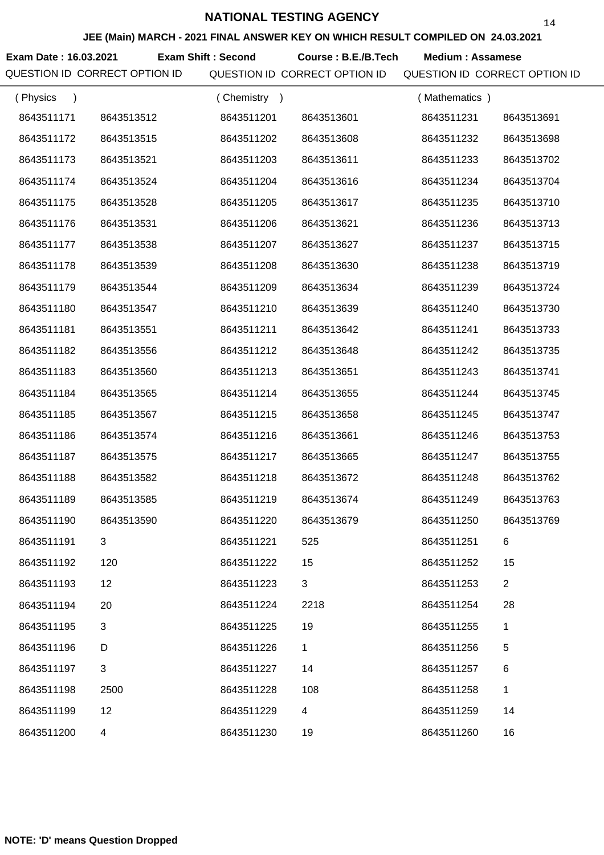**JEE (Main) MARCH - 2021 FINAL ANSWER KEY ON WHICH RESULT COMPILED ON 24.03.2021**

**Exam Date : 16.03.2021 Exam Shift : Second Course : B.E./B.Tech Medium : Assamese** 

| (Physics<br>$\lambda$ |            | (Chemistry)<br>$\rightarrow$ |             | (Mathematics) |                |
|-----------------------|------------|------------------------------|-------------|---------------|----------------|
| 8643511171            | 8643513512 | 8643511201                   | 8643513601  | 8643511231    | 8643513691     |
| 8643511172            | 8643513515 | 8643511202                   | 8643513608  | 8643511232    | 8643513698     |
| 8643511173            | 8643513521 | 8643511203                   | 8643513611  | 8643511233    | 8643513702     |
| 8643511174            | 8643513524 | 8643511204                   | 8643513616  | 8643511234    | 8643513704     |
| 8643511175            | 8643513528 | 8643511205                   | 8643513617  | 8643511235    | 8643513710     |
| 8643511176            | 8643513531 | 8643511206                   | 8643513621  | 8643511236    | 8643513713     |
| 8643511177            | 8643513538 | 8643511207                   | 8643513627  | 8643511237    | 8643513715     |
| 8643511178            | 8643513539 | 8643511208                   | 8643513630  | 8643511238    | 8643513719     |
| 8643511179            | 8643513544 | 8643511209                   | 8643513634  | 8643511239    | 8643513724     |
| 8643511180            | 8643513547 | 8643511210                   | 8643513639  | 8643511240    | 8643513730     |
| 8643511181            | 8643513551 | 8643511211                   | 8643513642  | 8643511241    | 8643513733     |
| 8643511182            | 8643513556 | 8643511212                   | 8643513648  | 8643511242    | 8643513735     |
| 8643511183            | 8643513560 | 8643511213                   | 8643513651  | 8643511243    | 8643513741     |
| 8643511184            | 8643513565 | 8643511214                   | 8643513655  | 8643511244    | 8643513745     |
| 8643511185            | 8643513567 | 8643511215                   | 8643513658  | 8643511245    | 8643513747     |
| 8643511186            | 8643513574 | 8643511216                   | 8643513661  | 8643511246    | 8643513753     |
| 8643511187            | 8643513575 | 8643511217                   | 8643513665  | 8643511247    | 8643513755     |
| 8643511188            | 8643513582 | 8643511218                   | 8643513672  | 8643511248    | 8643513762     |
| 8643511189            | 8643513585 | 8643511219                   | 8643513674  | 8643511249    | 8643513763     |
| 8643511190            | 8643513590 | 8643511220                   | 8643513679  | 8643511250    | 8643513769     |
| 8643511191            |            | 8643511221                   | 525         | 8643511251    | 6              |
| 8643511192            | 120        | 8643511222                   | 15          | 8643511252    | 15             |
| 8643511193            | 12         | 8643511223                   | 3           | 8643511253    | $\overline{2}$ |
| 8643511194            | 20         | 8643511224                   | 2218        | 8643511254    | 28             |
| 8643511195            | 3          | 8643511225                   | 19          | 8643511255    | 1              |
| 8643511196            | D          | 8643511226                   | $\mathbf 1$ | 8643511256    | 5              |
| 8643511197            | 3          | 8643511227                   | 14          | 8643511257    | 6              |
| 8643511198            | 2500       | 8643511228                   | 108         | 8643511258    | 1              |
| 8643511199            | 12         | 8643511229                   | 4           | 8643511259    | 14             |
| 8643511200            | 4          | 8643511230                   | 19          | 8643511260    | 16             |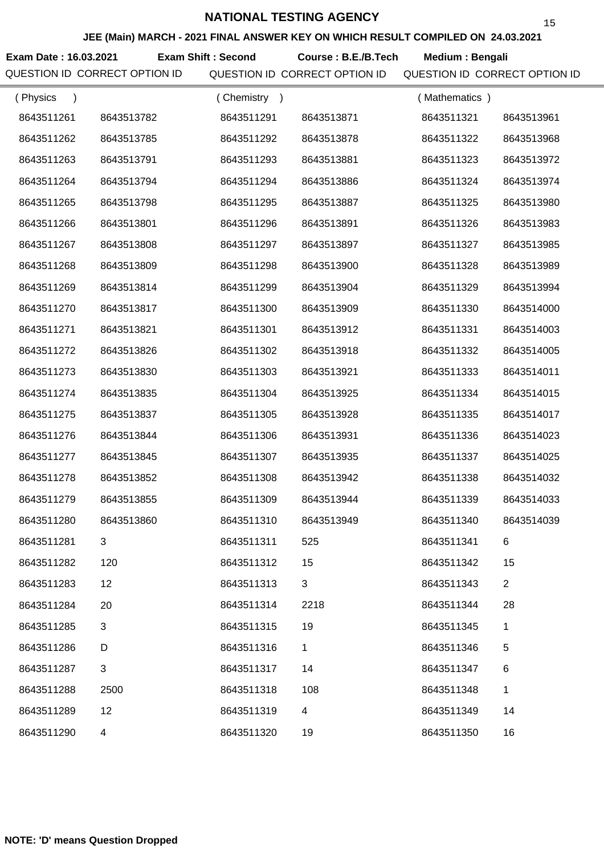**JEE (Main) MARCH - 2021 FINAL ANSWER KEY ON WHICH RESULT COMPILED ON 24.03.2021**

**Exam Date : 16.03.2021 Course : B.E./B.Tech Medium : Bengali Exam Shift : Second**

| (Physics<br>$\lambda$ |                | Chemistry<br>$\rightarrow$ |             | (Mathematics) |                |
|-----------------------|----------------|----------------------------|-------------|---------------|----------------|
| 8643511261            | 8643513782     | 8643511291                 | 8643513871  | 8643511321    | 8643513961     |
| 8643511262            | 8643513785     | 8643511292                 | 8643513878  | 8643511322    | 8643513968     |
| 8643511263            | 8643513791     | 8643511293                 | 8643513881  | 8643511323    | 8643513972     |
| 8643511264            | 8643513794     | 8643511294                 | 8643513886  | 8643511324    | 8643513974     |
| 8643511265            | 8643513798     | 8643511295                 | 8643513887  | 8643511325    | 8643513980     |
| 8643511266            | 8643513801     | 8643511296                 | 8643513891  | 8643511326    | 8643513983     |
| 8643511267            | 8643513808     | 8643511297                 | 8643513897  | 8643511327    | 8643513985     |
| 8643511268            | 8643513809     | 8643511298                 | 8643513900  | 8643511328    | 8643513989     |
| 8643511269            | 8643513814     | 8643511299                 | 8643513904  | 8643511329    | 8643513994     |
| 8643511270            | 8643513817     | 8643511300                 | 8643513909  | 8643511330    | 8643514000     |
| 8643511271            | 8643513821     | 8643511301                 | 8643513912  | 8643511331    | 8643514003     |
| 8643511272            | 8643513826     | 8643511302                 | 8643513918  | 8643511332    | 8643514005     |
| 8643511273            | 8643513830     | 8643511303                 | 8643513921  | 8643511333    | 8643514011     |
| 8643511274            | 8643513835     | 8643511304                 | 8643513925  | 8643511334    | 8643514015     |
| 8643511275            | 8643513837     | 8643511305                 | 8643513928  | 8643511335    | 8643514017     |
| 8643511276            | 8643513844     | 8643511306                 | 8643513931  | 8643511336    | 8643514023     |
| 8643511277            | 8643513845     | 8643511307                 | 8643513935  | 8643511337    | 8643514025     |
| 8643511278            | 8643513852     | 8643511308                 | 8643513942  | 8643511338    | 8643514032     |
| 8643511279            | 8643513855     | 8643511309                 | 8643513944  | 8643511339    | 8643514033     |
| 8643511280            | 8643513860     | 8643511310                 | 8643513949  | 8643511340    | 8643514039     |
| 8643511281            |                | 8643511311                 | 525         | 8643511341    |                |
| 8643511282            | 120            | 8643511312                 | 15          | 8643511342    | 15             |
| 8643511283            | 12             | 8643511313                 | 3           | 8643511343    | $\overline{2}$ |
| 8643511284            | 20             | 8643511314                 | 2218        | 8643511344    | 28             |
| 8643511285            | 3              | 8643511315                 | 19          | 8643511345    | 1              |
| 8643511286            | D              | 8643511316                 | $\mathbf 1$ | 8643511346    | 5              |
| 8643511287            | $\sqrt{3}$     | 8643511317                 | 14          | 8643511347    | 6              |
| 8643511288            | 2500           | 8643511318                 | 108         | 8643511348    | $\mathbf 1$    |
| 8643511289            | 12             | 8643511319                 | 4           | 8643511349    | 14             |
| 8643511290            | $\overline{4}$ | 8643511320                 | 19          | 8643511350    | 16             |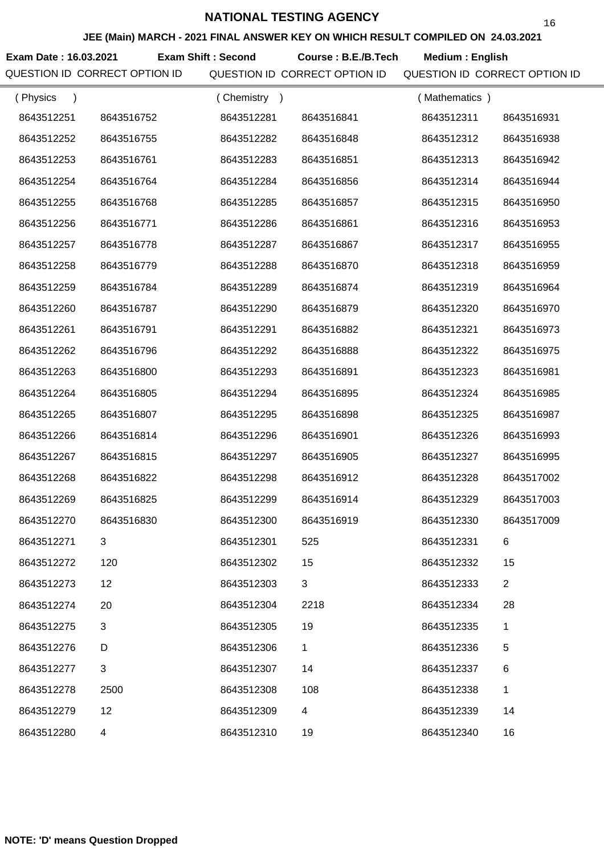**JEE (Main) MARCH - 2021 FINAL ANSWER KEY ON WHICH RESULT COMPILED ON 24.03.2021**

**Exam Date : 16.03.2021 Course : B.E./B.Tech Medium : English Exam Shift : Second**

| (Physics<br>$\lambda$ |            | Chemistry<br>$\rightarrow$ |             | (Mathematics) |                |
|-----------------------|------------|----------------------------|-------------|---------------|----------------|
| 8643512251            | 8643516752 | 8643512281                 | 8643516841  | 8643512311    | 8643516931     |
| 8643512252            | 8643516755 | 8643512282                 | 8643516848  | 8643512312    | 8643516938     |
| 8643512253            | 8643516761 | 8643512283                 | 8643516851  | 8643512313    | 8643516942     |
| 8643512254            | 8643516764 | 8643512284                 | 8643516856  | 8643512314    | 8643516944     |
| 8643512255            | 8643516768 | 8643512285                 | 8643516857  | 8643512315    | 8643516950     |
| 8643512256            | 8643516771 | 8643512286                 | 8643516861  | 8643512316    | 8643516953     |
| 8643512257            | 8643516778 | 8643512287                 | 8643516867  | 8643512317    | 8643516955     |
| 8643512258            | 8643516779 | 8643512288                 | 8643516870  | 8643512318    | 8643516959     |
| 8643512259            | 8643516784 | 8643512289                 | 8643516874  | 8643512319    | 8643516964     |
| 8643512260            | 8643516787 | 8643512290                 | 8643516879  | 8643512320    | 8643516970     |
| 8643512261            | 8643516791 | 8643512291                 | 8643516882  | 8643512321    | 8643516973     |
| 8643512262            | 8643516796 | 8643512292                 | 8643516888  | 8643512322    | 8643516975     |
| 8643512263            | 8643516800 | 8643512293                 | 8643516891  | 8643512323    | 8643516981     |
| 8643512264            | 8643516805 | 8643512294                 | 8643516895  | 8643512324    | 8643516985     |
| 8643512265            | 8643516807 | 8643512295                 | 8643516898  | 8643512325    | 8643516987     |
| 8643512266            | 8643516814 | 8643512296                 | 8643516901  | 8643512326    | 8643516993     |
| 8643512267            | 8643516815 | 8643512297                 | 8643516905  | 8643512327    | 8643516995     |
| 8643512268            | 8643516822 | 8643512298                 | 8643516912  | 8643512328    | 8643517002     |
| 8643512269            | 8643516825 | 8643512299                 | 8643516914  | 8643512329    | 8643517003     |
| 8643512270            | 8643516830 | 8643512300                 | 8643516919  | 8643512330    | 8643517009     |
| 8643512271            |            | 8643512301                 | 525         | 8643512331    |                |
| 8643512272            | 120        | 8643512302                 | 15          | 8643512332    | 15             |
| 8643512273            | 12         | 8643512303                 | 3           | 8643512333    | $\overline{2}$ |
| 8643512274            | 20         | 8643512304                 | 2218        | 8643512334    | 28             |
| 8643512275            | 3          | 8643512305                 | 19          | 8643512335    | 1              |
| 8643512276            | D          | 8643512306                 | $\mathbf 1$ | 8643512336    | 5              |
| 8643512277            | 3          | 8643512307                 | 14          | 8643512337    | 6              |
| 8643512278            | 2500       | 8643512308                 | 108         | 8643512338    | $\mathbf{1}$   |
| 8643512279            | 12         | 8643512309                 | 4           | 8643512339    | 14             |
| 8643512280            | 4          | 8643512310                 | 19          | 8643512340    | 16             |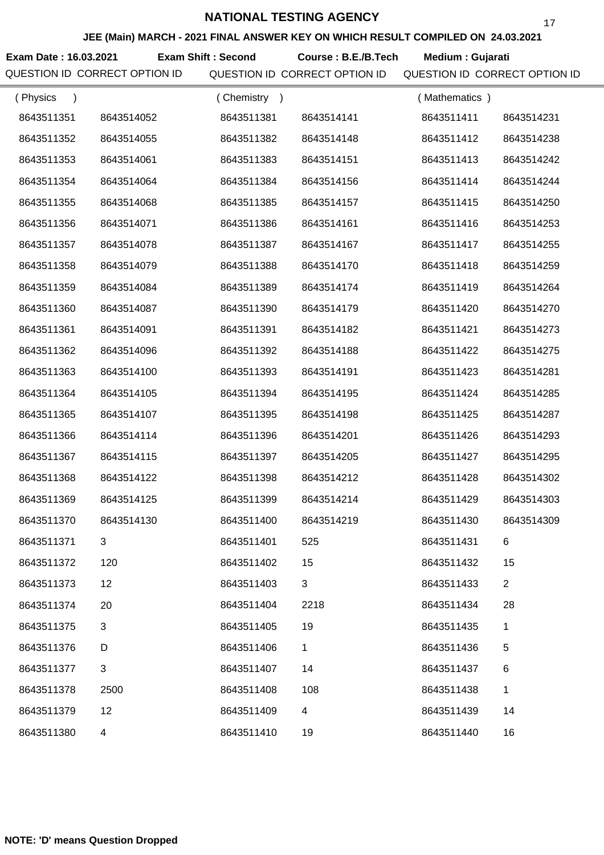**JEE (Main) MARCH - 2021 FINAL ANSWER KEY ON WHICH RESULT COMPILED ON 24.03.2021**

**Exam Date : 16.03.2021 Exam Shift : Second Course : B.E./B.Tech Medium : Gujarati** 

| (Physics<br>$\lambda$ |            | (Chemistry)<br>$\rightarrow$ |              | (Mathematics) |                |
|-----------------------|------------|------------------------------|--------------|---------------|----------------|
| 8643511351            | 8643514052 | 8643511381                   | 8643514141   | 8643511411    | 8643514231     |
| 8643511352            | 8643514055 | 8643511382                   | 8643514148   | 8643511412    | 8643514238     |
| 8643511353            | 8643514061 | 8643511383                   | 8643514151   | 8643511413    | 8643514242     |
| 8643511354            | 8643514064 | 8643511384                   | 8643514156   | 8643511414    | 8643514244     |
| 8643511355            | 8643514068 | 8643511385                   | 8643514157   | 8643511415    | 8643514250     |
| 8643511356            | 8643514071 | 8643511386                   | 8643514161   | 8643511416    | 8643514253     |
| 8643511357            | 8643514078 | 8643511387                   | 8643514167   | 8643511417    | 8643514255     |
| 8643511358            | 8643514079 | 8643511388                   | 8643514170   | 8643511418    | 8643514259     |
| 8643511359            | 8643514084 | 8643511389                   | 8643514174   | 8643511419    | 8643514264     |
| 8643511360            | 8643514087 | 8643511390                   | 8643514179   | 8643511420    | 8643514270     |
| 8643511361            | 8643514091 | 8643511391                   | 8643514182   | 8643511421    | 8643514273     |
| 8643511362            | 8643514096 | 8643511392                   | 8643514188   | 8643511422    | 8643514275     |
| 8643511363            | 8643514100 | 8643511393                   | 8643514191   | 8643511423    | 8643514281     |
| 8643511364            | 8643514105 | 8643511394                   | 8643514195   | 8643511424    | 8643514285     |
| 8643511365            | 8643514107 | 8643511395                   | 8643514198   | 8643511425    | 8643514287     |
| 8643511366            | 8643514114 | 8643511396                   | 8643514201   | 8643511426    | 8643514293     |
| 8643511367            | 8643514115 | 8643511397                   | 8643514205   | 8643511427    | 8643514295     |
| 8643511368            | 8643514122 | 8643511398                   | 8643514212   | 8643511428    | 8643514302     |
| 8643511369            | 8643514125 | 8643511399                   | 8643514214   | 8643511429    | 8643514303     |
| 8643511370            | 8643514130 | 8643511400                   | 8643514219   | 8643511430    | 8643514309     |
| 8643511371            |            | 8643511401                   | 525          | 8643511431    | 6              |
| 8643511372            | 120        | 8643511402                   | 15           | 8643511432    | 15             |
| 8643511373            | 12         | 8643511403                   | 3            | 8643511433    | $\overline{2}$ |
| 8643511374            | 20         | 8643511404                   | 2218         | 8643511434    | 28             |
| 8643511375            | 3          | 8643511405                   | 19           | 8643511435    | 1              |
| 8643511376            | D          | 8643511406                   | $\mathbf{1}$ | 8643511436    | 5              |
| 8643511377            | 3          | 8643511407                   | 14           | 8643511437    | 6              |
| 8643511378            | 2500       | 8643511408                   | 108          | 8643511438    | 1              |
| 8643511379            | 12         | 8643511409                   | 4            | 8643511439    | 14             |
| 8643511380            | 4          | 8643511410                   | 19           | 8643511440    | 16             |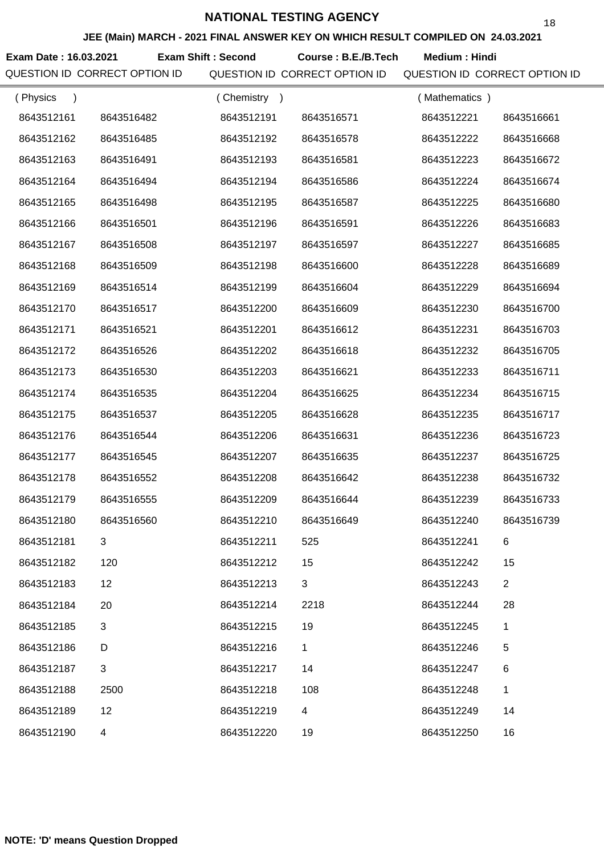**JEE (Main) MARCH - 2021 FINAL ANSWER KEY ON WHICH RESULT COMPILED ON 24.03.2021**

**Exam Date : 16.03.2021 Exam Shift : Second Course : B.E./B.Tech Medium : Hindi** 

| (Physics   |            | (Chemistry<br>$\rightarrow$ |             | (Mathematics) |                |
|------------|------------|-----------------------------|-------------|---------------|----------------|
| 8643512161 | 8643516482 | 8643512191                  | 8643516571  | 8643512221    | 8643516661     |
| 8643512162 | 8643516485 | 8643512192                  | 8643516578  | 8643512222    | 8643516668     |
| 8643512163 | 8643516491 | 8643512193                  | 8643516581  | 8643512223    | 8643516672     |
| 8643512164 | 8643516494 | 8643512194                  | 8643516586  | 8643512224    | 8643516674     |
| 8643512165 | 8643516498 | 8643512195                  | 8643516587  | 8643512225    | 8643516680     |
| 8643512166 | 8643516501 | 8643512196                  | 8643516591  | 8643512226    | 8643516683     |
| 8643512167 | 8643516508 | 8643512197                  | 8643516597  | 8643512227    | 8643516685     |
| 8643512168 | 8643516509 | 8643512198                  | 8643516600  | 8643512228    | 8643516689     |
| 8643512169 | 8643516514 | 8643512199                  | 8643516604  | 8643512229    | 8643516694     |
| 8643512170 | 8643516517 | 8643512200                  | 8643516609  | 8643512230    | 8643516700     |
| 8643512171 | 8643516521 | 8643512201                  | 8643516612  | 8643512231    | 8643516703     |
| 8643512172 | 8643516526 | 8643512202                  | 8643516618  | 8643512232    | 8643516705     |
| 8643512173 | 8643516530 | 8643512203                  | 8643516621  | 8643512233    | 8643516711     |
| 8643512174 | 8643516535 | 8643512204                  | 8643516625  | 8643512234    | 8643516715     |
| 8643512175 | 8643516537 | 8643512205                  | 8643516628  | 8643512235    | 8643516717     |
| 8643512176 | 8643516544 | 8643512206                  | 8643516631  | 8643512236    | 8643516723     |
| 8643512177 | 8643516545 | 8643512207                  | 8643516635  | 8643512237    | 8643516725     |
| 8643512178 | 8643516552 | 8643512208                  | 8643516642  | 8643512238    | 8643516732     |
| 8643512179 | 8643516555 | 8643512209                  | 8643516644  | 8643512239    | 8643516733     |
| 8643512180 | 8643516560 | 8643512210                  | 8643516649  | 8643512240    | 8643516739     |
| 8643512181 |            | 8643512211                  | 525         | 8643512241    | 6              |
| 8643512182 | 120        | 8643512212                  | 15          | 8643512242    | 15             |
| 8643512183 | 12         | 8643512213                  | 3           | 8643512243    | $\overline{2}$ |
| 8643512184 | 20         | 8643512214                  | 2218        | 8643512244    | 28             |
| 8643512185 | 3          | 8643512215                  | 19          | 8643512245    | 1              |
| 8643512186 | D          | 8643512216                  | $\mathbf 1$ | 8643512246    | 5              |
| 8643512187 | $\sqrt{3}$ | 8643512217                  | 14          | 8643512247    | 6              |
| 8643512188 | 2500       | 8643512218                  | 108         | 8643512248    | 1              |
| 8643512189 | 12         | 8643512219                  | 4           | 8643512249    | 14             |
| 8643512190 | 4          | 8643512220                  | 19          | 8643512250    | 16             |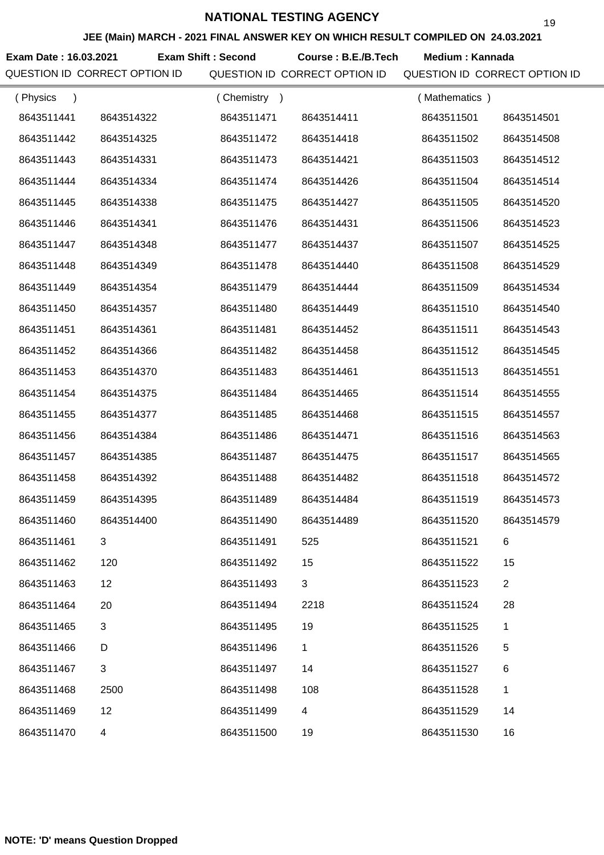**JEE (Main) MARCH - 2021 FINAL ANSWER KEY ON WHICH RESULT COMPILED ON 24.03.2021**

Exam Date : 16.03.2021 Exam Shift : Second Course : B.E./B.Tech Medium : Kannada

| (Physics<br>$\lambda$ |            | (Chemistry) |             | (Mathematics) |                |
|-----------------------|------------|-------------|-------------|---------------|----------------|
| 8643511441            | 8643514322 | 8643511471  | 8643514411  | 8643511501    | 8643514501     |
| 8643511442            | 8643514325 | 8643511472  | 8643514418  | 8643511502    | 8643514508     |
| 8643511443            | 8643514331 | 8643511473  | 8643514421  | 8643511503    | 8643514512     |
| 8643511444            | 8643514334 | 8643511474  | 8643514426  | 8643511504    | 8643514514     |
| 8643511445            | 8643514338 | 8643511475  | 8643514427  | 8643511505    | 8643514520     |
| 8643511446            | 8643514341 | 8643511476  | 8643514431  | 8643511506    | 8643514523     |
| 8643511447            | 8643514348 | 8643511477  | 8643514437  | 8643511507    | 8643514525     |
| 8643511448            | 8643514349 | 8643511478  | 8643514440  | 8643511508    | 8643514529     |
| 8643511449            | 8643514354 | 8643511479  | 8643514444  | 8643511509    | 8643514534     |
| 8643511450            | 8643514357 | 8643511480  | 8643514449  | 8643511510    | 8643514540     |
| 8643511451            | 8643514361 | 8643511481  | 8643514452  | 8643511511    | 8643514543     |
| 8643511452            | 8643514366 | 8643511482  | 8643514458  | 8643511512    | 8643514545     |
| 8643511453            | 8643514370 | 8643511483  | 8643514461  | 8643511513    | 8643514551     |
| 8643511454            | 8643514375 | 8643511484  | 8643514465  | 8643511514    | 8643514555     |
| 8643511455            | 8643514377 | 8643511485  | 8643514468  | 8643511515    | 8643514557     |
| 8643511456            | 8643514384 | 8643511486  | 8643514471  | 8643511516    | 8643514563     |
| 8643511457            | 8643514385 | 8643511487  | 8643514475  | 8643511517    | 8643514565     |
| 8643511458            | 8643514392 | 8643511488  | 8643514482  | 8643511518    | 8643514572     |
| 8643511459            | 8643514395 | 8643511489  | 8643514484  | 8643511519    | 8643514573     |
| 8643511460            | 8643514400 | 8643511490  | 8643514489  | 8643511520    | 8643514579     |
| 8643511461            | 3          | 8643511491  | 525         | 8643511521    | 6              |
| 8643511462            | 120        | 8643511492  | 15          | 8643511522    | 15             |
| 8643511463            | 12         | 8643511493  | 3           | 8643511523    | $\overline{2}$ |
| 8643511464            | 20         | 8643511494  | 2218        | 8643511524    | 28             |
| 8643511465            | 3          | 8643511495  | 19          | 8643511525    | 1              |
| 8643511466            | D          | 8643511496  | $\mathbf 1$ | 8643511526    | 5              |
| 8643511467            | 3          | 8643511497  | 14          | 8643511527    | 6              |
| 8643511468            | 2500       | 8643511498  | 108         | 8643511528    | 1              |
| 8643511469            | 12         | 8643511499  | 4           | 8643511529    | 14             |
| 8643511470            | 4          | 8643511500  | 19          | 8643511530    | 16             |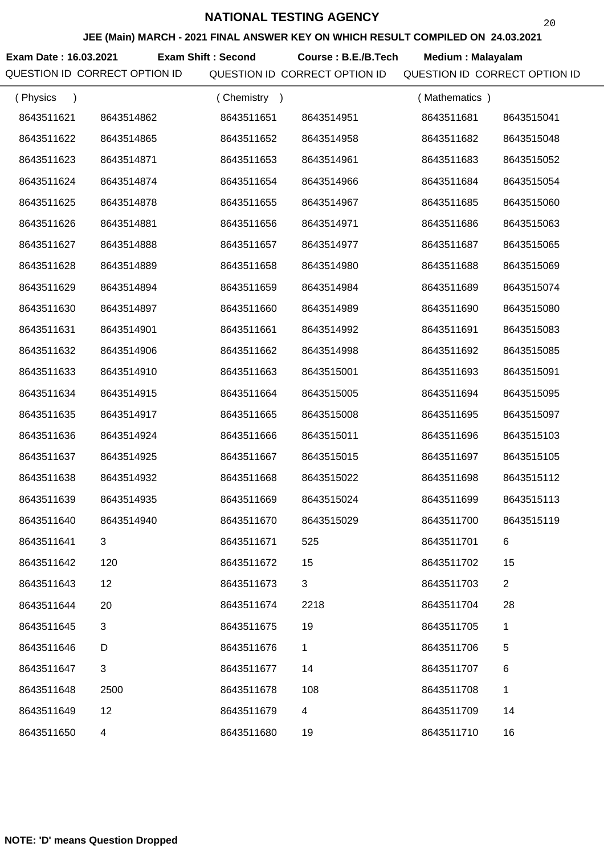**JEE (Main) MARCH - 2021 FINAL ANSWER KEY ON WHICH RESULT COMPILED ON 24.03.2021**

**Exam Date : 16.03.2021 Exam Shift : Second Course : B.E./B.Tech Medium : Malayalam** 

| (Physics<br>$\lambda$ |                           | (Chemistry) |             | (Mathematics) |                |
|-----------------------|---------------------------|-------------|-------------|---------------|----------------|
| 8643511621            | 8643514862                | 8643511651  | 8643514951  | 8643511681    | 8643515041     |
| 8643511622            | 8643514865                | 8643511652  | 8643514958  | 8643511682    | 8643515048     |
| 8643511623            | 8643514871                | 8643511653  | 8643514961  | 8643511683    | 8643515052     |
| 8643511624            | 8643514874                | 8643511654  | 8643514966  | 8643511684    | 8643515054     |
| 8643511625            | 8643514878                | 8643511655  | 8643514967  | 8643511685    | 8643515060     |
| 8643511626            | 8643514881                | 8643511656  | 8643514971  | 8643511686    | 8643515063     |
| 8643511627            | 8643514888                | 8643511657  | 8643514977  | 8643511687    | 8643515065     |
| 8643511628            | 8643514889                | 8643511658  | 8643514980  | 8643511688    | 8643515069     |
| 8643511629            | 8643514894                | 8643511659  | 8643514984  | 8643511689    | 8643515074     |
| 8643511630            | 8643514897                | 8643511660  | 8643514989  | 8643511690    | 8643515080     |
| 8643511631            | 8643514901                | 8643511661  | 8643514992  | 8643511691    | 8643515083     |
| 8643511632            | 8643514906                | 8643511662  | 8643514998  | 8643511692    | 8643515085     |
| 8643511633            | 8643514910                | 8643511663  | 8643515001  | 8643511693    | 8643515091     |
| 8643511634            | 8643514915                | 8643511664  | 8643515005  | 8643511694    | 8643515095     |
| 8643511635            | 8643514917                | 8643511665  | 8643515008  | 8643511695    | 8643515097     |
| 8643511636            | 8643514924                | 8643511666  | 8643515011  | 8643511696    | 8643515103     |
| 8643511637            | 8643514925                | 8643511667  | 8643515015  | 8643511697    | 8643515105     |
| 8643511638            | 8643514932                | 8643511668  | 8643515022  | 8643511698    | 8643515112     |
| 8643511639            | 8643514935                | 8643511669  | 8643515024  | 8643511699    | 8643515113     |
| 8643511640            | 8643514940                | 8643511670  | 8643515029  | 8643511700    | 8643515119     |
| 8643511641            |                           | 8643511671  | 525         | 8643511701    | 6              |
| 8643511642            | 120                       | 8643511672  | 15          | 8643511702    | 15             |
| 8643511643            | 12                        | 8643511673  | 3           | 8643511703    | $\overline{2}$ |
| 8643511644            | 20                        | 8643511674  | 2218        | 8643511704    | 28             |
| 8643511645            | 3                         | 8643511675  | 19          | 8643511705    | 1              |
| 8643511646            | D                         | 8643511676  | $\mathbf 1$ | 8643511706    | 5              |
| 8643511647            | $\ensuremath{\mathsf{3}}$ | 8643511677  | 14          | 8643511707    | $\,6$          |
| 8643511648            | 2500                      | 8643511678  | 108         | 8643511708    | 1              |
| 8643511649            | 12                        | 8643511679  | 4           | 8643511709    | 14             |
| 8643511650            | $\overline{4}$            | 8643511680  | 19          | 8643511710    | 16             |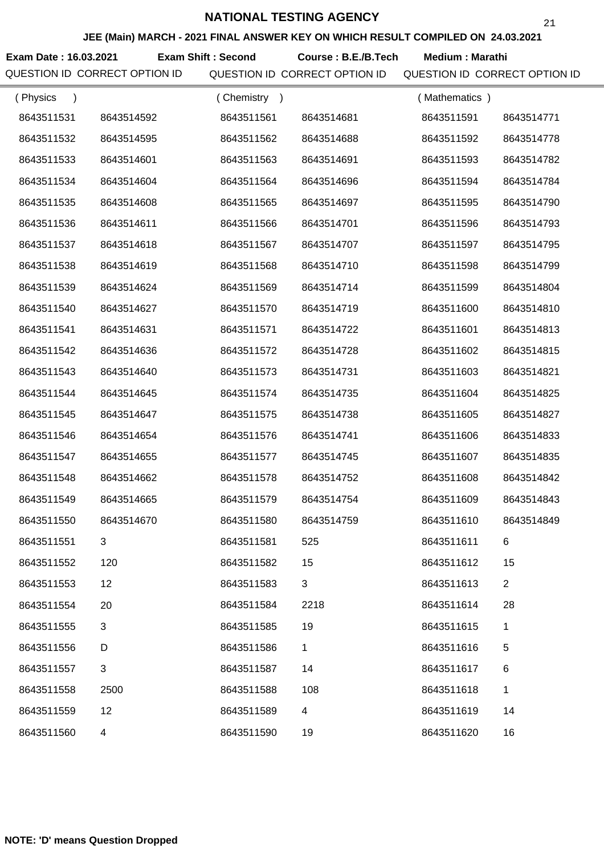**JEE (Main) MARCH - 2021 FINAL ANSWER KEY ON WHICH RESULT COMPILED ON 24.03.2021**

**Exam Date : 16.03.2021 Course : B.E./B.Tech Medium : Marathi Exam Shift : Second**

QUESTION ID CORRECT OPTION ID QUESTION ID CORRECT OPTION ID QUESTION ID CORRECT OPTION ID

| (Physics   |                | (Chemistry) |                          | (Mathematics) |                |
|------------|----------------|-------------|--------------------------|---------------|----------------|
| 8643511531 | 8643514592     | 8643511561  | 8643514681               | 8643511591    | 8643514771     |
| 8643511532 | 8643514595     | 8643511562  | 8643514688               | 8643511592    | 8643514778     |
| 8643511533 | 8643514601     | 8643511563  | 8643514691               | 8643511593    | 8643514782     |
| 8643511534 | 8643514604     | 8643511564  | 8643514696               | 8643511594    | 8643514784     |
| 8643511535 | 8643514608     | 8643511565  | 8643514697               | 8643511595    | 8643514790     |
| 8643511536 | 8643514611     | 8643511566  | 8643514701               | 8643511596    | 8643514793     |
| 8643511537 | 8643514618     | 8643511567  | 8643514707               | 8643511597    | 8643514795     |
| 8643511538 | 8643514619     | 8643511568  | 8643514710               | 8643511598    | 8643514799     |
| 8643511539 | 8643514624     | 8643511569  | 8643514714               | 8643511599    | 8643514804     |
| 8643511540 | 8643514627     | 8643511570  | 8643514719               | 8643511600    | 8643514810     |
| 8643511541 | 8643514631     | 8643511571  | 8643514722               | 8643511601    | 8643514813     |
| 8643511542 | 8643514636     | 8643511572  | 8643514728               | 8643511602    | 8643514815     |
| 8643511543 | 8643514640     | 8643511573  | 8643514731               | 8643511603    | 8643514821     |
| 8643511544 | 8643514645     | 8643511574  | 8643514735               | 8643511604    | 8643514825     |
| 8643511545 | 8643514647     | 8643511575  | 8643514738               | 8643511605    | 8643514827     |
| 8643511546 | 8643514654     | 8643511576  | 8643514741               | 8643511606    | 8643514833     |
| 8643511547 | 8643514655     | 8643511577  | 8643514745               | 8643511607    | 8643514835     |
| 8643511548 | 8643514662     | 8643511578  | 8643514752               | 8643511608    | 8643514842     |
| 8643511549 | 8643514665     | 8643511579  | 8643514754               | 8643511609    | 8643514843     |
| 8643511550 | 8643514670     | 8643511580  | 8643514759               | 8643511610    | 8643514849     |
| 8643511551 |                | 8643511581  | 525                      | 8643511611    |                |
| 8643511552 | 120            | 8643511582  | 15                       | 8643511612    | 15             |
| 8643511553 | 12             | 8643511583  | 3                        | 8643511613    | $\overline{2}$ |
| 8643511554 | 20             | 8643511584  | 2218                     | 8643511614    | 28             |
| 8643511555 | 3              | 8643511585  | 19                       | 8643511615    | 1              |
| 8643511556 | D              | 8643511586  | $\mathbf 1$              | 8643511616    | 5              |
| 8643511557 | $\mathfrak{S}$ | 8643511587  | 14                       | 8643511617    | 6              |
| 8643511558 | 2500           | 8643511588  | 108                      | 8643511618    | 1              |
| 8643511559 | 12             | 8643511589  | $\overline{\mathcal{A}}$ | 8643511619    | 14             |
| 8643511560 | 4              | 8643511590  | 19                       | 8643511620    | 16             |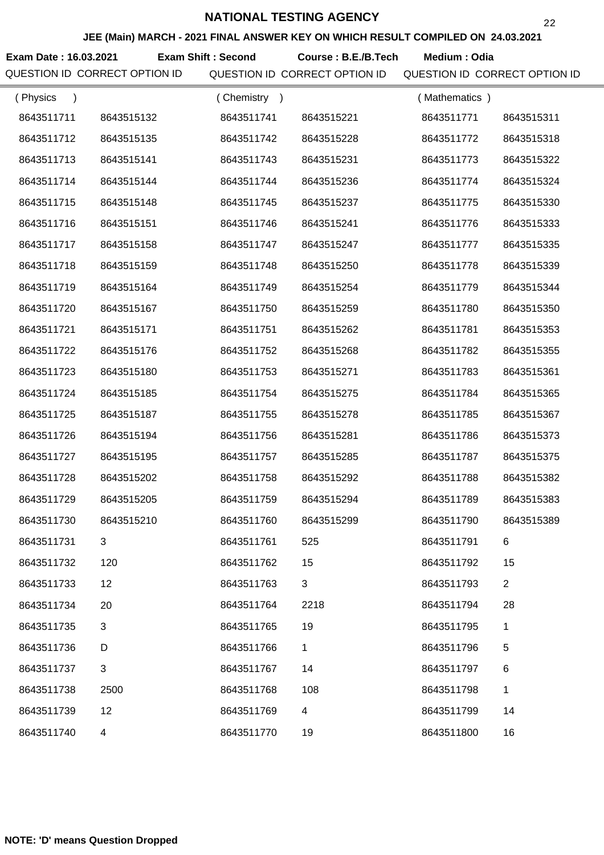**JEE (Main) MARCH - 2021 FINAL ANSWER KEY ON WHICH RESULT COMPILED ON 24.03.2021**

**Exam Date : 16.03.2021 Exam Shift : Second Course : B.E./B.Tech Medium : Odia** 

| (Physics   |            | (Chemistry<br>$\rightarrow$ |            | (Mathematics) |                |
|------------|------------|-----------------------------|------------|---------------|----------------|
| 8643511711 | 8643515132 | 8643511741                  | 8643515221 | 8643511771    | 8643515311     |
| 8643511712 | 8643515135 | 8643511742                  | 8643515228 | 8643511772    | 8643515318     |
| 8643511713 | 8643515141 | 8643511743                  | 8643515231 | 8643511773    | 8643515322     |
| 8643511714 | 8643515144 | 8643511744                  | 8643515236 | 8643511774    | 8643515324     |
| 8643511715 | 8643515148 | 8643511745                  | 8643515237 | 8643511775    | 8643515330     |
| 8643511716 | 8643515151 | 8643511746                  | 8643515241 | 8643511776    | 8643515333     |
| 8643511717 | 8643515158 | 8643511747                  | 8643515247 | 8643511777    | 8643515335     |
| 8643511718 | 8643515159 | 8643511748                  | 8643515250 | 8643511778    | 8643515339     |
| 8643511719 | 8643515164 | 8643511749                  | 8643515254 | 8643511779    | 8643515344     |
| 8643511720 | 8643515167 | 8643511750                  | 8643515259 | 8643511780    | 8643515350     |
| 8643511721 | 8643515171 | 8643511751                  | 8643515262 | 8643511781    | 8643515353     |
| 8643511722 | 8643515176 | 8643511752                  | 8643515268 | 8643511782    | 8643515355     |
| 8643511723 | 8643515180 | 8643511753                  | 8643515271 | 8643511783    | 8643515361     |
| 8643511724 | 8643515185 | 8643511754                  | 8643515275 | 8643511784    | 8643515365     |
| 8643511725 | 8643515187 | 8643511755                  | 8643515278 | 8643511785    | 8643515367     |
| 8643511726 | 8643515194 | 8643511756                  | 8643515281 | 8643511786    | 8643515373     |
| 8643511727 | 8643515195 | 8643511757                  | 8643515285 | 8643511787    | 8643515375     |
| 8643511728 | 8643515202 | 8643511758                  | 8643515292 | 8643511788    | 8643515382     |
| 8643511729 | 8643515205 | 8643511759                  | 8643515294 | 8643511789    | 8643515383     |
| 8643511730 | 8643515210 | 8643511760                  | 8643515299 | 8643511790    | 8643515389     |
| 8643511731 |            | 8643511761                  | 525        | 8643511791    |                |
| 8643511732 | 120        | 8643511762                  | 15         | 8643511792    | 15             |
| 8643511733 | 12         | 8643511763                  | 3          | 8643511793    | $\overline{2}$ |
| 8643511734 | 20         | 8643511764                  | 2218       | 8643511794    | 28             |
| 8643511735 | 3          | 8643511765                  | 19         | 8643511795    | $\mathbf{1}$   |
| 8643511736 | D          | 8643511766                  | 1          | 8643511796    | 5              |
| 8643511737 | 3          | 8643511767                  | 14         | 8643511797    | 6              |
| 8643511738 | 2500       | 8643511768                  | 108        | 8643511798    | $\mathbf{1}$   |
| 8643511739 | 12         | 8643511769                  | 4          | 8643511799    | 14             |
| 8643511740 | 4          | 8643511770                  | 19         | 8643511800    | 16             |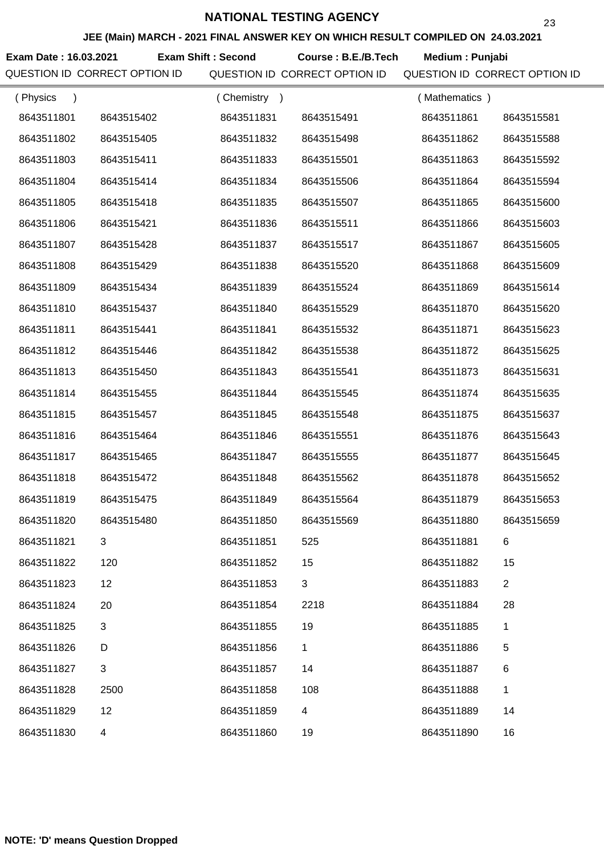**JEE (Main) MARCH - 2021 FINAL ANSWER KEY ON WHICH RESULT COMPILED ON 24.03.2021**

**Exam Date : 16.03.2021 Course : B.E./B.Tech Medium : Punjabi Exam Shift : Second**

| (Physics<br>$\lambda$ |            | (Chemistry<br>$\rightarrow$ |             | (Mathematics) |                |
|-----------------------|------------|-----------------------------|-------------|---------------|----------------|
| 8643511801            | 8643515402 | 8643511831                  | 8643515491  | 8643511861    | 8643515581     |
| 8643511802            | 8643515405 | 8643511832                  | 8643515498  | 8643511862    | 8643515588     |
| 8643511803            | 8643515411 | 8643511833                  | 8643515501  | 8643511863    | 8643515592     |
| 8643511804            | 8643515414 | 8643511834                  | 8643515506  | 8643511864    | 8643515594     |
| 8643511805            | 8643515418 | 8643511835                  | 8643515507  | 8643511865    | 8643515600     |
| 8643511806            | 8643515421 | 8643511836                  | 8643515511  | 8643511866    | 8643515603     |
| 8643511807            | 8643515428 | 8643511837                  | 8643515517  | 8643511867    | 8643515605     |
| 8643511808            | 8643515429 | 8643511838                  | 8643515520  | 8643511868    | 8643515609     |
| 8643511809            | 8643515434 | 8643511839                  | 8643515524  | 8643511869    | 8643515614     |
| 8643511810            | 8643515437 | 8643511840                  | 8643515529  | 8643511870    | 8643515620     |
| 8643511811            | 8643515441 | 8643511841                  | 8643515532  | 8643511871    | 8643515623     |
| 8643511812            | 8643515446 | 8643511842                  | 8643515538  | 8643511872    | 8643515625     |
| 8643511813            | 8643515450 | 8643511843                  | 8643515541  | 8643511873    | 8643515631     |
| 8643511814            | 8643515455 | 8643511844                  | 8643515545  | 8643511874    | 8643515635     |
| 8643511815            | 8643515457 | 8643511845                  | 8643515548  | 8643511875    | 8643515637     |
| 8643511816            | 8643515464 | 8643511846                  | 8643515551  | 8643511876    | 8643515643     |
| 8643511817            | 8643515465 | 8643511847                  | 8643515555  | 8643511877    | 8643515645     |
| 8643511818            | 8643515472 | 8643511848                  | 8643515562  | 8643511878    | 8643515652     |
| 8643511819            | 8643515475 | 8643511849                  | 8643515564  | 8643511879    | 8643515653     |
| 8643511820            | 8643515480 | 8643511850                  | 8643515569  | 8643511880    | 8643515659     |
| 8643511821            |            | 8643511851                  | 525         | 8643511881    |                |
| 8643511822            | 120        | 8643511852                  | 15          | 8643511882    | 15             |
| 8643511823            | 12         | 8643511853                  | 3           | 8643511883    | $\overline{c}$ |
| 8643511824            | 20         | 8643511854                  | 2218        | 8643511884    | 28             |
| 8643511825            | 3          | 8643511855                  | 19          | 8643511885    | 1              |
| 8643511826            | D          | 8643511856                  | $\mathbf 1$ | 8643511886    | 5              |
| 8643511827            | $\sqrt{3}$ | 8643511857                  | 14          | 8643511887    | 6              |
| 8643511828            | 2500       | 8643511858                  | 108         | 8643511888    | 1              |
| 8643511829            | 12         | 8643511859                  | 4           | 8643511889    | 14             |
| 8643511830            | 4          | 8643511860                  | 19          | 8643511890    | 16             |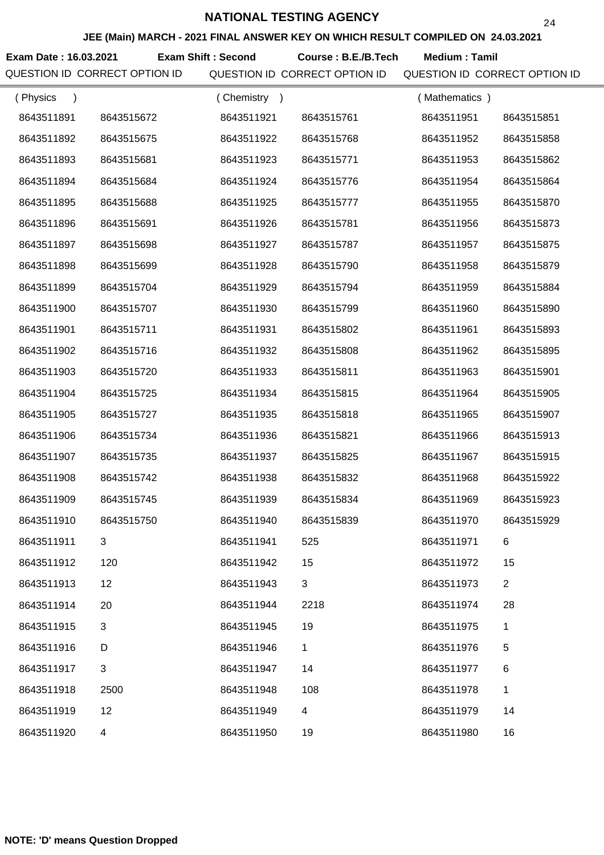**JEE (Main) MARCH - 2021 FINAL ANSWER KEY ON WHICH RESULT COMPILED ON 24.03.2021**

**Exam Date : 16.03.2021 Exam Shift : Second Course : B.E./B.Tech Medium : Tamil** 

| (Physics<br>$\lambda$ |                | (Chemistry) |            | (Mathematics) |                |
|-----------------------|----------------|-------------|------------|---------------|----------------|
| 8643511891            | 8643515672     | 8643511921  | 8643515761 | 8643511951    | 8643515851     |
| 8643511892            | 8643515675     | 8643511922  | 8643515768 | 8643511952    | 8643515858     |
| 8643511893            | 8643515681     | 8643511923  | 8643515771 | 8643511953    | 8643515862     |
| 8643511894            | 8643515684     | 8643511924  | 8643515776 | 8643511954    | 8643515864     |
| 8643511895            | 8643515688     | 8643511925  | 8643515777 | 8643511955    | 8643515870     |
| 8643511896            | 8643515691     | 8643511926  | 8643515781 | 8643511956    | 8643515873     |
| 8643511897            | 8643515698     | 8643511927  | 8643515787 | 8643511957    | 8643515875     |
| 8643511898            | 8643515699     | 8643511928  | 8643515790 | 8643511958    | 8643515879     |
| 8643511899            | 8643515704     | 8643511929  | 8643515794 | 8643511959    | 8643515884     |
| 8643511900            | 8643515707     | 8643511930  | 8643515799 | 8643511960    | 8643515890     |
| 8643511901            | 8643515711     | 8643511931  | 8643515802 | 8643511961    | 8643515893     |
| 8643511902            | 8643515716     | 8643511932  | 8643515808 | 8643511962    | 8643515895     |
| 8643511903            | 8643515720     | 8643511933  | 8643515811 | 8643511963    | 8643515901     |
| 8643511904            | 8643515725     | 8643511934  | 8643515815 | 8643511964    | 8643515905     |
| 8643511905            | 8643515727     | 8643511935  | 8643515818 | 8643511965    | 8643515907     |
| 8643511906            | 8643515734     | 8643511936  | 8643515821 | 8643511966    | 8643515913     |
| 8643511907            | 8643515735     | 8643511937  | 8643515825 | 8643511967    | 8643515915     |
| 8643511908            | 8643515742     | 8643511938  | 8643515832 | 8643511968    | 8643515922     |
| 8643511909            | 8643515745     | 8643511939  | 8643515834 | 8643511969    | 8643515923     |
| 8643511910            | 8643515750     | 8643511940  | 8643515839 | 8643511970    | 8643515929     |
| 8643511911            | 3              | 8643511941  | 525        | 8643511971    | 6              |
| 8643511912            | 120            | 8643511942  | 15         | 8643511972    | 15             |
| 8643511913            | 12             | 8643511943  | 3          | 8643511973    | $\overline{2}$ |
| 8643511914            | 20             | 8643511944  | 2218       | 8643511974    | 28             |
| 8643511915            | 3              | 8643511945  | 19         | 8643511975    | $\mathbf{1}$   |
| 8643511916            | D              | 8643511946  | 1          | 8643511976    | 5              |
| 8643511917            | $\mathfrak{B}$ | 8643511947  | 14         | 8643511977    | 6              |
| 8643511918            | 2500           | 8643511948  | 108        | 8643511978    | 1              |
| 8643511919            | 12             | 8643511949  | 4          | 8643511979    | 14             |
| 8643511920            | 4              | 8643511950  | 19         | 8643511980    | 16             |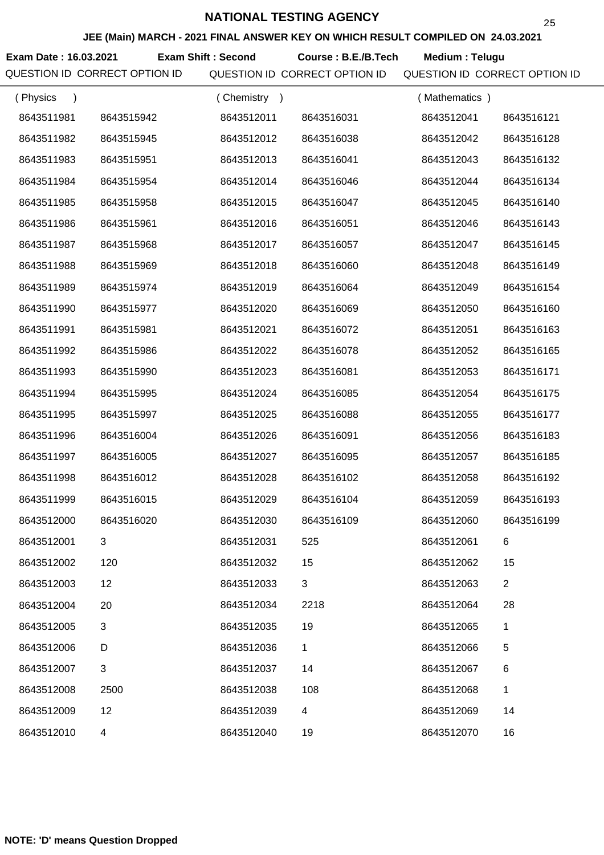**JEE (Main) MARCH - 2021 FINAL ANSWER KEY ON WHICH RESULT COMPILED ON 24.03.2021**

**Exam Date : 16.03.2021 Course : B.E./B.Tech Medium : Telugu Exam Shift : Second**

| (Physics<br>$\lambda$ |                | (Chemistry<br>$\rightarrow$ |            | (Mathematics) |                |
|-----------------------|----------------|-----------------------------|------------|---------------|----------------|
| 8643511981            | 8643515942     | 8643512011                  | 8643516031 | 8643512041    | 8643516121     |
| 8643511982            | 8643515945     | 8643512012                  | 8643516038 | 8643512042    | 8643516128     |
| 8643511983            | 8643515951     | 8643512013                  | 8643516041 | 8643512043    | 8643516132     |
| 8643511984            | 8643515954     | 8643512014                  | 8643516046 | 8643512044    | 8643516134     |
| 8643511985            | 8643515958     | 8643512015                  | 8643516047 | 8643512045    | 8643516140     |
| 8643511986            | 8643515961     | 8643512016                  | 8643516051 | 8643512046    | 8643516143     |
| 8643511987            | 8643515968     | 8643512017                  | 8643516057 | 8643512047    | 8643516145     |
| 8643511988            | 8643515969     | 8643512018                  | 8643516060 | 8643512048    | 8643516149     |
| 8643511989            | 8643515974     | 8643512019                  | 8643516064 | 8643512049    | 8643516154     |
| 8643511990            | 8643515977     | 8643512020                  | 8643516069 | 8643512050    | 8643516160     |
| 8643511991            | 8643515981     | 8643512021                  | 8643516072 | 8643512051    | 8643516163     |
| 8643511992            | 8643515986     | 8643512022                  | 8643516078 | 8643512052    | 8643516165     |
| 8643511993            | 8643515990     | 8643512023                  | 8643516081 | 8643512053    | 8643516171     |
| 8643511994            | 8643515995     | 8643512024                  | 8643516085 | 8643512054    | 8643516175     |
| 8643511995            | 8643515997     | 8643512025                  | 8643516088 | 8643512055    | 8643516177     |
| 8643511996            | 8643516004     | 8643512026                  | 8643516091 | 8643512056    | 8643516183     |
| 8643511997            | 8643516005     | 8643512027                  | 8643516095 | 8643512057    | 8643516185     |
| 8643511998            | 8643516012     | 8643512028                  | 8643516102 | 8643512058    | 8643516192     |
| 8643511999            | 8643516015     | 8643512029                  | 8643516104 | 8643512059    | 8643516193     |
| 8643512000            | 8643516020     | 8643512030                  | 8643516109 | 8643512060    | 8643516199     |
| 8643512001            |                | 8643512031                  | 525        | 8643512061    |                |
| 8643512002            | 120            | 8643512032                  | 15         | 8643512062    | 15             |
| 8643512003            | 12             | 8643512033                  | 3          | 8643512063    | $\overline{2}$ |
| 8643512004            | 20             | 8643512034                  | 2218       | 8643512064    | 28             |
| 8643512005            | $\mathfrak{B}$ | 8643512035                  | 19         | 8643512065    | 1              |
| 8643512006            | D              | 8643512036                  | 1          | 8643512066    | 5              |
| 8643512007            | 3              | 8643512037                  | 14         | 8643512067    | 6              |
| 8643512008            | 2500           | 8643512038                  | 108        | 8643512068    | 1              |
| 8643512009            | 12             | 8643512039                  | 4          | 8643512069    | 14             |
| 8643512010            | 4              | 8643512040                  | 19         | 8643512070    | 16             |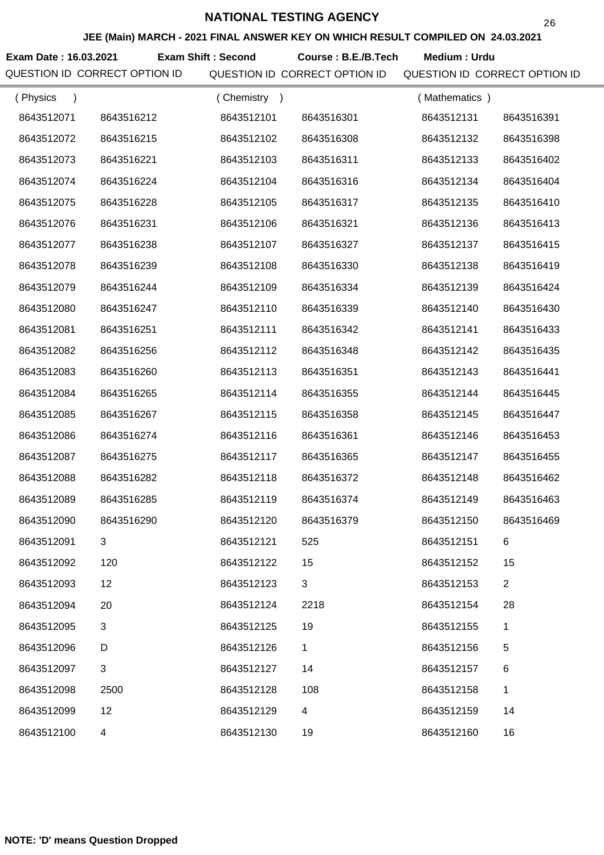**JEE (Main) MARCH - 2021 FINAL ANSWER KEY ON WHICH RESULT COMPILED ON 24.03.2021**

**Exam Date : 16.03.2021 Exam Shift : Second Course : B.E./B.Tech Medium : Urdu** 

| (Physics<br>$\lambda$ |            | (Chemistry)<br>$\rightarrow$ |            | (Mathematics) |                |
|-----------------------|------------|------------------------------|------------|---------------|----------------|
| 8643512071            | 8643516212 | 8643512101                   | 8643516301 | 8643512131    | 8643516391     |
| 8643512072            | 8643516215 | 8643512102                   | 8643516308 | 8643512132    | 8643516398     |
| 8643512073            | 8643516221 | 8643512103                   | 8643516311 | 8643512133    | 8643516402     |
| 8643512074            | 8643516224 | 8643512104                   | 8643516316 | 8643512134    | 8643516404     |
| 8643512075            | 8643516228 | 8643512105                   | 8643516317 | 8643512135    | 8643516410     |
| 8643512076            | 8643516231 | 8643512106                   | 8643516321 | 8643512136    | 8643516413     |
| 8643512077            | 8643516238 | 8643512107                   | 8643516327 | 8643512137    | 8643516415     |
| 8643512078            | 8643516239 | 8643512108                   | 8643516330 | 8643512138    | 8643516419     |
| 8643512079            | 8643516244 | 8643512109                   | 8643516334 | 8643512139    | 8643516424     |
| 8643512080            | 8643516247 | 8643512110                   | 8643516339 | 8643512140    | 8643516430     |
| 8643512081            | 8643516251 | 8643512111                   | 8643516342 | 8643512141    | 8643516433     |
| 8643512082            | 8643516256 | 8643512112                   | 8643516348 | 8643512142    | 8643516435     |
| 8643512083            | 8643516260 | 8643512113                   | 8643516351 | 8643512143    | 8643516441     |
| 8643512084            | 8643516265 | 8643512114                   | 8643516355 | 8643512144    | 8643516445     |
| 8643512085            | 8643516267 | 8643512115                   | 8643516358 | 8643512145    | 8643516447     |
| 8643512086            | 8643516274 | 8643512116                   | 8643516361 | 8643512146    | 8643516453     |
| 8643512087            | 8643516275 | 8643512117                   | 8643516365 | 8643512147    | 8643516455     |
| 8643512088            | 8643516282 | 8643512118                   | 8643516372 | 8643512148    | 8643516462     |
| 8643512089            | 8643516285 | 8643512119                   | 8643516374 | 8643512149    | 8643516463     |
| 8643512090            | 8643516290 | 8643512120                   | 8643516379 | 8643512150    | 8643516469     |
| 8643512091            |            | 8643512121                   | 525        | 8643512151    | 6              |
| 8643512092            | 120        | 8643512122                   | 15         | 8643512152    | 15             |
| 8643512093            | 12         | 8643512123                   | 3          | 8643512153    | $\overline{2}$ |
| 8643512094            | 20         | 8643512124                   | 2218       | 8643512154    | 28             |
| 8643512095            | 3          | 8643512125                   | 19         | 8643512155    | 1              |
| 8643512096            | D          | 8643512126                   | 1          | 8643512156    | 5              |
| 8643512097            | 3          | 8643512127                   | 14         | 8643512157    | 6              |
| 8643512098            | 2500       | 8643512128                   | 108        | 8643512158    | 1              |
| 8643512099            | 12         | 8643512129                   | 4          | 8643512159    | 14             |
| 8643512100            | 4          | 8643512130                   | 19         | 8643512160    | 16             |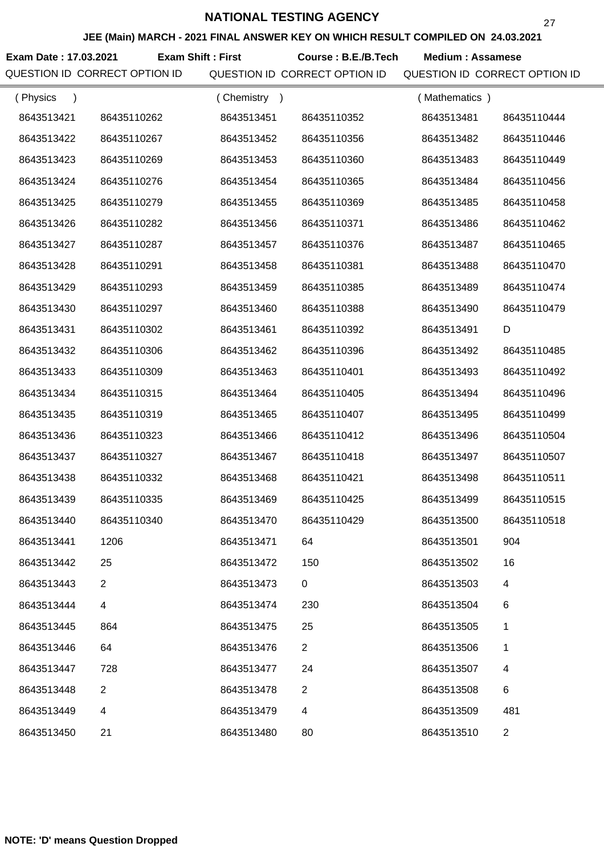**JEE (Main) MARCH - 2021 FINAL ANSWER KEY ON WHICH RESULT COMPILED ON 24.03.2021**

**Exam Date : 17.03.2021 Course : B.E./B.Tech Medium : Assamese Exam Shift : First**

| (Physics   |                | (Chemistry) |                | (Mathematics) |                |
|------------|----------------|-------------|----------------|---------------|----------------|
| 8643513421 | 86435110262    | 8643513451  | 86435110352    | 8643513481    | 86435110444    |
| 8643513422 | 86435110267    | 8643513452  | 86435110356    | 8643513482    | 86435110446    |
| 8643513423 | 86435110269    | 8643513453  | 86435110360    | 8643513483    | 86435110449    |
| 8643513424 | 86435110276    | 8643513454  | 86435110365    | 8643513484    | 86435110456    |
| 8643513425 | 86435110279    | 8643513455  | 86435110369    | 8643513485    | 86435110458    |
| 8643513426 | 86435110282    | 8643513456  | 86435110371    | 8643513486    | 86435110462    |
| 8643513427 | 86435110287    | 8643513457  | 86435110376    | 8643513487    | 86435110465    |
| 8643513428 | 86435110291    | 8643513458  | 86435110381    | 8643513488    | 86435110470    |
| 8643513429 | 86435110293    | 8643513459  | 86435110385    | 8643513489    | 86435110474    |
| 8643513430 | 86435110297    | 8643513460  | 86435110388    | 8643513490    | 86435110479    |
| 8643513431 | 86435110302    | 8643513461  | 86435110392    | 8643513491    | D              |
| 8643513432 | 86435110306    | 8643513462  | 86435110396    | 8643513492    | 86435110485    |
| 8643513433 | 86435110309    | 8643513463  | 86435110401    | 8643513493    | 86435110492    |
| 8643513434 | 86435110315    | 8643513464  | 86435110405    | 8643513494    | 86435110496    |
| 8643513435 | 86435110319    | 8643513465  | 86435110407    | 8643513495    | 86435110499    |
| 8643513436 | 86435110323    | 8643513466  | 86435110412    | 8643513496    | 86435110504    |
| 8643513437 | 86435110327    | 8643513467  | 86435110418    | 8643513497    | 86435110507    |
| 8643513438 | 86435110332    | 8643513468  | 86435110421    | 8643513498    | 86435110511    |
| 8643513439 | 86435110335    | 8643513469  | 86435110425    | 8643513499    | 86435110515    |
| 8643513440 | 86435110340    | 8643513470  | 86435110429    | 8643513500    | 86435110518    |
| 8643513441 | 1206           | 8643513471  | 64             | 8643513501    | 904            |
| 8643513442 | 25             | 8643513472  | 150            | 8643513502    | 16             |
| 8643513443 | $\overline{2}$ | 8643513473  | 0              | 8643513503    | 4              |
| 8643513444 | 4              | 8643513474  | 230            | 8643513504    | 6              |
| 8643513445 | 864            | 8643513475  | 25             | 8643513505    | 1              |
| 8643513446 | 64             | 8643513476  | $\overline{2}$ | 8643513506    | 1              |
| 8643513447 | 728            | 8643513477  | 24             | 8643513507    | 4              |
| 8643513448 | $\overline{2}$ | 8643513478  | $\overline{2}$ | 8643513508    | 6              |
| 8643513449 | 4              | 8643513479  | 4              | 8643513509    | 481            |
| 8643513450 | 21             | 8643513480  | 80             | 8643513510    | $\overline{c}$ |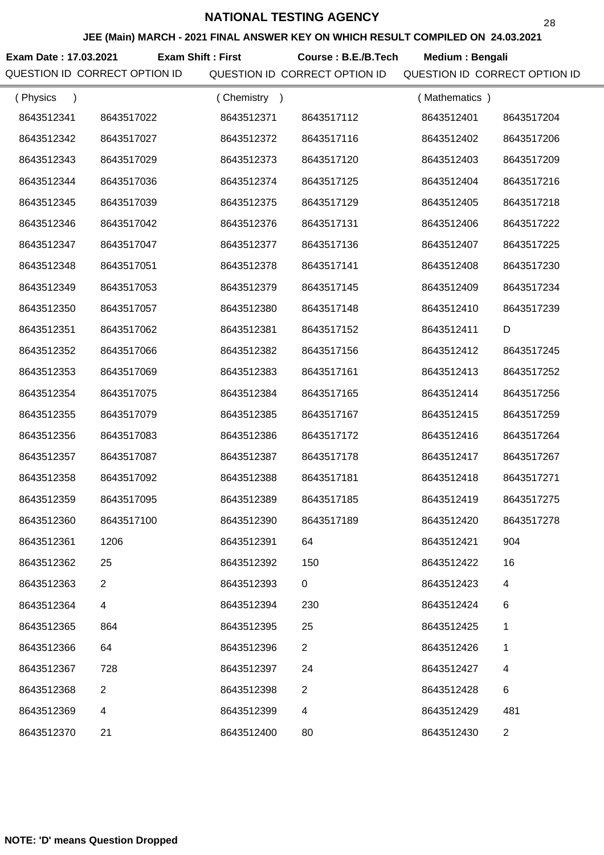**JEE (Main) MARCH - 2021 FINAL ANSWER KEY ON WHICH RESULT COMPILED ON 24.03.2021**

**Exam Date : 17.03.2021 Course : B.E./B.Tech Medium : Bengali Exam Shift : First**

| (Physics<br>$\lambda$ |                | (Chemistry<br>$\rightarrow$ |                | (Mathematics) |                |
|-----------------------|----------------|-----------------------------|----------------|---------------|----------------|
| 8643512341            | 8643517022     | 8643512371                  | 8643517112     | 8643512401    | 8643517204     |
| 8643512342            | 8643517027     | 8643512372                  | 8643517116     | 8643512402    | 8643517206     |
| 8643512343            | 8643517029     | 8643512373                  | 8643517120     | 8643512403    | 8643517209     |
| 8643512344            | 8643517036     | 8643512374                  | 8643517125     | 8643512404    | 8643517216     |
| 8643512345            | 8643517039     | 8643512375                  | 8643517129     | 8643512405    | 8643517218     |
| 8643512346            | 8643517042     | 8643512376                  | 8643517131     | 8643512406    | 8643517222     |
| 8643512347            | 8643517047     | 8643512377                  | 8643517136     | 8643512407    | 8643517225     |
| 8643512348            | 8643517051     | 8643512378                  | 8643517141     | 8643512408    | 8643517230     |
| 8643512349            | 8643517053     | 8643512379                  | 8643517145     | 8643512409    | 8643517234     |
| 8643512350            | 8643517057     | 8643512380                  | 8643517148     | 8643512410    | 8643517239     |
| 8643512351            | 8643517062     | 8643512381                  | 8643517152     | 8643512411    | D              |
| 8643512352            | 8643517066     | 8643512382                  | 8643517156     | 8643512412    | 8643517245     |
| 8643512353            | 8643517069     | 8643512383                  | 8643517161     | 8643512413    | 8643517252     |
| 8643512354            | 8643517075     | 8643512384                  | 8643517165     | 8643512414    | 8643517256     |
| 8643512355            | 8643517079     | 8643512385                  | 8643517167     | 8643512415    | 8643517259     |
| 8643512356            | 8643517083     | 8643512386                  | 8643517172     | 8643512416    | 8643517264     |
| 8643512357            | 8643517087     | 8643512387                  | 8643517178     | 8643512417    | 8643517267     |
| 8643512358            | 8643517092     | 8643512388                  | 8643517181     | 8643512418    | 8643517271     |
| 8643512359            | 8643517095     | 8643512389                  | 8643517185     | 8643512419    | 8643517275     |
| 8643512360            | 8643517100     | 8643512390                  | 8643517189     | 8643512420    | 8643517278     |
| 8643512361            | 1206           | 8643512391                  | 64             | 8643512421    | 904            |
| 8643512362            | 25             | 8643512392                  | 150            | 8643512422    | 16             |
| 8643512363            | $\overline{2}$ | 8643512393                  | 0              | 8643512423    | 4              |
| 8643512364            | 4              | 8643512394                  | 230            | 8643512424    | 6              |
| 8643512365            | 864            | 8643512395                  | 25             | 8643512425    | 1              |
| 8643512366            | 64             | 8643512396                  | $\overline{2}$ | 8643512426    | 1              |
| 8643512367            | 728            | 8643512397                  | 24             | 8643512427    | 4              |
| 8643512368            | 2              | 8643512398                  | 2              | 8643512428    | 6              |
| 8643512369            | 4              | 8643512399                  | 4              | 8643512429    | 481            |
| 8643512370            | 21             | 8643512400                  | 80             | 8643512430    | $\overline{c}$ |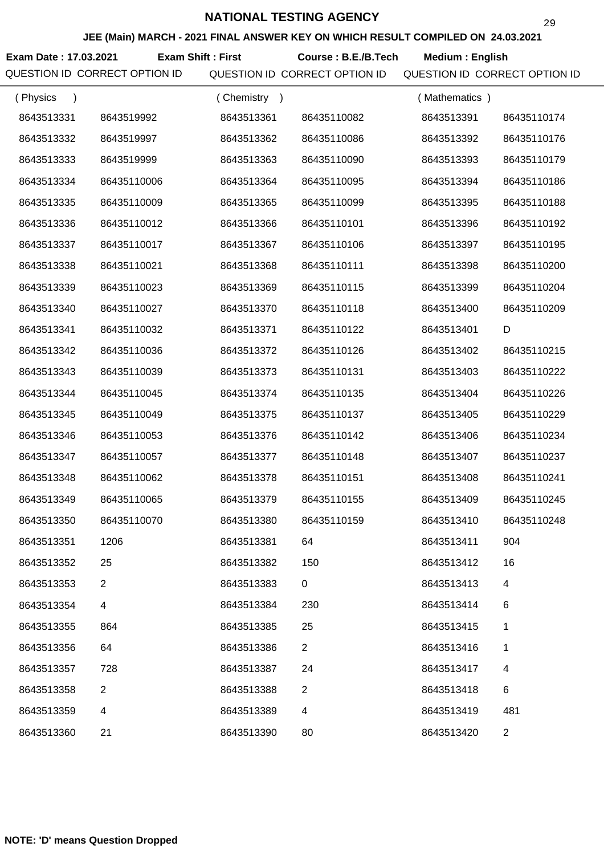**JEE (Main) MARCH - 2021 FINAL ANSWER KEY ON WHICH RESULT COMPILED ON 24.03.2021**

**Exam Date : 17.03.2021 Course : B.E./B.Tech Medium : English Exam Shift : First**

| (Physics<br>$\lambda$ |                | Chemistry<br>$\rightarrow$ |                | (Mathematics) |                |
|-----------------------|----------------|----------------------------|----------------|---------------|----------------|
| 8643513331            | 8643519992     | 8643513361                 | 86435110082    | 8643513391    | 86435110174    |
| 8643513332            | 8643519997     | 8643513362                 | 86435110086    | 8643513392    | 86435110176    |
| 8643513333            | 8643519999     | 8643513363                 | 86435110090    | 8643513393    | 86435110179    |
| 8643513334            | 86435110006    | 8643513364                 | 86435110095    | 8643513394    | 86435110186    |
| 8643513335            | 86435110009    | 8643513365                 | 86435110099    | 8643513395    | 86435110188    |
| 8643513336            | 86435110012    | 8643513366                 | 86435110101    | 8643513396    | 86435110192    |
| 8643513337            | 86435110017    | 8643513367                 | 86435110106    | 8643513397    | 86435110195    |
| 8643513338            | 86435110021    | 8643513368                 | 86435110111    | 8643513398    | 86435110200    |
| 8643513339            | 86435110023    | 8643513369                 | 86435110115    | 8643513399    | 86435110204    |
| 8643513340            | 86435110027    | 8643513370                 | 86435110118    | 8643513400    | 86435110209    |
| 8643513341            | 86435110032    | 8643513371                 | 86435110122    | 8643513401    | D              |
| 8643513342            | 86435110036    | 8643513372                 | 86435110126    | 8643513402    | 86435110215    |
| 8643513343            | 86435110039    | 8643513373                 | 86435110131    | 8643513403    | 86435110222    |
| 8643513344            | 86435110045    | 8643513374                 | 86435110135    | 8643513404    | 86435110226    |
| 8643513345            | 86435110049    | 8643513375                 | 86435110137    | 8643513405    | 86435110229    |
| 8643513346            | 86435110053    | 8643513376                 | 86435110142    | 8643513406    | 86435110234    |
| 8643513347            | 86435110057    | 8643513377                 | 86435110148    | 8643513407    | 86435110237    |
| 8643513348            | 86435110062    | 8643513378                 | 86435110151    | 8643513408    | 86435110241    |
| 8643513349            | 86435110065    | 8643513379                 | 86435110155    | 8643513409    | 86435110245    |
| 8643513350            | 86435110070    | 8643513380                 | 86435110159    | 8643513410    | 86435110248    |
| 8643513351            | 1206           | 8643513381                 | 64             | 8643513411    | 904            |
| 8643513352            | 25             | 8643513382                 | 150            | 8643513412    | 16             |
| 8643513353            | $\overline{2}$ | 8643513383                 | 0              | 8643513413    | 4              |
| 8643513354            | 4              | 8643513384                 | 230            | 8643513414    | 6              |
| 8643513355            | 864            | 8643513385                 | 25             | 8643513415    | 1              |
| 8643513356            | 64             | 8643513386                 | $\overline{2}$ | 8643513416    | 1              |
| 8643513357            | 728            | 8643513387                 | 24             | 8643513417    | 4              |
| 8643513358            | 2              | 8643513388                 | $\overline{2}$ | 8643513418    | 6              |
| 8643513359            | 4              | 8643513389                 | 4              | 8643513419    | 481            |
| 8643513360            | 21             | 8643513390                 | 80             | 8643513420    | $\overline{a}$ |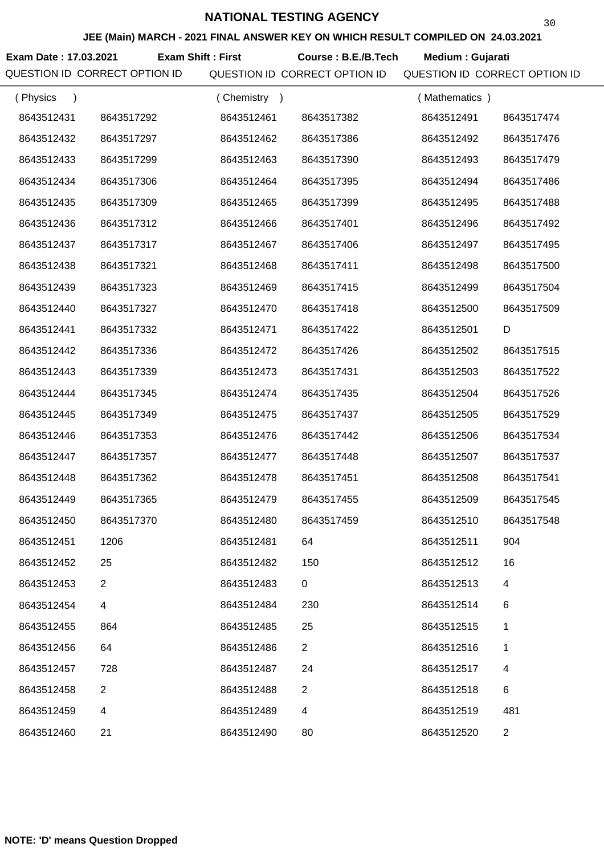**JEE (Main) MARCH - 2021 FINAL ANSWER KEY ON WHICH RESULT COMPILED ON 24.03.2021**

**Exam Date : 17.03.2021 Exam Shift : First Course : B.E./B.Tech Medium : Gujarati** 

| (Physics<br>$\lambda$ |                | (Chemistry)<br>$\rightarrow$ |                | (Mathematics) |                |
|-----------------------|----------------|------------------------------|----------------|---------------|----------------|
| 8643512431            | 8643517292     | 8643512461                   | 8643517382     | 8643512491    | 8643517474     |
| 8643512432            | 8643517297     | 8643512462                   | 8643517386     | 8643512492    | 8643517476     |
| 8643512433            | 8643517299     | 8643512463                   | 8643517390     | 8643512493    | 8643517479     |
| 8643512434            | 8643517306     | 8643512464                   | 8643517395     | 8643512494    | 8643517486     |
| 8643512435            | 8643517309     | 8643512465                   | 8643517399     | 8643512495    | 8643517488     |
| 8643512436            | 8643517312     | 8643512466                   | 8643517401     | 8643512496    | 8643517492     |
| 8643512437            | 8643517317     | 8643512467                   | 8643517406     | 8643512497    | 8643517495     |
| 8643512438            | 8643517321     | 8643512468                   | 8643517411     | 8643512498    | 8643517500     |
| 8643512439            | 8643517323     | 8643512469                   | 8643517415     | 8643512499    | 8643517504     |
| 8643512440            | 8643517327     | 8643512470                   | 8643517418     | 8643512500    | 8643517509     |
| 8643512441            | 8643517332     | 8643512471                   | 8643517422     | 8643512501    | D              |
| 8643512442            | 8643517336     | 8643512472                   | 8643517426     | 8643512502    | 8643517515     |
| 8643512443            | 8643517339     | 8643512473                   | 8643517431     | 8643512503    | 8643517522     |
| 8643512444            | 8643517345     | 8643512474                   | 8643517435     | 8643512504    | 8643517526     |
| 8643512445            | 8643517349     | 8643512475                   | 8643517437     | 8643512505    | 8643517529     |
| 8643512446            | 8643517353     | 8643512476                   | 8643517442     | 8643512506    | 8643517534     |
| 8643512447            | 8643517357     | 8643512477                   | 8643517448     | 8643512507    | 8643517537     |
| 8643512448            | 8643517362     | 8643512478                   | 8643517451     | 8643512508    | 8643517541     |
| 8643512449            | 8643517365     | 8643512479                   | 8643517455     | 8643512509    | 8643517545     |
| 8643512450            | 8643517370     | 8643512480                   | 8643517459     | 8643512510    | 8643517548     |
| 8643512451            | 1206           | 8643512481                   | 64             | 8643512511    | 904            |
| 8643512452            | 25             | 8643512482                   | 150            | 8643512512    | 16             |
| 8643512453            | $\overline{2}$ | 8643512483                   | 0              | 8643512513    | 4              |
| 8643512454            | 4              | 8643512484                   | 230            | 8643512514    | 6              |
| 8643512455            | 864            | 8643512485                   | 25             | 8643512515    | 1              |
| 8643512456            | 64             | 8643512486                   | $\overline{2}$ | 8643512516    | 1              |
| 8643512457            | 728            | 8643512487                   | 24             | 8643512517    | 4              |
| 8643512458            | 2              | 8643512488                   | $\overline{2}$ | 8643512518    | 6              |
| 8643512459            | $\overline{4}$ | 8643512489                   | 4              | 8643512519    | 481            |
| 8643512460            | 21             | 8643512490                   | 80             | 8643512520    | $\overline{2}$ |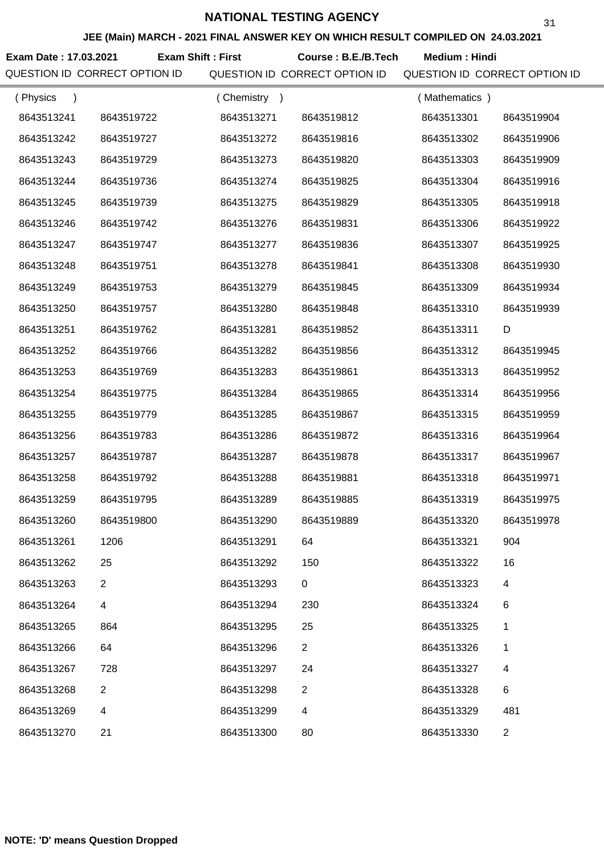**JEE (Main) MARCH - 2021 FINAL ANSWER KEY ON WHICH RESULT COMPILED ON 24.03.2021**

**Exam Date : 17.03.2021 Course : B.E./B.Tech Medium : Hindi Exam Shift : First**

| (Physics<br>$\lambda$ |                | (Chemistry) |                | (Mathematics) |                |
|-----------------------|----------------|-------------|----------------|---------------|----------------|
| 8643513241            | 8643519722     | 8643513271  | 8643519812     | 8643513301    | 8643519904     |
| 8643513242            | 8643519727     | 8643513272  | 8643519816     | 8643513302    | 8643519906     |
| 8643513243            | 8643519729     | 8643513273  | 8643519820     | 8643513303    | 8643519909     |
| 8643513244            | 8643519736     | 8643513274  | 8643519825     | 8643513304    | 8643519916     |
| 8643513245            | 8643519739     | 8643513275  | 8643519829     | 8643513305    | 8643519918     |
| 8643513246            | 8643519742     | 8643513276  | 8643519831     | 8643513306    | 8643519922     |
| 8643513247            | 8643519747     | 8643513277  | 8643519836     | 8643513307    | 8643519925     |
| 8643513248            | 8643519751     | 8643513278  | 8643519841     | 8643513308    | 8643519930     |
| 8643513249            | 8643519753     | 8643513279  | 8643519845     | 8643513309    | 8643519934     |
| 8643513250            | 8643519757     | 8643513280  | 8643519848     | 8643513310    | 8643519939     |
| 8643513251            | 8643519762     | 8643513281  | 8643519852     | 8643513311    | D              |
| 8643513252            | 8643519766     | 8643513282  | 8643519856     | 8643513312    | 8643519945     |
| 8643513253            | 8643519769     | 8643513283  | 8643519861     | 8643513313    | 8643519952     |
| 8643513254            | 8643519775     | 8643513284  | 8643519865     | 8643513314    | 8643519956     |
| 8643513255            | 8643519779     | 8643513285  | 8643519867     | 8643513315    | 8643519959     |
| 8643513256            | 8643519783     | 8643513286  | 8643519872     | 8643513316    | 8643519964     |
| 8643513257            | 8643519787     | 8643513287  | 8643519878     | 8643513317    | 8643519967     |
| 8643513258            | 8643519792     | 8643513288  | 8643519881     | 8643513318    | 8643519971     |
| 8643513259            | 8643519795     | 8643513289  | 8643519885     | 8643513319    | 8643519975     |
| 8643513260            | 8643519800     | 8643513290  | 8643519889     | 8643513320    | 8643519978     |
| 8643513261            | 1206           | 8643513291  | 64             | 8643513321    | 904            |
| 8643513262            | 25             | 8643513292  | 150            | 8643513322    | 16             |
| 8643513263            | $\overline{2}$ | 8643513293  | 0              | 8643513323    | 4              |
| 8643513264            | 4              | 8643513294  | 230            | 8643513324    | 6              |
| 8643513265            | 864            | 8643513295  | 25             | 8643513325    | 1              |
| 8643513266            | 64             | 8643513296  | $\overline{2}$ | 8643513326    | 1              |
| 8643513267            | 728            | 8643513297  | 24             | 8643513327    | 4              |
| 8643513268            | 2              | 8643513298  | $\overline{2}$ | 8643513328    | 6              |
| 8643513269            | 4              | 8643513299  | 4              | 8643513329    | 481            |
| 8643513270            | 21             | 8643513300  | 80             | 8643513330    | $\overline{2}$ |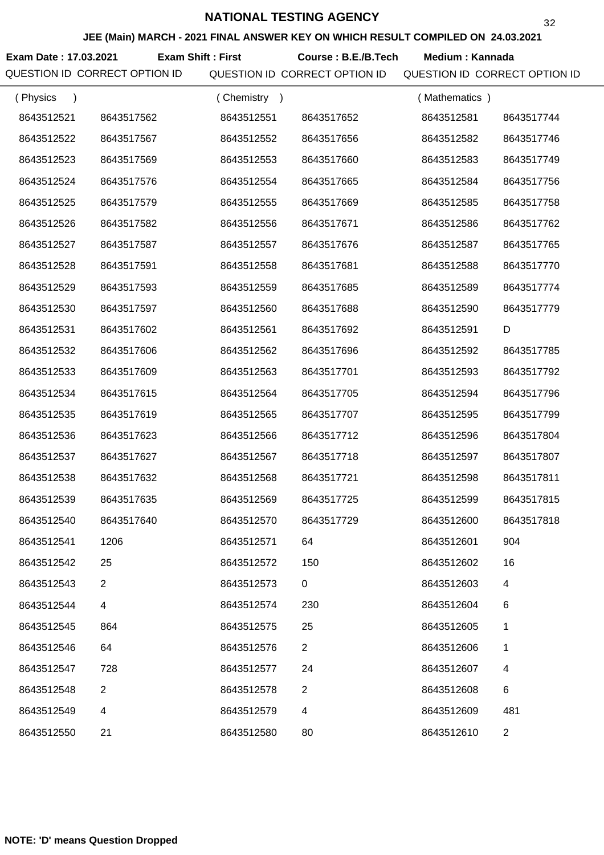**JEE (Main) MARCH - 2021 FINAL ANSWER KEY ON WHICH RESULT COMPILED ON 24.03.2021**

Exam Date : 17.03.2021 Exam Shift : First Course : B.E./B.Tech Medium : Kannada

| (Physics<br>$\lambda$ |                | (Chemistry<br>$\rightarrow$ |                | (Mathematics) |                |
|-----------------------|----------------|-----------------------------|----------------|---------------|----------------|
| 8643512521            | 8643517562     | 8643512551                  | 8643517652     | 8643512581    | 8643517744     |
| 8643512522            | 8643517567     | 8643512552                  | 8643517656     | 8643512582    | 8643517746     |
| 8643512523            | 8643517569     | 8643512553                  | 8643517660     | 8643512583    | 8643517749     |
| 8643512524            | 8643517576     | 8643512554                  | 8643517665     | 8643512584    | 8643517756     |
| 8643512525            | 8643517579     | 8643512555                  | 8643517669     | 8643512585    | 8643517758     |
| 8643512526            | 8643517582     | 8643512556                  | 8643517671     | 8643512586    | 8643517762     |
| 8643512527            | 8643517587     | 8643512557                  | 8643517676     | 8643512587    | 8643517765     |
| 8643512528            | 8643517591     | 8643512558                  | 8643517681     | 8643512588    | 8643517770     |
| 8643512529            | 8643517593     | 8643512559                  | 8643517685     | 8643512589    | 8643517774     |
| 8643512530            | 8643517597     | 8643512560                  | 8643517688     | 8643512590    | 8643517779     |
| 8643512531            | 8643517602     | 8643512561                  | 8643517692     | 8643512591    | D              |
| 8643512532            | 8643517606     | 8643512562                  | 8643517696     | 8643512592    | 8643517785     |
| 8643512533            | 8643517609     | 8643512563                  | 8643517701     | 8643512593    | 8643517792     |
| 8643512534            | 8643517615     | 8643512564                  | 8643517705     | 8643512594    | 8643517796     |
| 8643512535            | 8643517619     | 8643512565                  | 8643517707     | 8643512595    | 8643517799     |
| 8643512536            | 8643517623     | 8643512566                  | 8643517712     | 8643512596    | 8643517804     |
| 8643512537            | 8643517627     | 8643512567                  | 8643517718     | 8643512597    | 8643517807     |
| 8643512538            | 8643517632     | 8643512568                  | 8643517721     | 8643512598    | 8643517811     |
| 8643512539            | 8643517635     | 8643512569                  | 8643517725     | 8643512599    | 8643517815     |
| 8643512540            | 8643517640     | 8643512570                  | 8643517729     | 8643512600    | 8643517818     |
| 8643512541            | 1206           | 8643512571                  | 64             | 8643512601    | 904            |
| 8643512542            | 25             | 8643512572                  | 150            | 8643512602    | 16             |
| 8643512543            | $\overline{2}$ | 8643512573                  | $\mathbf 0$    | 8643512603    | 4              |
| 8643512544            | 4              | 8643512574                  | 230            | 8643512604    | 6              |
| 8643512545            | 864            | 8643512575                  | 25             | 8643512605    | 1              |
| 8643512546            | 64             | 8643512576                  | $\overline{2}$ | 8643512606    | 1              |
| 8643512547            | 728            | 8643512577                  | 24             | 8643512607    | 4              |
| 8643512548            | $\overline{2}$ | 8643512578                  | $\overline{2}$ | 8643512608    | 6              |
| 8643512549            | 4              | 8643512579                  | 4              | 8643512609    | 481            |
| 8643512550            | 21             | 8643512580                  | 80             | 8643512610    | $\overline{2}$ |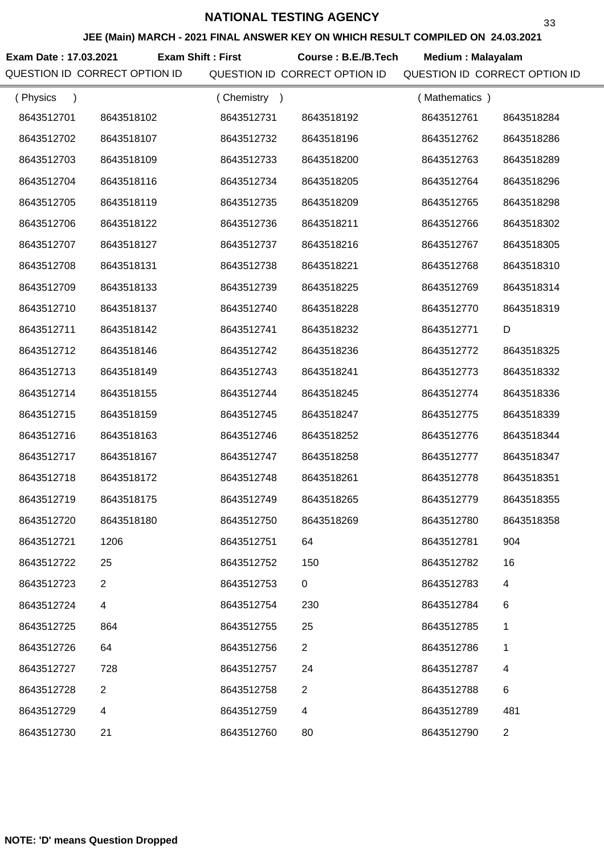**JEE (Main) MARCH - 2021 FINAL ANSWER KEY ON WHICH RESULT COMPILED ON 24.03.2021**

**Exam Date : 17.03.2021 Course : B.E./B.Tech Medium : Malayalam Exam Shift : First**

| (Physics<br>$\lambda$ |                | Chemistry ) |                | (Mathematics) |                |
|-----------------------|----------------|-------------|----------------|---------------|----------------|
| 8643512701            | 8643518102     | 8643512731  | 8643518192     | 8643512761    | 8643518284     |
| 8643512702            | 8643518107     | 8643512732  | 8643518196     | 8643512762    | 8643518286     |
| 8643512703            | 8643518109     | 8643512733  | 8643518200     | 8643512763    | 8643518289     |
| 8643512704            | 8643518116     | 8643512734  | 8643518205     | 8643512764    | 8643518296     |
| 8643512705            | 8643518119     | 8643512735  | 8643518209     | 8643512765    | 8643518298     |
| 8643512706            | 8643518122     | 8643512736  | 8643518211     | 8643512766    | 8643518302     |
| 8643512707            | 8643518127     | 8643512737  | 8643518216     | 8643512767    | 8643518305     |
| 8643512708            | 8643518131     | 8643512738  | 8643518221     | 8643512768    | 8643518310     |
| 8643512709            | 8643518133     | 8643512739  | 8643518225     | 8643512769    | 8643518314     |
| 8643512710            | 8643518137     | 8643512740  | 8643518228     | 8643512770    | 8643518319     |
| 8643512711            | 8643518142     | 8643512741  | 8643518232     | 8643512771    | D              |
| 8643512712            | 8643518146     | 8643512742  | 8643518236     | 8643512772    | 8643518325     |
| 8643512713            | 8643518149     | 8643512743  | 8643518241     | 8643512773    | 8643518332     |
| 8643512714            | 8643518155     | 8643512744  | 8643518245     | 8643512774    | 8643518336     |
| 8643512715            | 8643518159     | 8643512745  | 8643518247     | 8643512775    | 8643518339     |
| 8643512716            | 8643518163     | 8643512746  | 8643518252     | 8643512776    | 8643518344     |
| 8643512717            | 8643518167     | 8643512747  | 8643518258     | 8643512777    | 8643518347     |
| 8643512718            | 8643518172     | 8643512748  | 8643518261     | 8643512778    | 8643518351     |
| 8643512719            | 8643518175     | 8643512749  | 8643518265     | 8643512779    | 8643518355     |
| 8643512720            | 8643518180     | 8643512750  | 8643518269     | 8643512780    | 8643518358     |
| 8643512721            | 1206           | 8643512751  | 64             | 8643512781    | 904            |
| 8643512722            | 25             | 8643512752  | 150            | 8643512782    | 16             |
| 8643512723            | $\mathbf{2}$   | 8643512753  | 0              | 8643512783    | 4              |
| 8643512724            | $\overline{4}$ | 8643512754  | 230            | 8643512784    | 6              |
| 8643512725            | 864            | 8643512755  | 25             | 8643512785    | 1              |
| 8643512726            | 64             | 8643512756  | $\overline{2}$ | 8643512786    | 1              |
| 8643512727            | 728            | 8643512757  | 24             | 8643512787    | 4              |
| 8643512728            | 2              | 8643512758  | 2              | 8643512788    | 6              |
| 8643512729            | 4              | 8643512759  | 4              | 8643512789    | 481            |
| 8643512730            | 21             | 8643512760  | 80             | 8643512790    | $\overline{a}$ |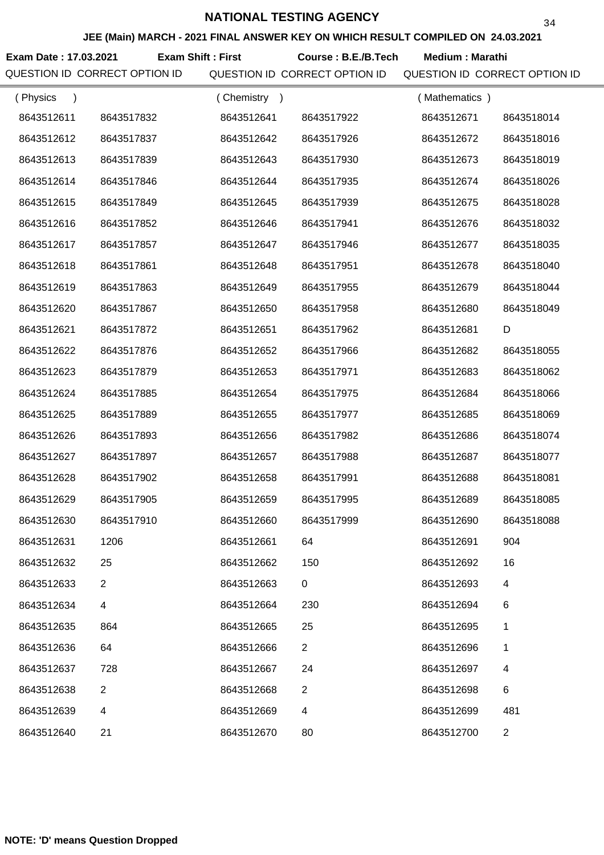**JEE (Main) MARCH - 2021 FINAL ANSWER KEY ON WHICH RESULT COMPILED ON 24.03.2021**

**Exam Date : 17.03.2021 Course : B.E./B.Tech Medium : Marathi Exam Shift : First**

| (Physics<br>$\lambda$ |                | Chemistry<br>$\rightarrow$ |                | (Mathematics) |                |
|-----------------------|----------------|----------------------------|----------------|---------------|----------------|
| 8643512611            | 8643517832     | 8643512641                 | 8643517922     | 8643512671    | 8643518014     |
| 8643512612            | 8643517837     | 8643512642                 | 8643517926     | 8643512672    | 8643518016     |
| 8643512613            | 8643517839     | 8643512643                 | 8643517930     | 8643512673    | 8643518019     |
| 8643512614            | 8643517846     | 8643512644                 | 8643517935     | 8643512674    | 8643518026     |
| 8643512615            | 8643517849     | 8643512645                 | 8643517939     | 8643512675    | 8643518028     |
| 8643512616            | 8643517852     | 8643512646                 | 8643517941     | 8643512676    | 8643518032     |
| 8643512617            | 8643517857     | 8643512647                 | 8643517946     | 8643512677    | 8643518035     |
| 8643512618            | 8643517861     | 8643512648                 | 8643517951     | 8643512678    | 8643518040     |
| 8643512619            | 8643517863     | 8643512649                 | 8643517955     | 8643512679    | 8643518044     |
| 8643512620            | 8643517867     | 8643512650                 | 8643517958     | 8643512680    | 8643518049     |
| 8643512621            | 8643517872     | 8643512651                 | 8643517962     | 8643512681    | D              |
| 8643512622            | 8643517876     | 8643512652                 | 8643517966     | 8643512682    | 8643518055     |
| 8643512623            | 8643517879     | 8643512653                 | 8643517971     | 8643512683    | 8643518062     |
| 8643512624            | 8643517885     | 8643512654                 | 8643517975     | 8643512684    | 8643518066     |
| 8643512625            | 8643517889     | 8643512655                 | 8643517977     | 8643512685    | 8643518069     |
| 8643512626            | 8643517893     | 8643512656                 | 8643517982     | 8643512686    | 8643518074     |
| 8643512627            | 8643517897     | 8643512657                 | 8643517988     | 8643512687    | 8643518077     |
| 8643512628            | 8643517902     | 8643512658                 | 8643517991     | 8643512688    | 8643518081     |
| 8643512629            | 8643517905     | 8643512659                 | 8643517995     | 8643512689    | 8643518085     |
| 8643512630            | 8643517910     | 8643512660                 | 8643517999     | 8643512690    | 8643518088     |
| 8643512631            | 1206           | 8643512661                 | 64             | 8643512691    | 904            |
| 8643512632            | 25             | 8643512662                 | 150            | 8643512692    | 16             |
| 8643512633            | $\overline{2}$ | 8643512663                 | 0              | 8643512693    | 4              |
| 8643512634            | 4              | 8643512664                 | 230            | 8643512694    | 6              |
| 8643512635            | 864            | 8643512665                 | 25             | 8643512695    | 1              |
| 8643512636            | 64             | 8643512666                 | $\overline{2}$ | 8643512696    | 1              |
| 8643512637            | 728            | 8643512667                 | 24             | 8643512697    | 4              |
| 8643512638            | $\overline{2}$ | 8643512668                 | 2              | 8643512698    | 6              |
| 8643512639            | 4              | 8643512669                 | 4              | 8643512699    | 481            |
| 8643512640            | 21             | 8643512670                 | 80             | 8643512700    | $\overline{2}$ |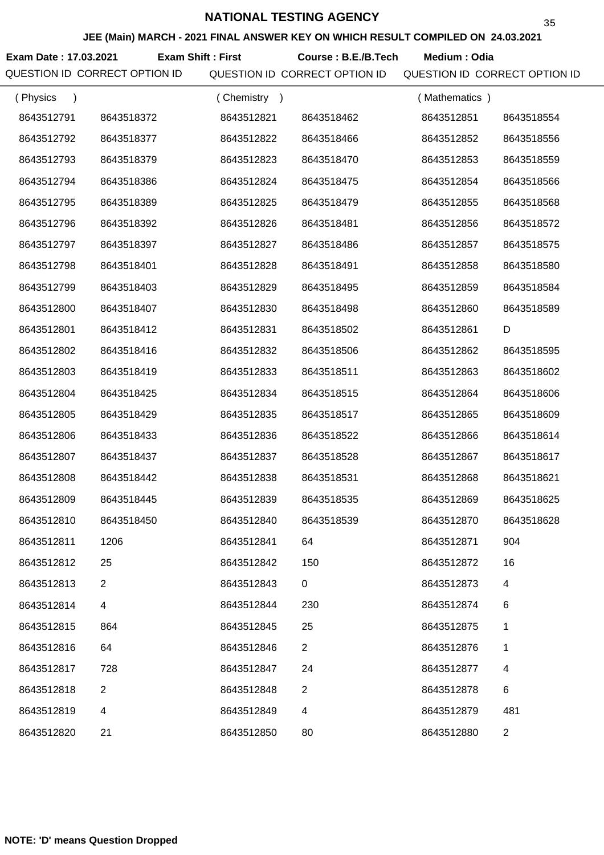**JEE (Main) MARCH - 2021 FINAL ANSWER KEY ON WHICH RESULT COMPILED ON 24.03.2021**

**Exam Date : 17.03.2021 Course : B.E./B.Tech Medium : Odia Exam Shift : First**

| (Physics   |                | (Chemistry<br>$\rightarrow$ |                | (Mathematics) |                |
|------------|----------------|-----------------------------|----------------|---------------|----------------|
| 8643512791 | 8643518372     | 8643512821                  | 8643518462     | 8643512851    | 8643518554     |
| 8643512792 | 8643518377     | 8643512822                  | 8643518466     | 8643512852    | 8643518556     |
| 8643512793 | 8643518379     | 8643512823                  | 8643518470     | 8643512853    | 8643518559     |
| 8643512794 | 8643518386     | 8643512824                  | 8643518475     | 8643512854    | 8643518566     |
| 8643512795 | 8643518389     | 8643512825                  | 8643518479     | 8643512855    | 8643518568     |
| 8643512796 | 8643518392     | 8643512826                  | 8643518481     | 8643512856    | 8643518572     |
| 8643512797 | 8643518397     | 8643512827                  | 8643518486     | 8643512857    | 8643518575     |
| 8643512798 | 8643518401     | 8643512828                  | 8643518491     | 8643512858    | 8643518580     |
| 8643512799 | 8643518403     | 8643512829                  | 8643518495     | 8643512859    | 8643518584     |
| 8643512800 | 8643518407     | 8643512830                  | 8643518498     | 8643512860    | 8643518589     |
| 8643512801 | 8643518412     | 8643512831                  | 8643518502     | 8643512861    | D              |
| 8643512802 | 8643518416     | 8643512832                  | 8643518506     | 8643512862    | 8643518595     |
| 8643512803 | 8643518419     | 8643512833                  | 8643518511     | 8643512863    | 8643518602     |
| 8643512804 | 8643518425     | 8643512834                  | 8643518515     | 8643512864    | 8643518606     |
| 8643512805 | 8643518429     | 8643512835                  | 8643518517     | 8643512865    | 8643518609     |
| 8643512806 | 8643518433     | 8643512836                  | 8643518522     | 8643512866    | 8643518614     |
| 8643512807 | 8643518437     | 8643512837                  | 8643518528     | 8643512867    | 8643518617     |
| 8643512808 | 8643518442     | 8643512838                  | 8643518531     | 8643512868    | 8643518621     |
| 8643512809 | 8643518445     | 8643512839                  | 8643518535     | 8643512869    | 8643518625     |
| 8643512810 | 8643518450     | 8643512840                  | 8643518539     | 8643512870    | 8643518628     |
| 8643512811 | 1206           | 8643512841                  | 64             | 8643512871    | 904            |
| 8643512812 | 25             | 8643512842                  | 150            | 8643512872    | 16             |
| 8643512813 | $\overline{2}$ | 8643512843                  | $\mathbf 0$    | 8643512873    | 4              |
| 8643512814 | 4              | 8643512844                  | 230            | 8643512874    | 6              |
| 8643512815 | 864            | 8643512845                  | 25             | 8643512875    | 1              |
| 8643512816 | 64             | 8643512846                  | $\overline{2}$ | 8643512876    | 1              |
| 8643512817 | 728            | 8643512847                  | 24             | 8643512877    | 4              |
| 8643512818 | 2              | 8643512848                  | $\overline{2}$ | 8643512878    | 6              |
| 8643512819 | 4              | 8643512849                  | 4              | 8643512879    | 481            |
| 8643512820 | 21             | 8643512850                  | 80             | 8643512880    | $\overline{2}$ |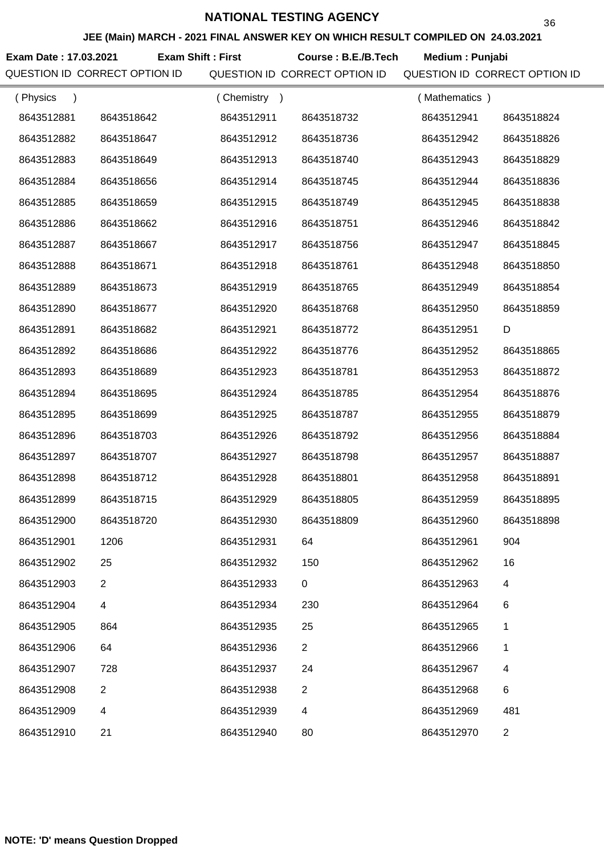**JEE (Main) MARCH - 2021 FINAL ANSWER KEY ON WHICH RESULT COMPILED ON 24.03.2021**

**Exam Date : 17.03.2021 Course : B.E./B.Tech Medium : Punjabi Exam Shift : First**

| (Physics<br>$\lambda$ |              | Chemistry<br>$\rightarrow$ |                | (Mathematics) |                |
|-----------------------|--------------|----------------------------|----------------|---------------|----------------|
| 8643512881            | 8643518642   | 8643512911                 | 8643518732     | 8643512941    | 8643518824     |
| 8643512882            | 8643518647   | 8643512912                 | 8643518736     | 8643512942    | 8643518826     |
| 8643512883            | 8643518649   | 8643512913                 | 8643518740     | 8643512943    | 8643518829     |
| 8643512884            | 8643518656   | 8643512914                 | 8643518745     | 8643512944    | 8643518836     |
| 8643512885            | 8643518659   | 8643512915                 | 8643518749     | 8643512945    | 8643518838     |
| 8643512886            | 8643518662   | 8643512916                 | 8643518751     | 8643512946    | 8643518842     |
| 8643512887            | 8643518667   | 8643512917                 | 8643518756     | 8643512947    | 8643518845     |
| 8643512888            | 8643518671   | 8643512918                 | 8643518761     | 8643512948    | 8643518850     |
| 8643512889            | 8643518673   | 8643512919                 | 8643518765     | 8643512949    | 8643518854     |
| 8643512890            | 8643518677   | 8643512920                 | 8643518768     | 8643512950    | 8643518859     |
| 8643512891            | 8643518682   | 8643512921                 | 8643518772     | 8643512951    | D              |
| 8643512892            | 8643518686   | 8643512922                 | 8643518776     | 8643512952    | 8643518865     |
| 8643512893            | 8643518689   | 8643512923                 | 8643518781     | 8643512953    | 8643518872     |
| 8643512894            | 8643518695   | 8643512924                 | 8643518785     | 8643512954    | 8643518876     |
| 8643512895            | 8643518699   | 8643512925                 | 8643518787     | 8643512955    | 8643518879     |
| 8643512896            | 8643518703   | 8643512926                 | 8643518792     | 8643512956    | 8643518884     |
| 8643512897            | 8643518707   | 8643512927                 | 8643518798     | 8643512957    | 8643518887     |
| 8643512898            | 8643518712   | 8643512928                 | 8643518801     | 8643512958    | 8643518891     |
| 8643512899            | 8643518715   | 8643512929                 | 8643518805     | 8643512959    | 8643518895     |
| 8643512900            | 8643518720   | 8643512930                 | 8643518809     | 8643512960    | 8643518898     |
| 8643512901            | 1206         | 8643512931                 | 64             | 8643512961    | 904            |
| 8643512902            | 25           | 8643512932                 | 150            | 8643512962    | 16             |
| 8643512903            | $\mathbf{2}$ | 8643512933                 | 0              | 8643512963    | $\overline{4}$ |
| 8643512904            | 4            | 8643512934                 | 230            | 8643512964    | 6              |
| 8643512905            | 864          | 8643512935                 | 25             | 8643512965    | 1              |
| 8643512906            | 64           | 8643512936                 | $\overline{2}$ | 8643512966    | 1              |
| 8643512907            | 728          | 8643512937                 | 24             | 8643512967    | 4              |
| 8643512908            | 2            | 8643512938                 | 2              | 8643512968    | 6              |
| 8643512909            | 4            | 8643512939                 | 4              | 8643512969    | 481            |
| 8643512910            | 21           | 8643512940                 | 80             | 8643512970    | $\overline{2}$ |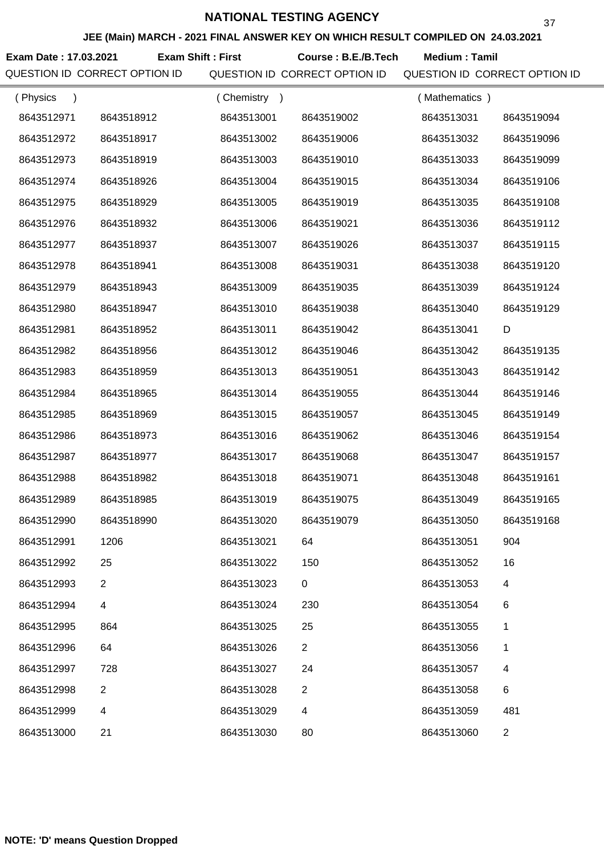**JEE (Main) MARCH - 2021 FINAL ANSWER KEY ON WHICH RESULT COMPILED ON 24.03.2021**

**Exam Date : 17.03.2021 Course : B.E./B.Tech Medium : Tamil Exam Shift : First**

| (Physics<br>$\lambda$ |                | Chemistry<br>$\rightarrow$ |                | (Mathematics) |                |
|-----------------------|----------------|----------------------------|----------------|---------------|----------------|
| 8643512971            | 8643518912     | 8643513001                 | 8643519002     | 8643513031    | 8643519094     |
| 8643512972            | 8643518917     | 8643513002                 | 8643519006     | 8643513032    | 8643519096     |
| 8643512973            | 8643518919     | 8643513003                 | 8643519010     | 8643513033    | 8643519099     |
| 8643512974            | 8643518926     | 8643513004                 | 8643519015     | 8643513034    | 8643519106     |
| 8643512975            | 8643518929     | 8643513005                 | 8643519019     | 8643513035    | 8643519108     |
| 8643512976            | 8643518932     | 8643513006                 | 8643519021     | 8643513036    | 8643519112     |
| 8643512977            | 8643518937     | 8643513007                 | 8643519026     | 8643513037    | 8643519115     |
| 8643512978            | 8643518941     | 8643513008                 | 8643519031     | 8643513038    | 8643519120     |
| 8643512979            | 8643518943     | 8643513009                 | 8643519035     | 8643513039    | 8643519124     |
| 8643512980            | 8643518947     | 8643513010                 | 8643519038     | 8643513040    | 8643519129     |
| 8643512981            | 8643518952     | 8643513011                 | 8643519042     | 8643513041    | D              |
| 8643512982            | 8643518956     | 8643513012                 | 8643519046     | 8643513042    | 8643519135     |
| 8643512983            | 8643518959     | 8643513013                 | 8643519051     | 8643513043    | 8643519142     |
| 8643512984            | 8643518965     | 8643513014                 | 8643519055     | 8643513044    | 8643519146     |
| 8643512985            | 8643518969     | 8643513015                 | 8643519057     | 8643513045    | 8643519149     |
| 8643512986            | 8643518973     | 8643513016                 | 8643519062     | 8643513046    | 8643519154     |
| 8643512987            | 8643518977     | 8643513017                 | 8643519068     | 8643513047    | 8643519157     |
| 8643512988            | 8643518982     | 8643513018                 | 8643519071     | 8643513048    | 8643519161     |
| 8643512989            | 8643518985     | 8643513019                 | 8643519075     | 8643513049    | 8643519165     |
| 8643512990            | 8643518990     | 8643513020                 | 8643519079     | 8643513050    | 8643519168     |
| 8643512991            | 1206           | 8643513021                 | 64             | 8643513051    | 904            |
| 8643512992            | 25             | 8643513022                 | 150            | 8643513052    | 16             |
| 8643512993            | $\overline{2}$ | 8643513023                 | 0              | 8643513053    | $\overline{4}$ |
| 8643512994            | 4              | 8643513024                 | 230            | 8643513054    | 6              |
| 8643512995            | 864            | 8643513025                 | 25             | 8643513055    | 1              |
| 8643512996            | 64             | 8643513026                 | $\overline{2}$ | 8643513056    | 1              |
| 8643512997            | 728            | 8643513027                 | 24             | 8643513057    | 4              |
| 8643512998            | $\overline{2}$ | 8643513028                 | $\overline{2}$ | 8643513058    | $\,6$          |
| 8643512999            | 4              | 8643513029                 | 4              | 8643513059    | 481            |
| 8643513000            | 21             | 8643513030                 | 80             | 8643513060    | $\overline{2}$ |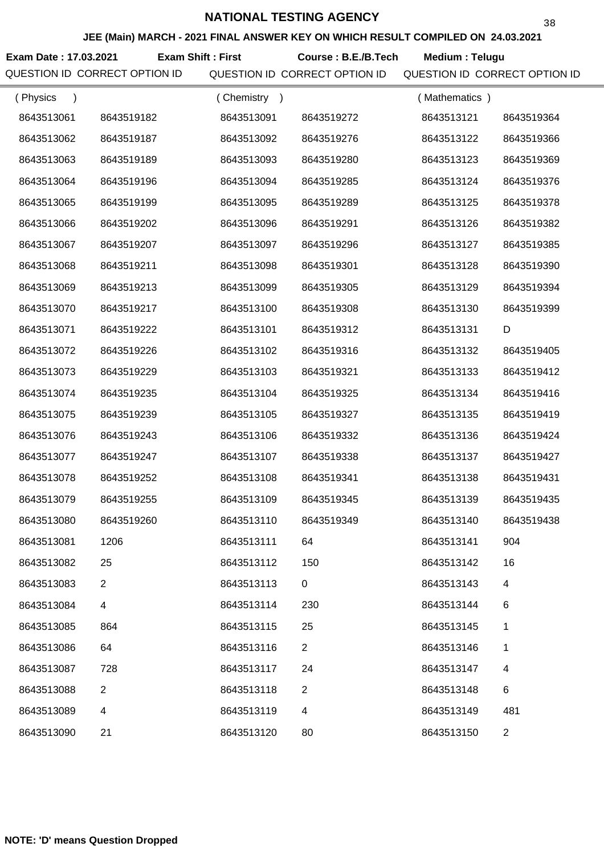**Exam Date : 17.03.2021 Course : B.E./B.Tech Medium : Telugu Exam Shift : First**

| (Physics<br>$\lambda$ |                | (Chemistry)<br>$\rightarrow$ |                | (Mathematics) |                |
|-----------------------|----------------|------------------------------|----------------|---------------|----------------|
| 8643513061            | 8643519182     | 8643513091                   | 8643519272     | 8643513121    | 8643519364     |
| 8643513062            | 8643519187     | 8643513092                   | 8643519276     | 8643513122    | 8643519366     |
| 8643513063            | 8643519189     | 8643513093                   | 8643519280     | 8643513123    | 8643519369     |
| 8643513064            | 8643519196     | 8643513094                   | 8643519285     | 8643513124    | 8643519376     |
| 8643513065            | 8643519199     | 8643513095                   | 8643519289     | 8643513125    | 8643519378     |
| 8643513066            | 8643519202     | 8643513096                   | 8643519291     | 8643513126    | 8643519382     |
| 8643513067            | 8643519207     | 8643513097                   | 8643519296     | 8643513127    | 8643519385     |
| 8643513068            | 8643519211     | 8643513098                   | 8643519301     | 8643513128    | 8643519390     |
| 8643513069            | 8643519213     | 8643513099                   | 8643519305     | 8643513129    | 8643519394     |
| 8643513070            | 8643519217     | 8643513100                   | 8643519308     | 8643513130    | 8643519399     |
| 8643513071            | 8643519222     | 8643513101                   | 8643519312     | 8643513131    | D              |
| 8643513072            | 8643519226     | 8643513102                   | 8643519316     | 8643513132    | 8643519405     |
| 8643513073            | 8643519229     | 8643513103                   | 8643519321     | 8643513133    | 8643519412     |
| 8643513074            | 8643519235     | 8643513104                   | 8643519325     | 8643513134    | 8643519416     |
| 8643513075            | 8643519239     | 8643513105                   | 8643519327     | 8643513135    | 8643519419     |
| 8643513076            | 8643519243     | 8643513106                   | 8643519332     | 8643513136    | 8643519424     |
| 8643513077            | 8643519247     | 8643513107                   | 8643519338     | 8643513137    | 8643519427     |
| 8643513078            | 8643519252     | 8643513108                   | 8643519341     | 8643513138    | 8643519431     |
| 8643513079            | 8643519255     | 8643513109                   | 8643519345     | 8643513139    | 8643519435     |
| 8643513080            | 8643519260     | 8643513110                   | 8643519349     | 8643513140    | 8643519438     |
| 8643513081            | 1206           | 8643513111                   | 64             | 8643513141    | 904            |
| 8643513082            | 25             | 8643513112                   | 150            | 8643513142    | 16             |
| 8643513083            | $\overline{2}$ | 8643513113                   | 0              | 8643513143    | 4              |
| 8643513084            | 4              | 8643513114                   | 230            | 8643513144    | 6              |
| 8643513085            | 864            | 8643513115                   | 25             | 8643513145    | 1              |
| 8643513086            | 64             | 8643513116                   | $\overline{2}$ | 8643513146    | 1              |
| 8643513087            | 728            | 8643513117                   | 24             | 8643513147    | 4              |
| 8643513088            | $\overline{2}$ | 8643513118                   | $\overline{2}$ | 8643513148    | 6              |
| 8643513089            | 4              | 8643513119                   | 4              | 8643513149    | 481            |
| 8643513090            | 21             | 8643513120                   | 80             | 8643513150    | $\overline{2}$ |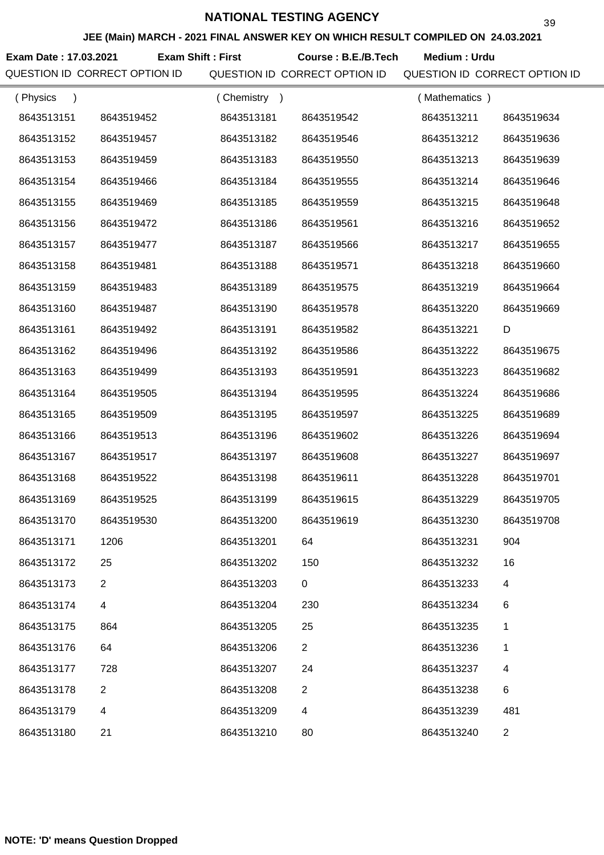**JEE (Main) MARCH - 2021 FINAL ANSWER KEY ON WHICH RESULT COMPILED ON 24.03.2021**

**Exam Date : 17.03.2021 Course : B.E./B.Tech Medium : Urdu Exam Shift : First**

| (Physics   |                | (Chemistry<br>$\rightarrow$ |                | (Mathematics) |                |
|------------|----------------|-----------------------------|----------------|---------------|----------------|
| 8643513151 | 8643519452     | 8643513181                  | 8643519542     | 8643513211    | 8643519634     |
| 8643513152 | 8643519457     | 8643513182                  | 8643519546     | 8643513212    | 8643519636     |
| 8643513153 | 8643519459     | 8643513183                  | 8643519550     | 8643513213    | 8643519639     |
| 8643513154 | 8643519466     | 8643513184                  | 8643519555     | 8643513214    | 8643519646     |
| 8643513155 | 8643519469     | 8643513185                  | 8643519559     | 8643513215    | 8643519648     |
| 8643513156 | 8643519472     | 8643513186                  | 8643519561     | 8643513216    | 8643519652     |
| 8643513157 | 8643519477     | 8643513187                  | 8643519566     | 8643513217    | 8643519655     |
| 8643513158 | 8643519481     | 8643513188                  | 8643519571     | 8643513218    | 8643519660     |
| 8643513159 | 8643519483     | 8643513189                  | 8643519575     | 8643513219    | 8643519664     |
| 8643513160 | 8643519487     | 8643513190                  | 8643519578     | 8643513220    | 8643519669     |
| 8643513161 | 8643519492     | 8643513191                  | 8643519582     | 8643513221    | D              |
| 8643513162 | 8643519496     | 8643513192                  | 8643519586     | 8643513222    | 8643519675     |
| 8643513163 | 8643519499     | 8643513193                  | 8643519591     | 8643513223    | 8643519682     |
| 8643513164 | 8643519505     | 8643513194                  | 8643519595     | 8643513224    | 8643519686     |
| 8643513165 | 8643519509     | 8643513195                  | 8643519597     | 8643513225    | 8643519689     |
| 8643513166 | 8643519513     | 8643513196                  | 8643519602     | 8643513226    | 8643519694     |
| 8643513167 | 8643519517     | 8643513197                  | 8643519608     | 8643513227    | 8643519697     |
| 8643513168 | 8643519522     | 8643513198                  | 8643519611     | 8643513228    | 8643519701     |
| 8643513169 | 8643519525     | 8643513199                  | 8643519615     | 8643513229    | 8643519705     |
| 8643513170 | 8643519530     | 8643513200                  | 8643519619     | 8643513230    | 8643519708     |
| 8643513171 | 1206           | 8643513201                  | 64             | 8643513231    | 904            |
| 8643513172 | 25             | 8643513202                  | 150            | 8643513232    | 16             |
| 8643513173 | $\overline{2}$ | 8643513203                  | $\mathbf 0$    | 8643513233    | 4              |
| 8643513174 | 4              | 8643513204                  | 230            | 8643513234    | 6              |
| 8643513175 | 864            | 8643513205                  | 25             | 8643513235    | 1              |
| 8643513176 | 64             | 8643513206                  | $\overline{2}$ | 8643513236    | 1              |
| 8643513177 | 728            | 8643513207                  | 24             | 8643513237    | 4              |
| 8643513178 | 2              | 8643513208                  | $\overline{2}$ | 8643513238    | 6              |
| 8643513179 | 4              | 8643513209                  | 4              | 8643513239    | 481            |
| 8643513180 | 21             | 8643513210                  | 80             | 8643513240    | $\overline{2}$ |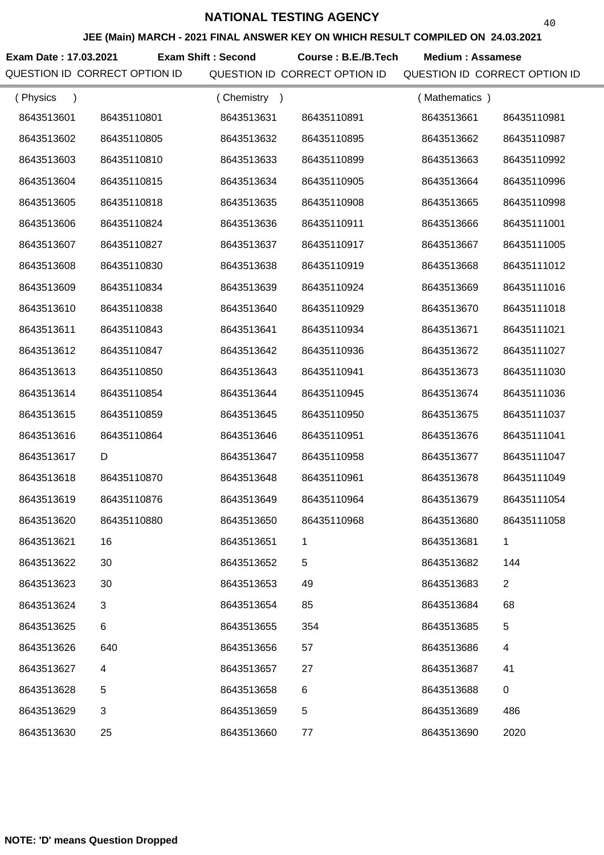**JEE (Main) MARCH - 2021 FINAL ANSWER KEY ON WHICH RESULT COMPILED ON 24.03.2021**

**Exam Date : 17.03.2021 Exam Shift : Second Course : B.E./B.Tech Medium : Assamese** 

| (Physics   |             | (Chemistry) |             | (Mathematics) |                |
|------------|-------------|-------------|-------------|---------------|----------------|
| 8643513601 | 86435110801 | 8643513631  | 86435110891 | 8643513661    | 86435110981    |
| 8643513602 | 86435110805 | 8643513632  | 86435110895 | 8643513662    | 86435110987    |
| 8643513603 | 86435110810 | 8643513633  | 86435110899 | 8643513663    | 86435110992    |
| 8643513604 | 86435110815 | 8643513634  | 86435110905 | 8643513664    | 86435110996    |
| 8643513605 | 86435110818 | 8643513635  | 86435110908 | 8643513665    | 86435110998    |
| 8643513606 | 86435110824 | 8643513636  | 86435110911 | 8643513666    | 86435111001    |
| 8643513607 | 86435110827 | 8643513637  | 86435110917 | 8643513667    | 86435111005    |
| 8643513608 | 86435110830 | 8643513638  | 86435110919 | 8643513668    | 86435111012    |
| 8643513609 | 86435110834 | 8643513639  | 86435110924 | 8643513669    | 86435111016    |
| 8643513610 | 86435110838 | 8643513640  | 86435110929 | 8643513670    | 86435111018    |
| 8643513611 | 86435110843 | 8643513641  | 86435110934 | 8643513671    | 86435111021    |
| 8643513612 | 86435110847 | 8643513642  | 86435110936 | 8643513672    | 86435111027    |
| 8643513613 | 86435110850 | 8643513643  | 86435110941 | 8643513673    | 86435111030    |
| 8643513614 | 86435110854 | 8643513644  | 86435110945 | 8643513674    | 86435111036    |
| 8643513615 | 86435110859 | 8643513645  | 86435110950 | 8643513675    | 86435111037    |
| 8643513616 | 86435110864 | 8643513646  | 86435110951 | 8643513676    | 86435111041    |
| 8643513617 | D           | 8643513647  | 86435110958 | 8643513677    | 86435111047    |
| 8643513618 | 86435110870 | 8643513648  | 86435110961 | 8643513678    | 86435111049    |
| 8643513619 | 86435110876 | 8643513649  | 86435110964 | 8643513679    | 86435111054    |
| 8643513620 | 86435110880 | 8643513650  | 86435110968 | 8643513680    | 86435111058    |
| 8643513621 | 16          | 8643513651  |             | 8643513681    |                |
| 8643513622 | 30          | 8643513652  | 5           | 8643513682    | 144            |
| 8643513623 | 30          | 8643513653  | 49          | 8643513683    | $\overline{2}$ |
| 8643513624 | 3           | 8643513654  | 85          | 8643513684    | 68             |
| 8643513625 | 6           | 8643513655  | 354         | 8643513685    | 5              |
| 8643513626 | 640         | 8643513656  | 57          | 8643513686    | 4              |
| 8643513627 | 4           | 8643513657  | 27          | 8643513687    | 41             |
| 8643513628 | 5           | 8643513658  | 6           | 8643513688    | $\pmb{0}$      |
| 8643513629 | 3           | 8643513659  | 5           | 8643513689    | 486            |
| 8643513630 | 25          | 8643513660  | 77          | 8643513690    | 2020           |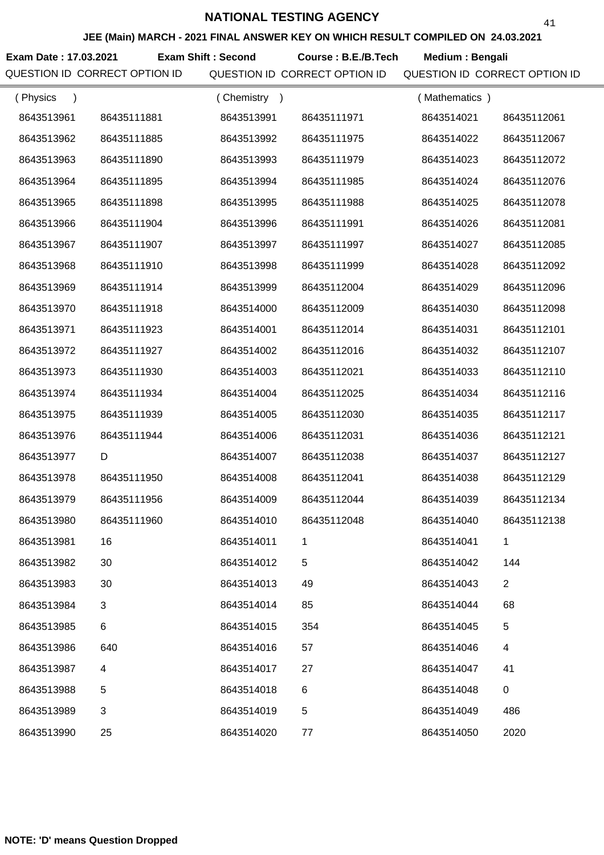**JEE (Main) MARCH - 2021 FINAL ANSWER KEY ON WHICH RESULT COMPILED ON 24.03.2021**

**Exam Date : 17.03.2021 Course : B.E./B.Tech Medium : Bengali Exam Shift : Second**

QUESTION ID CORRECT OPTION ID QUESTION ID CORRECT OPTION ID QUESTION ID CORRECT OPTION ID

41

| (Physics<br>$\lambda$ |             | (Chemistry) |             | (Mathematics) |                |
|-----------------------|-------------|-------------|-------------|---------------|----------------|
| 8643513961            | 86435111881 | 8643513991  | 86435111971 | 8643514021    | 86435112061    |
| 8643513962            | 86435111885 | 8643513992  | 86435111975 | 8643514022    | 86435112067    |
| 8643513963            | 86435111890 | 8643513993  | 86435111979 | 8643514023    | 86435112072    |
| 8643513964            | 86435111895 | 8643513994  | 86435111985 | 8643514024    | 86435112076    |
| 8643513965            | 86435111898 | 8643513995  | 86435111988 | 8643514025    | 86435112078    |
| 8643513966            | 86435111904 | 8643513996  | 86435111991 | 8643514026    | 86435112081    |
| 8643513967            | 86435111907 | 8643513997  | 86435111997 | 8643514027    | 86435112085    |
| 8643513968            | 86435111910 | 8643513998  | 86435111999 | 8643514028    | 86435112092    |
| 8643513969            | 86435111914 | 8643513999  | 86435112004 | 8643514029    | 86435112096    |
| 8643513970            | 86435111918 | 8643514000  | 86435112009 | 8643514030    | 86435112098    |
| 8643513971            | 86435111923 | 8643514001  | 86435112014 | 8643514031    | 86435112101    |
| 8643513972            | 86435111927 | 8643514002  | 86435112016 | 8643514032    | 86435112107    |
| 8643513973            | 86435111930 | 8643514003  | 86435112021 | 8643514033    | 86435112110    |
| 8643513974            | 86435111934 | 8643514004  | 86435112025 | 8643514034    | 86435112116    |
| 8643513975            | 86435111939 | 8643514005  | 86435112030 | 8643514035    | 86435112117    |
| 8643513976            | 86435111944 | 8643514006  | 86435112031 | 8643514036    | 86435112121    |
| 8643513977            | D           | 8643514007  | 86435112038 | 8643514037    | 86435112127    |
| 8643513978            | 86435111950 | 8643514008  | 86435112041 | 8643514038    | 86435112129    |
| 8643513979            | 86435111956 | 8643514009  | 86435112044 | 8643514039    | 86435112134    |
| 8643513980            | 86435111960 | 8643514010  | 86435112048 | 8643514040    | 86435112138    |
| 8643513981            | 16          | 8643514011  |             | 8643514041    |                |
| 8643513982            | 30          | 8643514012  | 5           | 8643514042    | 144            |
| 8643513983            | 30          | 8643514013  | 49          | 8643514043    | $\overline{2}$ |
| 8643513984            | 3           | 8643514014  | 85          | 8643514044    | 68             |
| 8643513985            | 6           | 8643514015  | 354         | 8643514045    | 5              |
| 8643513986            | 640         | 8643514016  | 57          | 8643514046    | 4              |
| 8643513987            | 4           | 8643514017  | 27          | 8643514047    | 41             |
| 8643513988            | 5           | 8643514018  | 6           | 8643514048    | $\mathbf 0$    |
| 8643513989            | 3           | 8643514019  | 5           | 8643514049    | 486            |
| 8643513990            | 25          | 8643514020  | 77          | 8643514050    | 2020           |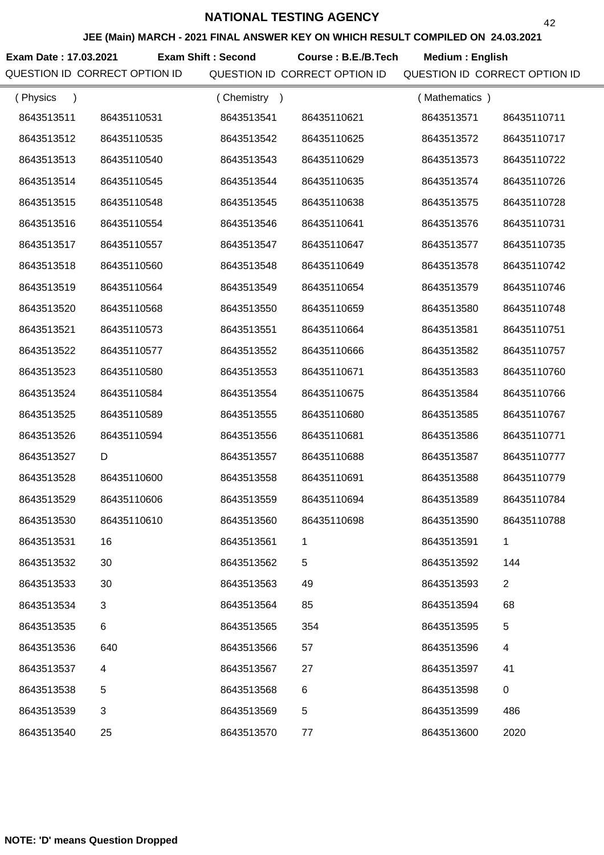**JEE (Main) MARCH - 2021 FINAL ANSWER KEY ON WHICH RESULT COMPILED ON 24.03.2021**

**Exam Date : 17.03.2021 Course : B.E./B.Tech Medium : English Exam Shift : Second**

| (Physics<br>$\lambda$ |             | (Chemistry<br>$\rightarrow$ |             | (Mathematics) |                |
|-----------------------|-------------|-----------------------------|-------------|---------------|----------------|
| 8643513511            | 86435110531 | 8643513541                  | 86435110621 | 8643513571    | 86435110711    |
| 8643513512            | 86435110535 | 8643513542                  | 86435110625 | 8643513572    | 86435110717    |
| 8643513513            | 86435110540 | 8643513543                  | 86435110629 | 8643513573    | 86435110722    |
| 8643513514            | 86435110545 | 8643513544                  | 86435110635 | 8643513574    | 86435110726    |
| 8643513515            | 86435110548 | 8643513545                  | 86435110638 | 8643513575    | 86435110728    |
| 8643513516            | 86435110554 | 8643513546                  | 86435110641 | 8643513576    | 86435110731    |
| 8643513517            | 86435110557 | 8643513547                  | 86435110647 | 8643513577    | 86435110735    |
| 8643513518            | 86435110560 | 8643513548                  | 86435110649 | 8643513578    | 86435110742    |
| 8643513519            | 86435110564 | 8643513549                  | 86435110654 | 8643513579    | 86435110746    |
| 8643513520            | 86435110568 | 8643513550                  | 86435110659 | 8643513580    | 86435110748    |
| 8643513521            | 86435110573 | 8643513551                  | 86435110664 | 8643513581    | 86435110751    |
| 8643513522            | 86435110577 | 8643513552                  | 86435110666 | 8643513582    | 86435110757    |
| 8643513523            | 86435110580 | 8643513553                  | 86435110671 | 8643513583    | 86435110760    |
| 8643513524            | 86435110584 | 8643513554                  | 86435110675 | 8643513584    | 86435110766    |
| 8643513525            | 86435110589 | 8643513555                  | 86435110680 | 8643513585    | 86435110767    |
| 8643513526            | 86435110594 | 8643513556                  | 86435110681 | 8643513586    | 86435110771    |
| 8643513527            | D           | 8643513557                  | 86435110688 | 8643513587    | 86435110777    |
| 8643513528            | 86435110600 | 8643513558                  | 86435110691 | 8643513588    | 86435110779    |
| 8643513529            | 86435110606 | 8643513559                  | 86435110694 | 8643513589    | 86435110784    |
| 8643513530            | 86435110610 | 8643513560                  | 86435110698 | 8643513590    | 86435110788    |
| 8643513531            | 16          | 8643513561                  |             | 8643513591    |                |
| 8643513532            | 30          | 8643513562                  | 5           | 8643513592    | 144            |
| 8643513533            | 30          | 8643513563                  | 49          | 8643513593    | $\overline{2}$ |
| 8643513534            | 3           | 8643513564                  | 85          | 8643513594    | 68             |
| 8643513535            | 6           | 8643513565                  | 354         | 8643513595    | $\,$ 5 $\,$    |
| 8643513536            | 640         | 8643513566                  | 57          | 8643513596    | 4              |
| 8643513537            | 4           | 8643513567                  | 27          | 8643513597    | 41             |
| 8643513538            | 5           | 8643513568                  | 6           | 8643513598    | $\pmb{0}$      |
| 8643513539            | 3           | 8643513569                  | 5           | 8643513599    | 486            |
| 8643513540            | 25          | 8643513570                  | 77          | 8643513600    | 2020           |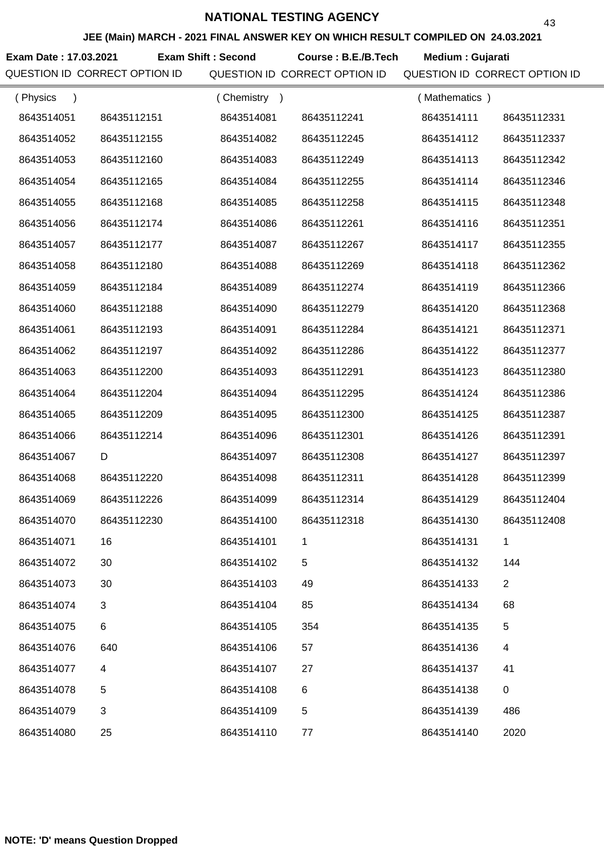**JEE (Main) MARCH - 2021 FINAL ANSWER KEY ON WHICH RESULT COMPILED ON 24.03.2021**

**Exam Date : 17.03.2021 Exam Shift : Second Course : B.E./B.Tech Medium : Gujarati** 

| (Physics<br>$\lambda$ |             | (Chemistry) |             | (Mathematics) |                |
|-----------------------|-------------|-------------|-------------|---------------|----------------|
| 8643514051            | 86435112151 | 8643514081  | 86435112241 | 8643514111    | 86435112331    |
| 8643514052            | 86435112155 | 8643514082  | 86435112245 | 8643514112    | 86435112337    |
| 8643514053            | 86435112160 | 8643514083  | 86435112249 | 8643514113    | 86435112342    |
| 8643514054            | 86435112165 | 8643514084  | 86435112255 | 8643514114    | 86435112346    |
| 8643514055            | 86435112168 | 8643514085  | 86435112258 | 8643514115    | 86435112348    |
| 8643514056            | 86435112174 | 8643514086  | 86435112261 | 8643514116    | 86435112351    |
| 8643514057            | 86435112177 | 8643514087  | 86435112267 | 8643514117    | 86435112355    |
| 8643514058            | 86435112180 | 8643514088  | 86435112269 | 8643514118    | 86435112362    |
| 8643514059            | 86435112184 | 8643514089  | 86435112274 | 8643514119    | 86435112366    |
| 8643514060            | 86435112188 | 8643514090  | 86435112279 | 8643514120    | 86435112368    |
| 8643514061            | 86435112193 | 8643514091  | 86435112284 | 8643514121    | 86435112371    |
| 8643514062            | 86435112197 | 8643514092  | 86435112286 | 8643514122    | 86435112377    |
| 8643514063            | 86435112200 | 8643514093  | 86435112291 | 8643514123    | 86435112380    |
| 8643514064            | 86435112204 | 8643514094  | 86435112295 | 8643514124    | 86435112386    |
| 8643514065            | 86435112209 | 8643514095  | 86435112300 | 8643514125    | 86435112387    |
| 8643514066            | 86435112214 | 8643514096  | 86435112301 | 8643514126    | 86435112391    |
| 8643514067            | D           | 8643514097  | 86435112308 | 8643514127    | 86435112397    |
| 8643514068            | 86435112220 | 8643514098  | 86435112311 | 8643514128    | 86435112399    |
| 8643514069            | 86435112226 | 8643514099  | 86435112314 | 8643514129    | 86435112404    |
| 8643514070            | 86435112230 | 8643514100  | 86435112318 | 8643514130    | 86435112408    |
| 8643514071            | 16          | 8643514101  |             | 8643514131    |                |
| 8643514072            | 30          | 8643514102  | 5           | 8643514132    | 144            |
| 8643514073            | 30          | 8643514103  | 49          | 8643514133    | $\overline{2}$ |
| 8643514074            | 3           | 8643514104  | 85          | 8643514134    | 68             |
| 8643514075            | 6           | 8643514105  | 354         | 8643514135    | 5              |
| 8643514076            | 640         | 8643514106  | 57          | 8643514136    | 4              |
| 8643514077            | 4           | 8643514107  | 27          | 8643514137    | 41             |
| 8643514078            | 5           | 8643514108  | 6           | 8643514138    | 0              |
| 8643514079            | 3           | 8643514109  | 5           | 8643514139    | 486            |
| 8643514080            | 25          | 8643514110  | 77          | 8643514140    | 2020           |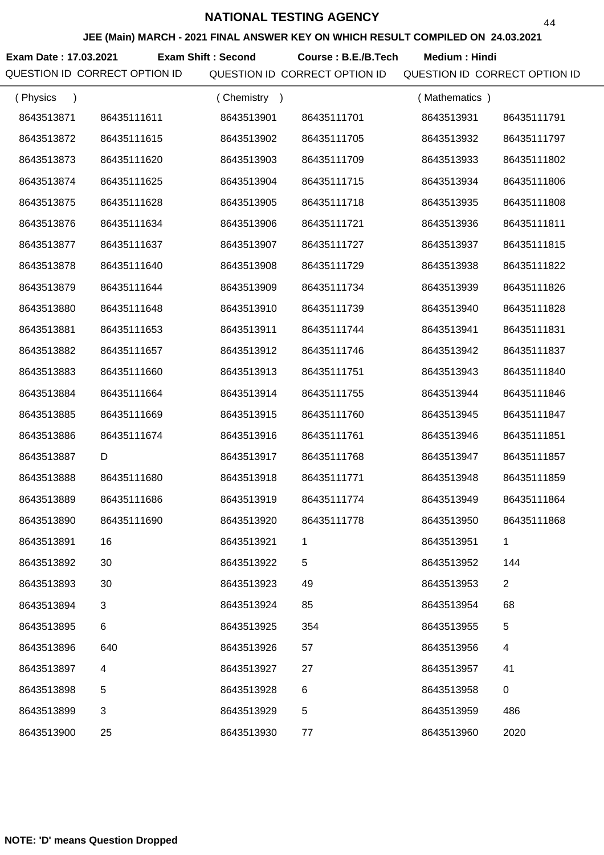**JEE (Main) MARCH - 2021 FINAL ANSWER KEY ON WHICH RESULT COMPILED ON 24.03.2021**

**Exam Date : 17.03.2021 Exam Shift : Second Course : B.E./B.Tech Medium : Hindi** 

| (Physics<br>$\lambda$ |             | (Chemistry<br>$\rightarrow$ |             | (Mathematics) |                |
|-----------------------|-------------|-----------------------------|-------------|---------------|----------------|
| 8643513871            | 86435111611 | 8643513901                  | 86435111701 | 8643513931    | 86435111791    |
| 8643513872            | 86435111615 | 8643513902                  | 86435111705 | 8643513932    | 86435111797    |
| 8643513873            | 86435111620 | 8643513903                  | 86435111709 | 8643513933    | 86435111802    |
| 8643513874            | 86435111625 | 8643513904                  | 86435111715 | 8643513934    | 86435111806    |
| 8643513875            | 86435111628 | 8643513905                  | 86435111718 | 8643513935    | 86435111808    |
| 8643513876            | 86435111634 | 8643513906                  | 86435111721 | 8643513936    | 86435111811    |
| 8643513877            | 86435111637 | 8643513907                  | 86435111727 | 8643513937    | 86435111815    |
| 8643513878            | 86435111640 | 8643513908                  | 86435111729 | 8643513938    | 86435111822    |
| 8643513879            | 86435111644 | 8643513909                  | 86435111734 | 8643513939    | 86435111826    |
| 8643513880            | 86435111648 | 8643513910                  | 86435111739 | 8643513940    | 86435111828    |
| 8643513881            | 86435111653 | 8643513911                  | 86435111744 | 8643513941    | 86435111831    |
| 8643513882            | 86435111657 | 8643513912                  | 86435111746 | 8643513942    | 86435111837    |
| 8643513883            | 86435111660 | 8643513913                  | 86435111751 | 8643513943    | 86435111840    |
| 8643513884            | 86435111664 | 8643513914                  | 86435111755 | 8643513944    | 86435111846    |
| 8643513885            | 86435111669 | 8643513915                  | 86435111760 | 8643513945    | 86435111847    |
| 8643513886            | 86435111674 | 8643513916                  | 86435111761 | 8643513946    | 86435111851    |
| 8643513887            | D           | 8643513917                  | 86435111768 | 8643513947    | 86435111857    |
| 8643513888            | 86435111680 | 8643513918                  | 86435111771 | 8643513948    | 86435111859    |
| 8643513889            | 86435111686 | 8643513919                  | 86435111774 | 8643513949    | 86435111864    |
| 8643513890            | 86435111690 | 8643513920                  | 86435111778 | 8643513950    | 86435111868    |
| 8643513891            | 16          | 8643513921                  |             | 8643513951    |                |
| 8643513892            | 30          | 8643513922                  | 5           | 8643513952    | 144            |
| 8643513893            | 30          | 8643513923                  | 49          | 8643513953    | $\overline{2}$ |
| 8643513894            | 3           | 8643513924                  | 85          | 8643513954    | 68             |
| 8643513895            | 6           | 8643513925                  | 354         | 8643513955    | 5              |
| 8643513896            | 640         | 8643513926                  | 57          | 8643513956    | 4              |
| 8643513897            | 4           | 8643513927                  | 27          | 8643513957    | 41             |
| 8643513898            | 5           | 8643513928                  | 6           | 8643513958    | $\pmb{0}$      |
| 8643513899            | 3           | 8643513929                  | 5           | 8643513959    | 486            |
| 8643513900            | 25          | 8643513930                  | 77          | 8643513960    | 2020           |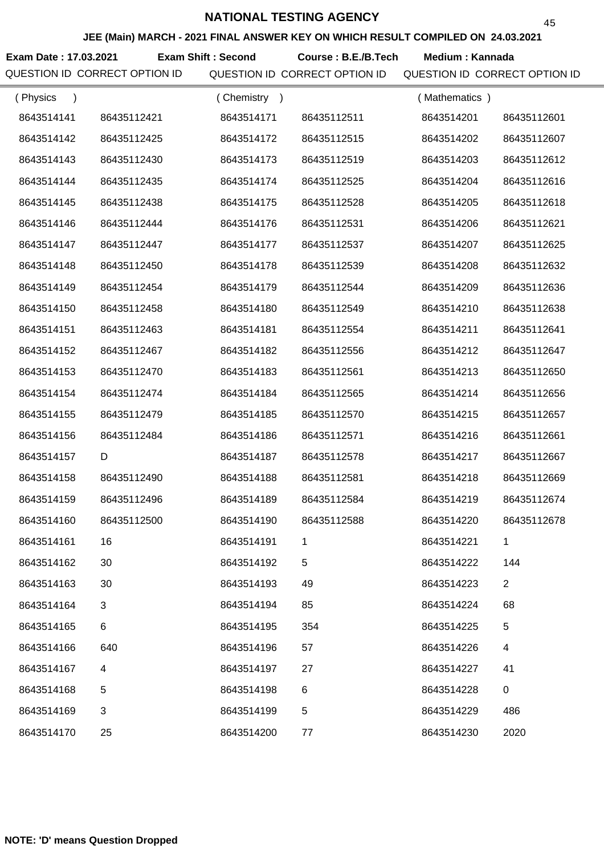**JEE (Main) MARCH - 2021 FINAL ANSWER KEY ON WHICH RESULT COMPILED ON 24.03.2021**

Exam Date : 17.03.2021 Exam Shift : Second Course : B.E./B.Tech Medium : Kannada

| (Physics<br>$\lambda$ |             | (Chemistry) |             | (Mathematics) |                |
|-----------------------|-------------|-------------|-------------|---------------|----------------|
| 8643514141            | 86435112421 | 8643514171  | 86435112511 | 8643514201    | 86435112601    |
| 8643514142            | 86435112425 | 8643514172  | 86435112515 | 8643514202    | 86435112607    |
| 8643514143            | 86435112430 | 8643514173  | 86435112519 | 8643514203    | 86435112612    |
| 8643514144            | 86435112435 | 8643514174  | 86435112525 | 8643514204    | 86435112616    |
| 8643514145            | 86435112438 | 8643514175  | 86435112528 | 8643514205    | 86435112618    |
| 8643514146            | 86435112444 | 8643514176  | 86435112531 | 8643514206    | 86435112621    |
| 8643514147            | 86435112447 | 8643514177  | 86435112537 | 8643514207    | 86435112625    |
| 8643514148            | 86435112450 | 8643514178  | 86435112539 | 8643514208    | 86435112632    |
| 8643514149            | 86435112454 | 8643514179  | 86435112544 | 8643514209    | 86435112636    |
| 8643514150            | 86435112458 | 8643514180  | 86435112549 | 8643514210    | 86435112638    |
| 8643514151            | 86435112463 | 8643514181  | 86435112554 | 8643514211    | 86435112641    |
| 8643514152            | 86435112467 | 8643514182  | 86435112556 | 8643514212    | 86435112647    |
| 8643514153            | 86435112470 | 8643514183  | 86435112561 | 8643514213    | 86435112650    |
| 8643514154            | 86435112474 | 8643514184  | 86435112565 | 8643514214    | 86435112656    |
| 8643514155            | 86435112479 | 8643514185  | 86435112570 | 8643514215    | 86435112657    |
| 8643514156            | 86435112484 | 8643514186  | 86435112571 | 8643514216    | 86435112661    |
| 8643514157            | D           | 8643514187  | 86435112578 | 8643514217    | 86435112667    |
| 8643514158            | 86435112490 | 8643514188  | 86435112581 | 8643514218    | 86435112669    |
| 8643514159            | 86435112496 | 8643514189  | 86435112584 | 8643514219    | 86435112674    |
| 8643514160            | 86435112500 | 8643514190  | 86435112588 | 8643514220    | 86435112678    |
| 8643514161            | 16          | 8643514191  |             | 8643514221    |                |
| 8643514162            | 30          | 8643514192  | 5           | 8643514222    | 144            |
| 8643514163            | 30          | 8643514193  | 49          | 8643514223    | $\overline{2}$ |
| 8643514164            | 3           | 8643514194  | 85          | 8643514224    | 68             |
| 8643514165            | 6           | 8643514195  | 354         | 8643514225    | 5              |
| 8643514166            | 640         | 8643514196  | 57          | 8643514226    | 4              |
| 8643514167            | 4           | 8643514197  | 27          | 8643514227    | 41             |
| 8643514168            | 5           | 8643514198  | 6           | 8643514228    | $\pmb{0}$      |
| 8643514169            | 3           | 8643514199  | 5           | 8643514229    | 486            |
| 8643514170            | 25          | 8643514200  | 77          | 8643514230    | 2020           |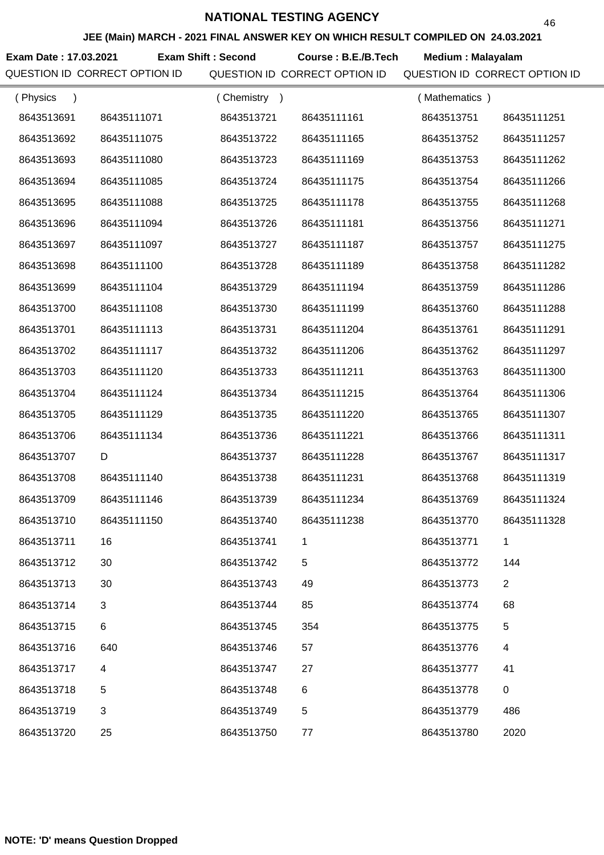**JEE (Main) MARCH - 2021 FINAL ANSWER KEY ON WHICH RESULT COMPILED ON 24.03.2021**

**Exam Date : 17.03.2021 Exam Shift : Second Course : B.E./B.Tech Medium : Malayalam** 

QUESTION ID CORRECT OPTION ID QUESTION ID CORRECT OPTION ID QUESTION ID CORRECT OPTION ID

46

| (Physics<br>$\lambda$ |             | (Chemistry)<br>$\rightarrow$ |             | (Mathematics) |                |
|-----------------------|-------------|------------------------------|-------------|---------------|----------------|
| 8643513691            | 86435111071 | 8643513721                   | 86435111161 | 8643513751    | 86435111251    |
| 8643513692            | 86435111075 | 8643513722                   | 86435111165 | 8643513752    | 86435111257    |
| 8643513693            | 86435111080 | 8643513723                   | 86435111169 | 8643513753    | 86435111262    |
| 8643513694            | 86435111085 | 8643513724                   | 86435111175 | 8643513754    | 86435111266    |
| 8643513695            | 86435111088 | 8643513725                   | 86435111178 | 8643513755    | 86435111268    |
| 8643513696            | 86435111094 | 8643513726                   | 86435111181 | 8643513756    | 86435111271    |
| 8643513697            | 86435111097 | 8643513727                   | 86435111187 | 8643513757    | 86435111275    |
| 8643513698            | 86435111100 | 8643513728                   | 86435111189 | 8643513758    | 86435111282    |
| 8643513699            | 86435111104 | 8643513729                   | 86435111194 | 8643513759    | 86435111286    |
| 8643513700            | 86435111108 | 8643513730                   | 86435111199 | 8643513760    | 86435111288    |
| 8643513701            | 86435111113 | 8643513731                   | 86435111204 | 8643513761    | 86435111291    |
| 8643513702            | 86435111117 | 8643513732                   | 86435111206 | 8643513762    | 86435111297    |
| 8643513703            | 86435111120 | 8643513733                   | 86435111211 | 8643513763    | 86435111300    |
| 8643513704            | 86435111124 | 8643513734                   | 86435111215 | 8643513764    | 86435111306    |
| 8643513705            | 86435111129 | 8643513735                   | 86435111220 | 8643513765    | 86435111307    |
| 8643513706            | 86435111134 | 8643513736                   | 86435111221 | 8643513766    | 86435111311    |
| 8643513707            | D           | 8643513737                   | 86435111228 | 8643513767    | 86435111317    |
| 8643513708            | 86435111140 | 8643513738                   | 86435111231 | 8643513768    | 86435111319    |
| 8643513709            | 86435111146 | 8643513739                   | 86435111234 | 8643513769    | 86435111324    |
| 8643513710            | 86435111150 | 8643513740                   | 86435111238 | 8643513770    | 86435111328    |
| 8643513711            | 16          | 8643513741                   |             | 8643513771    |                |
| 8643513712            | 30          | 8643513742                   | 5           | 8643513772    | 144            |
| 8643513713            | 30          | 8643513743                   | 49          | 8643513773    | $\overline{2}$ |
| 8643513714            | 3           | 8643513744                   | 85          | 8643513774    | 68             |
| 8643513715            | 6           | 8643513745                   | 354         | 8643513775    | 5              |
| 8643513716            | 640         | 8643513746                   | 57          | 8643513776    | 4              |
| 8643513717            | 4           | 8643513747                   | 27          | 8643513777    | 41             |
| 8643513718            | 5           | 8643513748                   | 6           | 8643513778    | 0              |
| 8643513719            | 3           | 8643513749                   | 5           | 8643513779    | 486            |
| 8643513720            | 25          | 8643513750                   | 77          | 8643513780    | 2020           |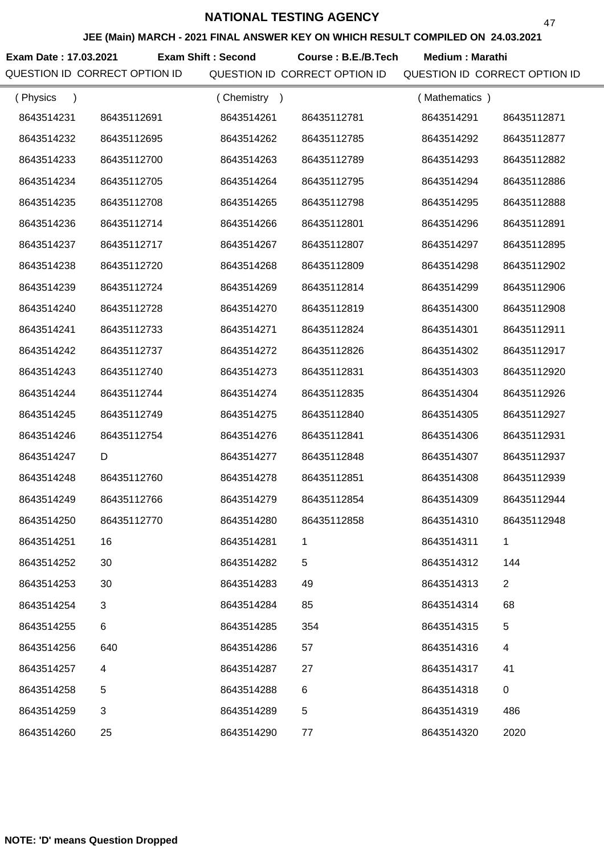**JEE (Main) MARCH - 2021 FINAL ANSWER KEY ON WHICH RESULT COMPILED ON 24.03.2021**

**Exam Date : 17.03.2021 Course : B.E./B.Tech Medium : Marathi Exam Shift : Second**

QUESTION ID CORRECT OPTION ID QUESTION ID CORRECT OPTION ID QUESTION ID CORRECT OPTION ID

47

| (Physics   |             | (Chemistry) |             | (Mathematics) |                |
|------------|-------------|-------------|-------------|---------------|----------------|
| 8643514231 | 86435112691 | 8643514261  | 86435112781 | 8643514291    | 86435112871    |
| 8643514232 | 86435112695 | 8643514262  | 86435112785 | 8643514292    | 86435112877    |
| 8643514233 | 86435112700 | 8643514263  | 86435112789 | 8643514293    | 86435112882    |
| 8643514234 | 86435112705 | 8643514264  | 86435112795 | 8643514294    | 86435112886    |
| 8643514235 | 86435112708 | 8643514265  | 86435112798 | 8643514295    | 86435112888    |
| 8643514236 | 86435112714 | 8643514266  | 86435112801 | 8643514296    | 86435112891    |
| 8643514237 | 86435112717 | 8643514267  | 86435112807 | 8643514297    | 86435112895    |
| 8643514238 | 86435112720 | 8643514268  | 86435112809 | 8643514298    | 86435112902    |
| 8643514239 | 86435112724 | 8643514269  | 86435112814 | 8643514299    | 86435112906    |
| 8643514240 | 86435112728 | 8643514270  | 86435112819 | 8643514300    | 86435112908    |
| 8643514241 | 86435112733 | 8643514271  | 86435112824 | 8643514301    | 86435112911    |
| 8643514242 | 86435112737 | 8643514272  | 86435112826 | 8643514302    | 86435112917    |
| 8643514243 | 86435112740 | 8643514273  | 86435112831 | 8643514303    | 86435112920    |
| 8643514244 | 86435112744 | 8643514274  | 86435112835 | 8643514304    | 86435112926    |
| 8643514245 | 86435112749 | 8643514275  | 86435112840 | 8643514305    | 86435112927    |
| 8643514246 | 86435112754 | 8643514276  | 86435112841 | 8643514306    | 86435112931    |
| 8643514247 | D           | 8643514277  | 86435112848 | 8643514307    | 86435112937    |
| 8643514248 | 86435112760 | 8643514278  | 86435112851 | 8643514308    | 86435112939    |
| 8643514249 | 86435112766 | 8643514279  | 86435112854 | 8643514309    | 86435112944    |
| 8643514250 | 86435112770 | 8643514280  | 86435112858 | 8643514310    | 86435112948    |
| 8643514251 | 16          | 8643514281  |             | 8643514311    |                |
| 8643514252 | 30          | 8643514282  | 5           | 8643514312    | 144            |
| 8643514253 | 30          | 8643514283  | 49          | 8643514313    | $\overline{2}$ |
| 8643514254 | 3           | 8643514284  | 85          | 8643514314    | 68             |
| 8643514255 | 6           | 8643514285  | 354         | 8643514315    | 5              |
| 8643514256 | 640         | 8643514286  | 57          | 8643514316    | 4              |
| 8643514257 | 4           | 8643514287  | 27          | 8643514317    | 41             |
| 8643514258 | 5           | 8643514288  | 6           | 8643514318    | $\pmb{0}$      |
| 8643514259 | 3           | 8643514289  | 5           | 8643514319    | 486            |
| 8643514260 | 25          | 8643514290  | 77          | 8643514320    | 2020           |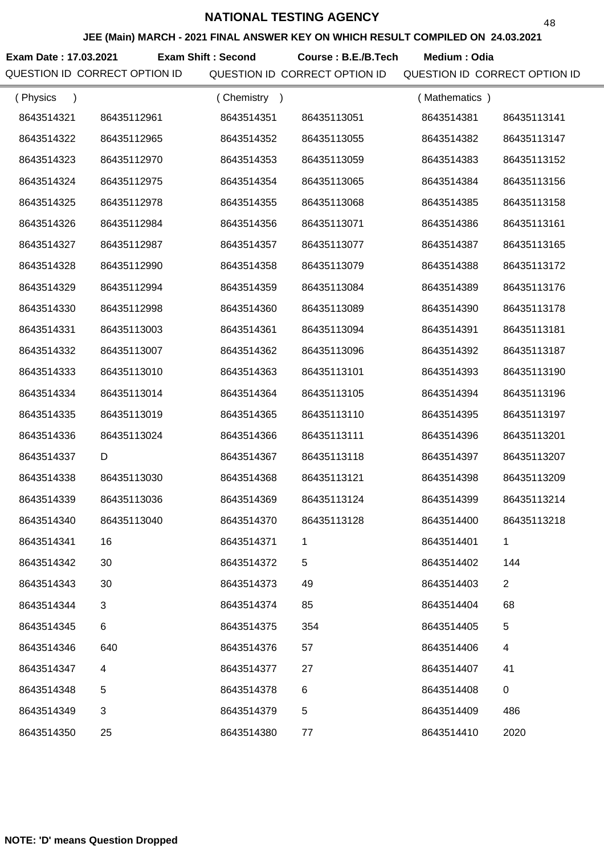**JEE (Main) MARCH - 2021 FINAL ANSWER KEY ON WHICH RESULT COMPILED ON 24.03.2021**

**Exam Date : 17.03.2021 Exam Shift : Second Course : B.E./B.Tech Medium : Odia** 

| (Physics<br>$\lambda$ |             | Chemistry<br>$\rightarrow$ |             | (Mathematics) |                |
|-----------------------|-------------|----------------------------|-------------|---------------|----------------|
| 8643514321            | 86435112961 | 8643514351                 | 86435113051 | 8643514381    | 86435113141    |
| 8643514322            | 86435112965 | 8643514352                 | 86435113055 | 8643514382    | 86435113147    |
| 8643514323            | 86435112970 | 8643514353                 | 86435113059 | 8643514383    | 86435113152    |
| 8643514324            | 86435112975 | 8643514354                 | 86435113065 | 8643514384    | 86435113156    |
| 8643514325            | 86435112978 | 8643514355                 | 86435113068 | 8643514385    | 86435113158    |
| 8643514326            | 86435112984 | 8643514356                 | 86435113071 | 8643514386    | 86435113161    |
| 8643514327            | 86435112987 | 8643514357                 | 86435113077 | 8643514387    | 86435113165    |
| 8643514328            | 86435112990 | 8643514358                 | 86435113079 | 8643514388    | 86435113172    |
| 8643514329            | 86435112994 | 8643514359                 | 86435113084 | 8643514389    | 86435113176    |
| 8643514330            | 86435112998 | 8643514360                 | 86435113089 | 8643514390    | 86435113178    |
| 8643514331            | 86435113003 | 8643514361                 | 86435113094 | 8643514391    | 86435113181    |
| 8643514332            | 86435113007 | 8643514362                 | 86435113096 | 8643514392    | 86435113187    |
| 8643514333            | 86435113010 | 8643514363                 | 86435113101 | 8643514393    | 86435113190    |
| 8643514334            | 86435113014 | 8643514364                 | 86435113105 | 8643514394    | 86435113196    |
| 8643514335            | 86435113019 | 8643514365                 | 86435113110 | 8643514395    | 86435113197    |
| 8643514336            | 86435113024 | 8643514366                 | 86435113111 | 8643514396    | 86435113201    |
| 8643514337            | D           | 8643514367                 | 86435113118 | 8643514397    | 86435113207    |
| 8643514338            | 86435113030 | 8643514368                 | 86435113121 | 8643514398    | 86435113209    |
| 8643514339            | 86435113036 | 8643514369                 | 86435113124 | 8643514399    | 86435113214    |
| 8643514340            | 86435113040 | 8643514370                 | 86435113128 | 8643514400    | 86435113218    |
| 8643514341            | 16          | 8643514371                 |             | 8643514401    |                |
| 8643514342            | 30          | 8643514372                 | 5           | 8643514402    | 144            |
| 8643514343            | 30          | 8643514373                 | 49          | 8643514403    | $\overline{2}$ |
| 8643514344            | 3           | 8643514374                 | 85          | 8643514404    | 68             |
| 8643514345            | 6           | 8643514375                 | 354         | 8643514405    | 5              |
| 8643514346            | 640         | 8643514376                 | 57          | 8643514406    | 4              |
| 8643514347            | 4           | 8643514377                 | 27          | 8643514407    | 41             |
| 8643514348            | 5           | 8643514378                 | 6           | 8643514408    | $\mathbf 0$    |
| 8643514349            | 3           | 8643514379                 | 5           | 8643514409    | 486            |
| 8643514350            | 25          | 8643514380                 | 77          | 8643514410    | 2020           |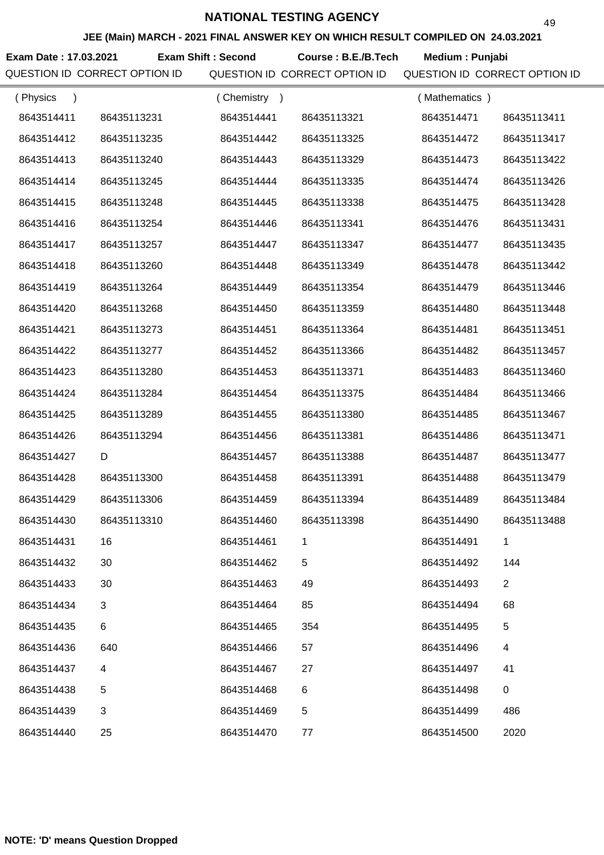**JEE (Main) MARCH - 2021 FINAL ANSWER KEY ON WHICH RESULT COMPILED ON 24.03.2021**

**Exam Date : 17.03.2021 Course : B.E./B.Tech Medium : Punjabi Exam Shift : Second**

| (Physics<br>$\lambda$ |             | (Chemistry) |             | (Mathematics) |                |
|-----------------------|-------------|-------------|-------------|---------------|----------------|
| 8643514411            | 86435113231 | 8643514441  | 86435113321 | 8643514471    | 86435113411    |
| 8643514412            | 86435113235 | 8643514442  | 86435113325 | 8643514472    | 86435113417    |
| 8643514413            | 86435113240 | 8643514443  | 86435113329 | 8643514473    | 86435113422    |
| 8643514414            | 86435113245 | 8643514444  | 86435113335 | 8643514474    | 86435113426    |
| 8643514415            | 86435113248 | 8643514445  | 86435113338 | 8643514475    | 86435113428    |
| 8643514416            | 86435113254 | 8643514446  | 86435113341 | 8643514476    | 86435113431    |
| 8643514417            | 86435113257 | 8643514447  | 86435113347 | 8643514477    | 86435113435    |
| 8643514418            | 86435113260 | 8643514448  | 86435113349 | 8643514478    | 86435113442    |
| 8643514419            | 86435113264 | 8643514449  | 86435113354 | 8643514479    | 86435113446    |
| 8643514420            | 86435113268 | 8643514450  | 86435113359 | 8643514480    | 86435113448    |
| 8643514421            | 86435113273 | 8643514451  | 86435113364 | 8643514481    | 86435113451    |
| 8643514422            | 86435113277 | 8643514452  | 86435113366 | 8643514482    | 86435113457    |
| 8643514423            | 86435113280 | 8643514453  | 86435113371 | 8643514483    | 86435113460    |
| 8643514424            | 86435113284 | 8643514454  | 86435113375 | 8643514484    | 86435113466    |
| 8643514425            | 86435113289 | 8643514455  | 86435113380 | 8643514485    | 86435113467    |
| 8643514426            | 86435113294 | 8643514456  | 86435113381 | 8643514486    | 86435113471    |
| 8643514427            | D           | 8643514457  | 86435113388 | 8643514487    | 86435113477    |
| 8643514428            | 86435113300 | 8643514458  | 86435113391 | 8643514488    | 86435113479    |
| 8643514429            | 86435113306 | 8643514459  | 86435113394 | 8643514489    | 86435113484    |
| 8643514430            | 86435113310 | 8643514460  | 86435113398 | 8643514490    | 86435113488    |
| 8643514431            | 16          | 8643514461  |             | 8643514491    |                |
| 8643514432            | 30          | 8643514462  | 5           | 8643514492    | 144            |
| 8643514433            | 30          | 8643514463  | 49          | 8643514493    | $\overline{2}$ |
| 8643514434            | 3           | 8643514464  | 85          | 8643514494    | 68             |
| 8643514435            | 6           | 8643514465  | 354         | 8643514495    | 5              |
| 8643514436            | 640         | 8643514466  | 57          | 8643514496    | 4              |
| 8643514437            | 4           | 8643514467  | 27          | 8643514497    | 41             |
| 8643514438            | 5           | 8643514468  | 6           | 8643514498    | 0              |
| 8643514439            | 3           | 8643514469  | 5           | 8643514499    | 486            |
| 8643514440            | 25          | 8643514470  | 77          | 8643514500    | 2020           |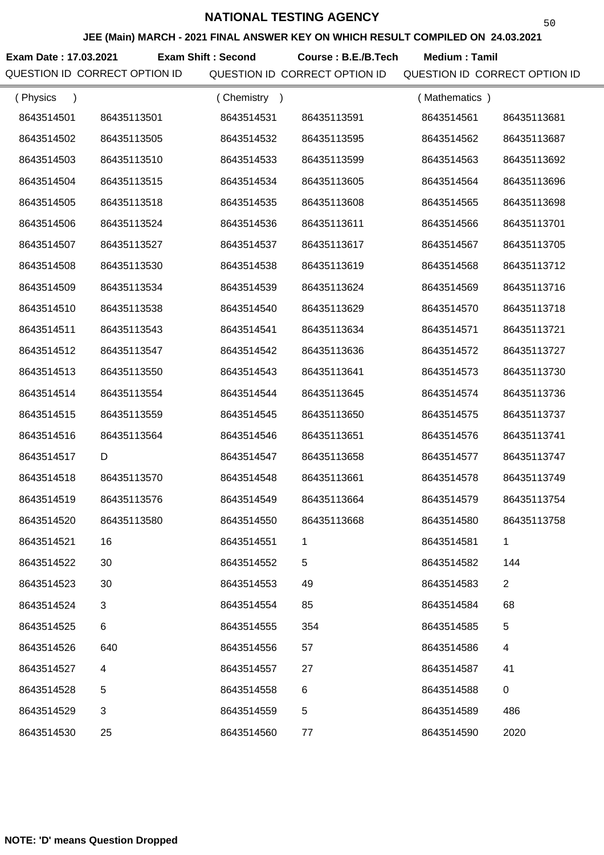**JEE (Main) MARCH - 2021 FINAL ANSWER KEY ON WHICH RESULT COMPILED ON 24.03.2021**

**Exam Date : 17.03.2021 Exam Shift : Second Course : B.E./B.Tech Medium : Tamil** 

| (Physics<br>$\lambda$ |             | (Chemistry)<br>$\rightarrow$ |             | (Mathematics) |                |
|-----------------------|-------------|------------------------------|-------------|---------------|----------------|
| 8643514501            | 86435113501 | 8643514531                   | 86435113591 | 8643514561    | 86435113681    |
| 8643514502            | 86435113505 | 8643514532                   | 86435113595 | 8643514562    | 86435113687    |
| 8643514503            | 86435113510 | 8643514533                   | 86435113599 | 8643514563    | 86435113692    |
| 8643514504            | 86435113515 | 8643514534                   | 86435113605 | 8643514564    | 86435113696    |
| 8643514505            | 86435113518 | 8643514535                   | 86435113608 | 8643514565    | 86435113698    |
| 8643514506            | 86435113524 | 8643514536                   | 86435113611 | 8643514566    | 86435113701    |
| 8643514507            | 86435113527 | 8643514537                   | 86435113617 | 8643514567    | 86435113705    |
| 8643514508            | 86435113530 | 8643514538                   | 86435113619 | 8643514568    | 86435113712    |
| 8643514509            | 86435113534 | 8643514539                   | 86435113624 | 8643514569    | 86435113716    |
| 8643514510            | 86435113538 | 8643514540                   | 86435113629 | 8643514570    | 86435113718    |
| 8643514511            | 86435113543 | 8643514541                   | 86435113634 | 8643514571    | 86435113721    |
| 8643514512            | 86435113547 | 8643514542                   | 86435113636 | 8643514572    | 86435113727    |
| 8643514513            | 86435113550 | 8643514543                   | 86435113641 | 8643514573    | 86435113730    |
| 8643514514            | 86435113554 | 8643514544                   | 86435113645 | 8643514574    | 86435113736    |
| 8643514515            | 86435113559 | 8643514545                   | 86435113650 | 8643514575    | 86435113737    |
| 8643514516            | 86435113564 | 8643514546                   | 86435113651 | 8643514576    | 86435113741    |
| 8643514517            | D           | 8643514547                   | 86435113658 | 8643514577    | 86435113747    |
| 8643514518            | 86435113570 | 8643514548                   | 86435113661 | 8643514578    | 86435113749    |
| 8643514519            | 86435113576 | 8643514549                   | 86435113664 | 8643514579    | 86435113754    |
| 8643514520            | 86435113580 | 8643514550                   | 86435113668 | 8643514580    | 86435113758    |
| 8643514521            | 16          | 8643514551                   |             | 8643514581    |                |
| 8643514522            | 30          | 8643514552                   | 5           | 8643514582    | 144            |
| 8643514523            | 30          | 8643514553                   | 49          | 8643514583    | $\overline{2}$ |
| 8643514524            | 3           | 8643514554                   | 85          | 8643514584    | 68             |
| 8643514525            | 6           | 8643514555                   | 354         | 8643514585    | 5              |
| 8643514526            | 640         | 8643514556                   | 57          | 8643514586    | 4              |
| 8643514527            | 4           | 8643514557                   | 27          | 8643514587    | 41             |
| 8643514528            | 5           | 8643514558                   | 6           | 8643514588    | $\pmb{0}$      |
| 8643514529            | 3           | 8643514559                   | 5           | 8643514589    | 486            |
| 8643514530            | 25          | 8643514560                   | 77          | 8643514590    | 2020           |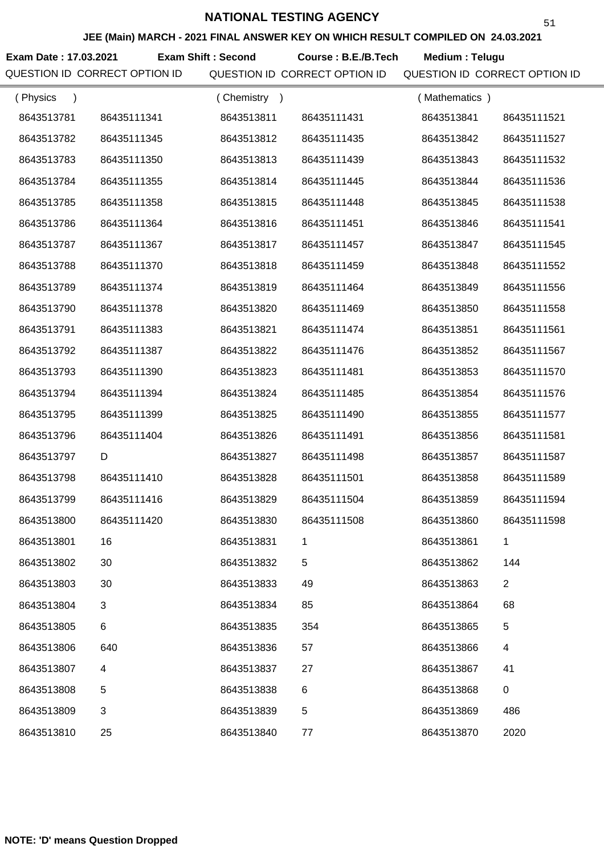**JEE (Main) MARCH - 2021 FINAL ANSWER KEY ON WHICH RESULT COMPILED ON 24.03.2021**

**Exam Date : 17.03.2021 Course : B.E./B.Tech Medium : Telugu Exam Shift : Second**

| (Physics<br>$\lambda$ |             | (Chemistry) |             | (Mathematics) |                |
|-----------------------|-------------|-------------|-------------|---------------|----------------|
| 8643513781            | 86435111341 | 8643513811  | 86435111431 | 8643513841    | 86435111521    |
| 8643513782            | 86435111345 | 8643513812  | 86435111435 | 8643513842    | 86435111527    |
| 8643513783            | 86435111350 | 8643513813  | 86435111439 | 8643513843    | 86435111532    |
| 8643513784            | 86435111355 | 8643513814  | 86435111445 | 8643513844    | 86435111536    |
| 8643513785            | 86435111358 | 8643513815  | 86435111448 | 8643513845    | 86435111538    |
| 8643513786            | 86435111364 | 8643513816  | 86435111451 | 8643513846    | 86435111541    |
| 8643513787            | 86435111367 | 8643513817  | 86435111457 | 8643513847    | 86435111545    |
| 8643513788            | 86435111370 | 8643513818  | 86435111459 | 8643513848    | 86435111552    |
| 8643513789            | 86435111374 | 8643513819  | 86435111464 | 8643513849    | 86435111556    |
| 8643513790            | 86435111378 | 8643513820  | 86435111469 | 8643513850    | 86435111558    |
| 8643513791            | 86435111383 | 8643513821  | 86435111474 | 8643513851    | 86435111561    |
| 8643513792            | 86435111387 | 8643513822  | 86435111476 | 8643513852    | 86435111567    |
| 8643513793            | 86435111390 | 8643513823  | 86435111481 | 8643513853    | 86435111570    |
| 8643513794            | 86435111394 | 8643513824  | 86435111485 | 8643513854    | 86435111576    |
| 8643513795            | 86435111399 | 8643513825  | 86435111490 | 8643513855    | 86435111577    |
| 8643513796            | 86435111404 | 8643513826  | 86435111491 | 8643513856    | 86435111581    |
| 8643513797            | D           | 8643513827  | 86435111498 | 8643513857    | 86435111587    |
| 8643513798            | 86435111410 | 8643513828  | 86435111501 | 8643513858    | 86435111589    |
| 8643513799            | 86435111416 | 8643513829  | 86435111504 | 8643513859    | 86435111594    |
| 8643513800            | 86435111420 | 8643513830  | 86435111508 | 8643513860    | 86435111598    |
| 8643513801            | 16          | 8643513831  |             | 8643513861    |                |
| 8643513802            | 30          | 8643513832  | 5           | 8643513862    | 144            |
| 8643513803            | 30          | 8643513833  | 49          | 8643513863    | $\overline{2}$ |
| 8643513804            | 3           | 8643513834  | 85          | 8643513864    | 68             |
| 8643513805            | 6           | 8643513835  | 354         | 8643513865    | 5              |
| 8643513806            | 640         | 8643513836  | 57          | 8643513866    | 4              |
| 8643513807            | 4           | 8643513837  | 27          | 8643513867    | 41             |
| 8643513808            | 5           | 8643513838  | 6           | 8643513868    | $\pmb{0}$      |
| 8643513809            | 3           | 8643513839  | 5           | 8643513869    | 486            |
| 8643513810            | 25          | 8643513840  | 77          | 8643513870    | 2020           |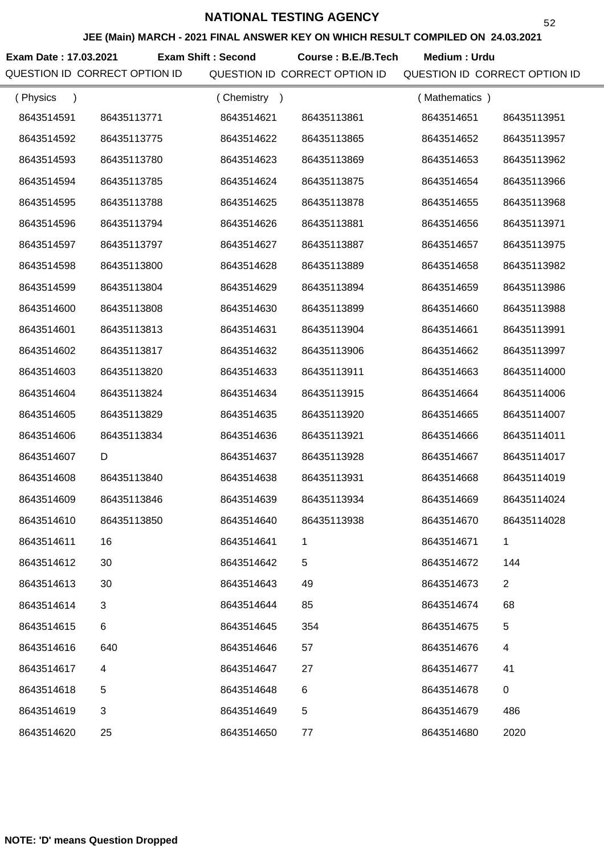**JEE (Main) MARCH - 2021 FINAL ANSWER KEY ON WHICH RESULT COMPILED ON 24.03.2021**

**Exam Date : 17.03.2021 Exam Shift : Second Course : B.E./B.Tech Medium : Urdu** 

| (Physics<br>$\lambda$ |             | (Chemistry) |             | (Mathematics) |                |
|-----------------------|-------------|-------------|-------------|---------------|----------------|
| 8643514591            | 86435113771 | 8643514621  | 86435113861 | 8643514651    | 86435113951    |
| 8643514592            | 86435113775 | 8643514622  | 86435113865 | 8643514652    | 86435113957    |
| 8643514593            | 86435113780 | 8643514623  | 86435113869 | 8643514653    | 86435113962    |
| 8643514594            | 86435113785 | 8643514624  | 86435113875 | 8643514654    | 86435113966    |
| 8643514595            | 86435113788 | 8643514625  | 86435113878 | 8643514655    | 86435113968    |
| 8643514596            | 86435113794 | 8643514626  | 86435113881 | 8643514656    | 86435113971    |
| 8643514597            | 86435113797 | 8643514627  | 86435113887 | 8643514657    | 86435113975    |
| 8643514598            | 86435113800 | 8643514628  | 86435113889 | 8643514658    | 86435113982    |
| 8643514599            | 86435113804 | 8643514629  | 86435113894 | 8643514659    | 86435113986    |
| 8643514600            | 86435113808 | 8643514630  | 86435113899 | 8643514660    | 86435113988    |
| 8643514601            | 86435113813 | 8643514631  | 86435113904 | 8643514661    | 86435113991    |
| 8643514602            | 86435113817 | 8643514632  | 86435113906 | 8643514662    | 86435113997    |
| 8643514603            | 86435113820 | 8643514633  | 86435113911 | 8643514663    | 86435114000    |
| 8643514604            | 86435113824 | 8643514634  | 86435113915 | 8643514664    | 86435114006    |
| 8643514605            | 86435113829 | 8643514635  | 86435113920 | 8643514665    | 86435114007    |
| 8643514606            | 86435113834 | 8643514636  | 86435113921 | 8643514666    | 86435114011    |
| 8643514607            | D           | 8643514637  | 86435113928 | 8643514667    | 86435114017    |
| 8643514608            | 86435113840 | 8643514638  | 86435113931 | 8643514668    | 86435114019    |
| 8643514609            | 86435113846 | 8643514639  | 86435113934 | 8643514669    | 86435114024    |
| 8643514610            | 86435113850 | 8643514640  | 86435113938 | 8643514670    | 86435114028    |
| 8643514611            | 16          | 8643514641  |             | 8643514671    |                |
| 8643514612            | 30          | 8643514642  | 5           | 8643514672    | 144            |
| 8643514613            | 30          | 8643514643  | 49          | 8643514673    | $\overline{2}$ |
| 8643514614            | 3           | 8643514644  | 85          | 8643514674    | 68             |
| 8643514615            | 6           | 8643514645  | 354         | 8643514675    | 5              |
| 8643514616            | 640         | 8643514646  | 57          | 8643514676    | 4              |
| 8643514617            | 4           | 8643514647  | 27          | 8643514677    | 41             |
| 8643514618            | 5           | 8643514648  | 6           | 8643514678    | 0              |
| 8643514619            | 3           | 8643514649  | 5           | 8643514679    | 486            |
| 8643514620            | 25          | 8643514650  | 77          | 8643514680    | 2020           |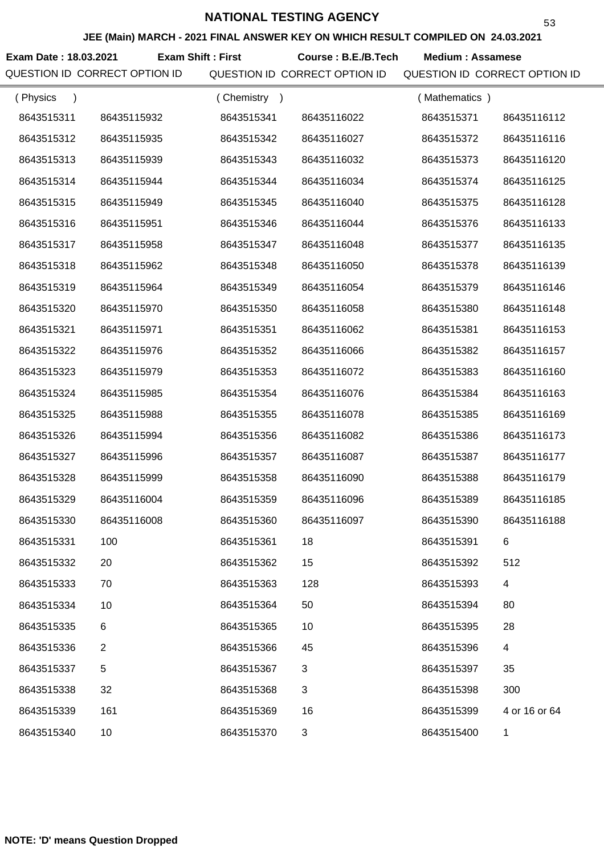**JEE (Main) MARCH - 2021 FINAL ANSWER KEY ON WHICH RESULT COMPILED ON 24.03.2021**

**Exam Date : 18.03.2021 Course : B.E./B.Tech Medium : Assamese Exam Shift : First**

| (Physics<br>$\lambda$ |             | (Chemistry) |             | (Mathematics) |               |
|-----------------------|-------------|-------------|-------------|---------------|---------------|
| 8643515311            | 86435115932 | 8643515341  | 86435116022 | 8643515371    | 86435116112   |
| 8643515312            | 86435115935 | 8643515342  | 86435116027 | 8643515372    | 86435116116   |
| 8643515313            | 86435115939 | 8643515343  | 86435116032 | 8643515373    | 86435116120   |
| 8643515314            | 86435115944 | 8643515344  | 86435116034 | 8643515374    | 86435116125   |
| 8643515315            | 86435115949 | 8643515345  | 86435116040 | 8643515375    | 86435116128   |
| 8643515316            | 86435115951 | 8643515346  | 86435116044 | 8643515376    | 86435116133   |
| 8643515317            | 86435115958 | 8643515347  | 86435116048 | 8643515377    | 86435116135   |
| 8643515318            | 86435115962 | 8643515348  | 86435116050 | 8643515378    | 86435116139   |
| 8643515319            | 86435115964 | 8643515349  | 86435116054 | 8643515379    | 86435116146   |
| 8643515320            | 86435115970 | 8643515350  | 86435116058 | 8643515380    | 86435116148   |
| 8643515321            | 86435115971 | 8643515351  | 86435116062 | 8643515381    | 86435116153   |
| 8643515322            | 86435115976 | 8643515352  | 86435116066 | 8643515382    | 86435116157   |
| 8643515323            | 86435115979 | 8643515353  | 86435116072 | 8643515383    | 86435116160   |
| 8643515324            | 86435115985 | 8643515354  | 86435116076 | 8643515384    | 86435116163   |
| 8643515325            | 86435115988 | 8643515355  | 86435116078 | 8643515385    | 86435116169   |
| 8643515326            | 86435115994 | 8643515356  | 86435116082 | 8643515386    | 86435116173   |
| 8643515327            | 86435115996 | 8643515357  | 86435116087 | 8643515387    | 86435116177   |
| 8643515328            | 86435115999 | 8643515358  | 86435116090 | 8643515388    | 86435116179   |
| 8643515329            | 86435116004 | 8643515359  | 86435116096 | 8643515389    | 86435116185   |
| 8643515330            | 86435116008 | 8643515360  | 86435116097 | 8643515390    | 86435116188   |
| 8643515331            | 100         | 8643515361  | 18          | 8643515391    | 6             |
| 8643515332            | 20          | 8643515362  | 15          | 8643515392    | 512           |
| 8643515333            | 70          | 8643515363  | 128         | 8643515393    | 4             |
| 8643515334            | 10          | 8643515364  | 50          | 8643515394    | 80            |
| 8643515335            | 6           | 8643515365  | 10          | 8643515395    | 28            |
| 8643515336            | 2           | 8643515366  | 45          | 8643515396    | 4             |
| 8643515337            | 5           | 8643515367  | 3           | 8643515397    | 35            |
| 8643515338            | 32          | 8643515368  | 3           | 8643515398    | 300           |
| 8643515339            | 161         | 8643515369  | 16          | 8643515399    | 4 or 16 or 64 |
| 8643515340            | 10          | 8643515370  | 3           | 8643515400    | 1             |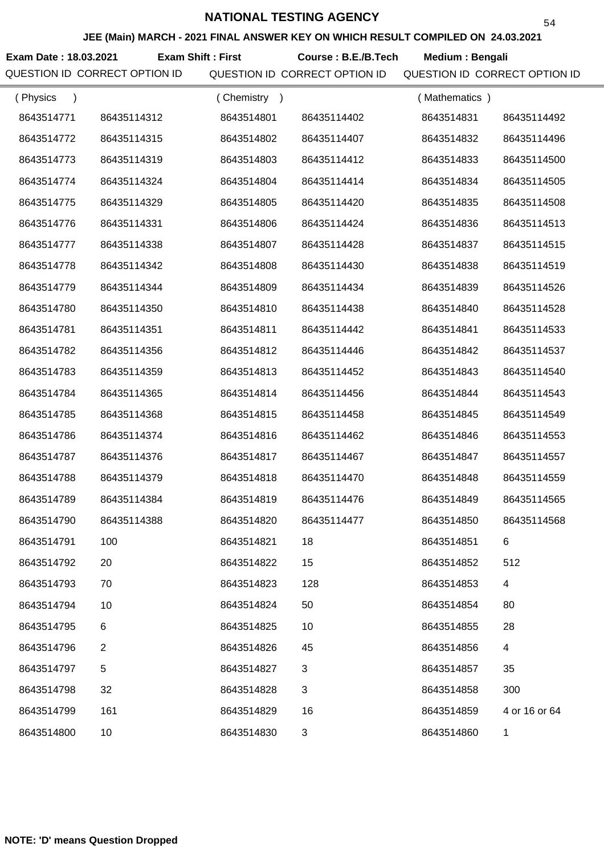**Exam Date : 18.03.2021 Course : B.E./B.Tech Medium : Bengali Exam Shift : First**

| (Physics<br>$\rightarrow$ |                | (Chemistry<br>$\rightarrow$ |             | (Mathematics) |               |
|---------------------------|----------------|-----------------------------|-------------|---------------|---------------|
| 8643514771                | 86435114312    | 8643514801                  | 86435114402 | 8643514831    | 86435114492   |
| 8643514772                | 86435114315    | 8643514802                  | 86435114407 | 8643514832    | 86435114496   |
| 8643514773                | 86435114319    | 8643514803                  | 86435114412 | 8643514833    | 86435114500   |
| 8643514774                | 86435114324    | 8643514804                  | 86435114414 | 8643514834    | 86435114505   |
| 8643514775                | 86435114329    | 8643514805                  | 86435114420 | 8643514835    | 86435114508   |
| 8643514776                | 86435114331    | 8643514806                  | 86435114424 | 8643514836    | 86435114513   |
| 8643514777                | 86435114338    | 8643514807                  | 86435114428 | 8643514837    | 86435114515   |
| 8643514778                | 86435114342    | 8643514808                  | 86435114430 | 8643514838    | 86435114519   |
| 8643514779                | 86435114344    | 8643514809                  | 86435114434 | 8643514839    | 86435114526   |
| 8643514780                | 86435114350    | 8643514810                  | 86435114438 | 8643514840    | 86435114528   |
| 8643514781                | 86435114351    | 8643514811                  | 86435114442 | 8643514841    | 86435114533   |
| 8643514782                | 86435114356    | 8643514812                  | 86435114446 | 8643514842    | 86435114537   |
| 8643514783                | 86435114359    | 8643514813                  | 86435114452 | 8643514843    | 86435114540   |
| 8643514784                | 86435114365    | 8643514814                  | 86435114456 | 8643514844    | 86435114543   |
| 8643514785                | 86435114368    | 8643514815                  | 86435114458 | 8643514845    | 86435114549   |
| 8643514786                | 86435114374    | 8643514816                  | 86435114462 | 8643514846    | 86435114553   |
| 8643514787                | 86435114376    | 8643514817                  | 86435114467 | 8643514847    | 86435114557   |
| 8643514788                | 86435114379    | 8643514818                  | 86435114470 | 8643514848    | 86435114559   |
| 8643514789                | 86435114384    | 8643514819                  | 86435114476 | 8643514849    | 86435114565   |
| 8643514790                | 86435114388    | 8643514820                  | 86435114477 | 8643514850    | 86435114568   |
| 8643514791                | 100            | 8643514821                  | 18          | 8643514851    | 6             |
| 8643514792                | 20             | 8643514822                  | 15          | 8643514852    | 512           |
| 8643514793                | 70             | 8643514823                  | 128         | 8643514853    | 4             |
| 8643514794                | 10             | 8643514824                  | 50          | 8643514854    | 80            |
| 8643514795                | 6              | 8643514825                  | 10          | 8643514855    | 28            |
| 8643514796                | $\overline{2}$ | 8643514826                  | 45          | 8643514856    | 4             |
| 8643514797                | 5              | 8643514827                  | 3           | 8643514857    | 35            |
| 8643514798                | 32             | 8643514828                  | 3           | 8643514858    | 300           |
| 8643514799                | 161            | 8643514829                  | 16          | 8643514859    | 4 or 16 or 64 |
| 8643514800                | 10             | 8643514830                  | 3           | 8643514860    | 1             |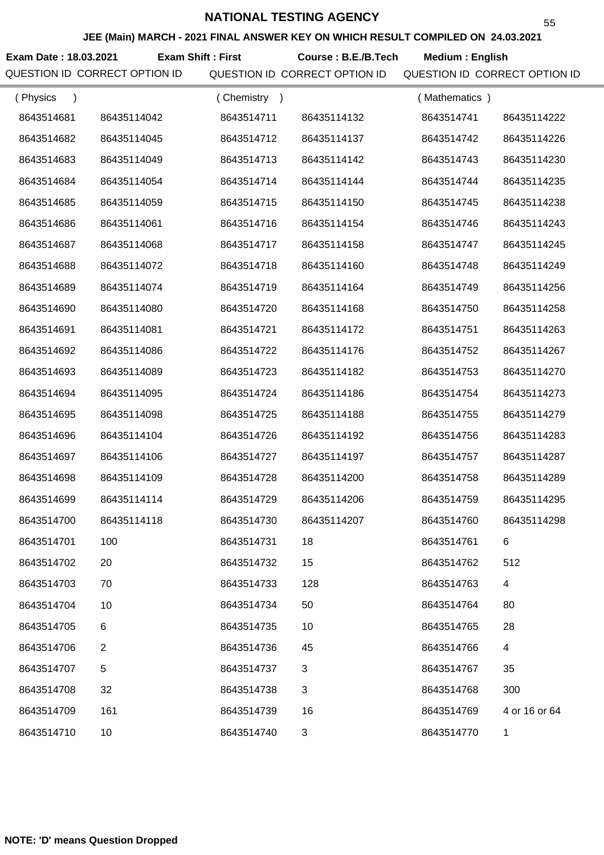**JEE (Main) MARCH - 2021 FINAL ANSWER KEY ON WHICH RESULT COMPILED ON 24.03.2021**

**Exam Date : 18.03.2021 Course : B.E./B.Tech Medium : English Exam Shift : First**

| (Physics<br>$\lambda$ |                | (Chemistry<br>$\rightarrow$ |             | (Mathematics) |               |
|-----------------------|----------------|-----------------------------|-------------|---------------|---------------|
| 8643514681            | 86435114042    | 8643514711                  | 86435114132 | 8643514741    | 86435114222   |
| 8643514682            | 86435114045    | 8643514712                  | 86435114137 | 8643514742    | 86435114226   |
| 8643514683            | 86435114049    | 8643514713                  | 86435114142 | 8643514743    | 86435114230   |
| 8643514684            | 86435114054    | 8643514714                  | 86435114144 | 8643514744    | 86435114235   |
| 8643514685            | 86435114059    | 8643514715                  | 86435114150 | 8643514745    | 86435114238   |
| 8643514686            | 86435114061    | 8643514716                  | 86435114154 | 8643514746    | 86435114243   |
| 8643514687            | 86435114068    | 8643514717                  | 86435114158 | 8643514747    | 86435114245   |
| 8643514688            | 86435114072    | 8643514718                  | 86435114160 | 8643514748    | 86435114249   |
| 8643514689            | 86435114074    | 8643514719                  | 86435114164 | 8643514749    | 86435114256   |
| 8643514690            | 86435114080    | 8643514720                  | 86435114168 | 8643514750    | 86435114258   |
| 8643514691            | 86435114081    | 8643514721                  | 86435114172 | 8643514751    | 86435114263   |
| 8643514692            | 86435114086    | 8643514722                  | 86435114176 | 8643514752    | 86435114267   |
| 8643514693            | 86435114089    | 8643514723                  | 86435114182 | 8643514753    | 86435114270   |
| 8643514694            | 86435114095    | 8643514724                  | 86435114186 | 8643514754    | 86435114273   |
| 8643514695            | 86435114098    | 8643514725                  | 86435114188 | 8643514755    | 86435114279   |
| 8643514696            | 86435114104    | 8643514726                  | 86435114192 | 8643514756    | 86435114283   |
| 8643514697            | 86435114106    | 8643514727                  | 86435114197 | 8643514757    | 86435114287   |
| 8643514698            | 86435114109    | 8643514728                  | 86435114200 | 8643514758    | 86435114289   |
| 8643514699            | 86435114114    | 8643514729                  | 86435114206 | 8643514759    | 86435114295   |
| 8643514700            | 86435114118    | 8643514730                  | 86435114207 | 8643514760    | 86435114298   |
| 8643514701            | 100            | 8643514731                  | 18          | 8643514761    | 6             |
| 8643514702            | 20             | 8643514732                  | 15          | 8643514762    | 512           |
| 8643514703            | 70             | 8643514733                  | 128         | 8643514763    | 4             |
| 8643514704            | 10             | 8643514734                  | 50          | 8643514764    | 80            |
| 8643514705            | 6              | 8643514735                  | 10          | 8643514765    | 28            |
| 8643514706            | $\overline{2}$ | 8643514736                  | 45          | 8643514766    | 4             |
| 8643514707            | 5              | 8643514737                  | 3           | 8643514767    | 35            |
| 8643514708            | 32             | 8643514738                  | 3           | 8643514768    | 300           |
| 8643514709            | 161            | 8643514739                  | 16          | 8643514769    | 4 or 16 or 64 |
| 8643514710            | 10             | 8643514740                  | 3           | 8643514770    | 1             |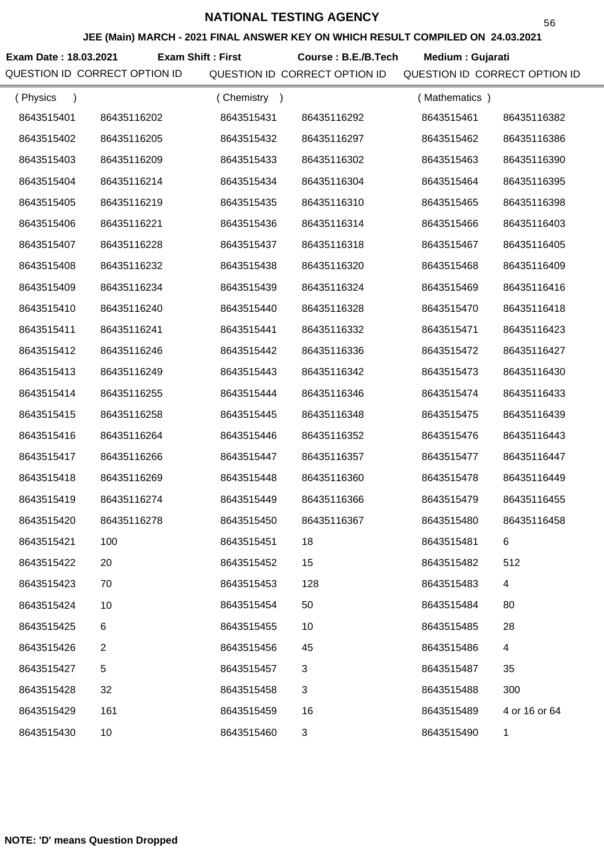**JEE (Main) MARCH - 2021 FINAL ANSWER KEY ON WHICH RESULT COMPILED ON 24.03.2021**

**Exam Date : 18.03.2021 Exam Shift : First Course : B.E./B.Tech Medium : Gujarati** 

| (Physics   |             | (Chemistry) |             | (Mathematics) |               |
|------------|-------------|-------------|-------------|---------------|---------------|
| 8643515401 | 86435116202 | 8643515431  | 86435116292 | 8643515461    | 86435116382   |
| 8643515402 | 86435116205 | 8643515432  | 86435116297 | 8643515462    | 86435116386   |
| 8643515403 | 86435116209 | 8643515433  | 86435116302 | 8643515463    | 86435116390   |
| 8643515404 | 86435116214 | 8643515434  | 86435116304 | 8643515464    | 86435116395   |
| 8643515405 | 86435116219 | 8643515435  | 86435116310 | 8643515465    | 86435116398   |
| 8643515406 | 86435116221 | 8643515436  | 86435116314 | 8643515466    | 86435116403   |
| 8643515407 | 86435116228 | 8643515437  | 86435116318 | 8643515467    | 86435116405   |
| 8643515408 | 86435116232 | 8643515438  | 86435116320 | 8643515468    | 86435116409   |
| 8643515409 | 86435116234 | 8643515439  | 86435116324 | 8643515469    | 86435116416   |
| 8643515410 | 86435116240 | 8643515440  | 86435116328 | 8643515470    | 86435116418   |
| 8643515411 | 86435116241 | 8643515441  | 86435116332 | 8643515471    | 86435116423   |
| 8643515412 | 86435116246 | 8643515442  | 86435116336 | 8643515472    | 86435116427   |
| 8643515413 | 86435116249 | 8643515443  | 86435116342 | 8643515473    | 86435116430   |
| 8643515414 | 86435116255 | 8643515444  | 86435116346 | 8643515474    | 86435116433   |
| 8643515415 | 86435116258 | 8643515445  | 86435116348 | 8643515475    | 86435116439   |
| 8643515416 | 86435116264 | 8643515446  | 86435116352 | 8643515476    | 86435116443   |
| 8643515417 | 86435116266 | 8643515447  | 86435116357 | 8643515477    | 86435116447   |
| 8643515418 | 86435116269 | 8643515448  | 86435116360 | 8643515478    | 86435116449   |
| 8643515419 | 86435116274 | 8643515449  | 86435116366 | 8643515479    | 86435116455   |
| 8643515420 | 86435116278 | 8643515450  | 86435116367 | 8643515480    | 86435116458   |
| 8643515421 | 100         | 8643515451  | 18          | 8643515481    | 6             |
| 8643515422 | 20          | 8643515452  | 15          | 8643515482    | 512           |
| 8643515423 | 70          | 8643515453  | 128         | 8643515483    | 4             |
| 8643515424 | 10          | 8643515454  | 50          | 8643515484    | 80            |
| 8643515425 | 6           | 8643515455  | 10          | 8643515485    | 28            |
| 8643515426 | 2           | 8643515456  | 45          | 8643515486    | 4             |
| 8643515427 | 5           | 8643515457  | 3           | 8643515487    | 35            |
| 8643515428 | 32          | 8643515458  | 3           | 8643515488    | 300           |
| 8643515429 | 161         | 8643515459  | 16          | 8643515489    | 4 or 16 or 64 |
| 8643515430 | 10          | 8643515460  | 3           | 8643515490    | $\mathbf{1}$  |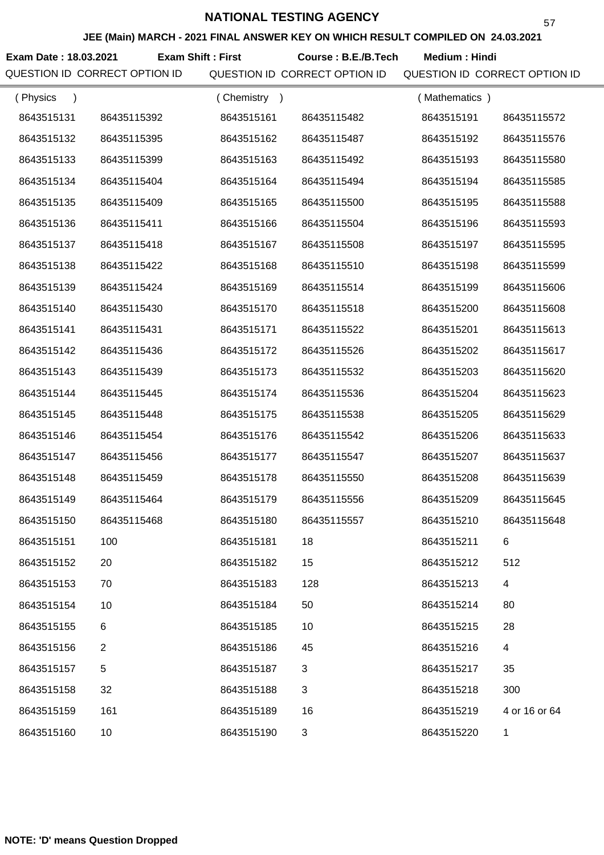**JEE (Main) MARCH - 2021 FINAL ANSWER KEY ON WHICH RESULT COMPILED ON 24.03.2021**

Exam Date : 18.03.2021 Exam Shift : First Course : B.E./B.Tech Medium : Hindi

| (Physics<br>$\lambda$ |                | (Chemistry) |             | (Mathematics) |               |
|-----------------------|----------------|-------------|-------------|---------------|---------------|
| 8643515131            | 86435115392    | 8643515161  | 86435115482 | 8643515191    | 86435115572   |
| 8643515132            | 86435115395    | 8643515162  | 86435115487 | 8643515192    | 86435115576   |
| 8643515133            | 86435115399    | 8643515163  | 86435115492 | 8643515193    | 86435115580   |
| 8643515134            | 86435115404    | 8643515164  | 86435115494 | 8643515194    | 86435115585   |
| 8643515135            | 86435115409    | 8643515165  | 86435115500 | 8643515195    | 86435115588   |
| 8643515136            | 86435115411    | 8643515166  | 86435115504 | 8643515196    | 86435115593   |
| 8643515137            | 86435115418    | 8643515167  | 86435115508 | 8643515197    | 86435115595   |
| 8643515138            | 86435115422    | 8643515168  | 86435115510 | 8643515198    | 86435115599   |
| 8643515139            | 86435115424    | 8643515169  | 86435115514 | 8643515199    | 86435115606   |
| 8643515140            | 86435115430    | 8643515170  | 86435115518 | 8643515200    | 86435115608   |
| 8643515141            | 86435115431    | 8643515171  | 86435115522 | 8643515201    | 86435115613   |
| 8643515142            | 86435115436    | 8643515172  | 86435115526 | 8643515202    | 86435115617   |
| 8643515143            | 86435115439    | 8643515173  | 86435115532 | 8643515203    | 86435115620   |
| 8643515144            | 86435115445    | 8643515174  | 86435115536 | 8643515204    | 86435115623   |
| 8643515145            | 86435115448    | 8643515175  | 86435115538 | 8643515205    | 86435115629   |
| 8643515146            | 86435115454    | 8643515176  | 86435115542 | 8643515206    | 86435115633   |
| 8643515147            | 86435115456    | 8643515177  | 86435115547 | 8643515207    | 86435115637   |
| 8643515148            | 86435115459    | 8643515178  | 86435115550 | 8643515208    | 86435115639   |
| 8643515149            | 86435115464    | 8643515179  | 86435115556 | 8643515209    | 86435115645   |
| 8643515150            | 86435115468    | 8643515180  | 86435115557 | 8643515210    | 86435115648   |
| 8643515151            | 100            | 8643515181  | 18          | 8643515211    | 6             |
| 8643515152            | 20             | 8643515182  | 15          | 8643515212    | 512           |
| 8643515153            | 70             | 8643515183  | 128         | 8643515213    | 4             |
| 8643515154            | 10             | 8643515184  | 50          | 8643515214    | 80            |
| 8643515155            | 6              | 8643515185  | 10          | 8643515215    | 28            |
| 8643515156            | $\overline{2}$ | 8643515186  | 45          | 8643515216    | 4             |
| 8643515157            | $\,$ 5 $\,$    | 8643515187  | 3           | 8643515217    | 35            |
| 8643515158            | 32             | 8643515188  | 3           | 8643515218    | 300           |
| 8643515159            | 161            | 8643515189  | 16          | 8643515219    | 4 or 16 or 64 |
| 8643515160            | 10             | 8643515190  | 3           | 8643515220    | 1             |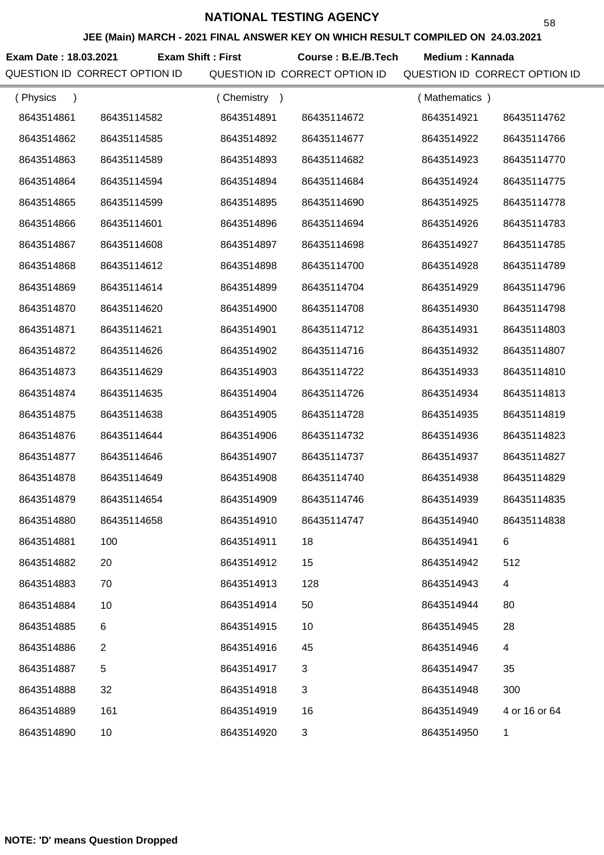**JEE (Main) MARCH - 2021 FINAL ANSWER KEY ON WHICH RESULT COMPILED ON 24.03.2021**

Exam Date : 18.03.2021 Exam Shift : First Course : B.E./B.Tech Medium : Kannada

| (Physics<br>$\lambda$ |             | (Chemistry)<br>$\rightarrow$ |             | (Mathematics) |               |
|-----------------------|-------------|------------------------------|-------------|---------------|---------------|
| 8643514861            | 86435114582 | 8643514891                   | 86435114672 | 8643514921    | 86435114762   |
| 8643514862            | 86435114585 | 8643514892                   | 86435114677 | 8643514922    | 86435114766   |
| 8643514863            | 86435114589 | 8643514893                   | 86435114682 | 8643514923    | 86435114770   |
| 8643514864            | 86435114594 | 8643514894                   | 86435114684 | 8643514924    | 86435114775   |
| 8643514865            | 86435114599 | 8643514895                   | 86435114690 | 8643514925    | 86435114778   |
| 8643514866            | 86435114601 | 8643514896                   | 86435114694 | 8643514926    | 86435114783   |
| 8643514867            | 86435114608 | 8643514897                   | 86435114698 | 8643514927    | 86435114785   |
| 8643514868            | 86435114612 | 8643514898                   | 86435114700 | 8643514928    | 86435114789   |
| 8643514869            | 86435114614 | 8643514899                   | 86435114704 | 8643514929    | 86435114796   |
| 8643514870            | 86435114620 | 8643514900                   | 86435114708 | 8643514930    | 86435114798   |
| 8643514871            | 86435114621 | 8643514901                   | 86435114712 | 8643514931    | 86435114803   |
| 8643514872            | 86435114626 | 8643514902                   | 86435114716 | 8643514932    | 86435114807   |
| 8643514873            | 86435114629 | 8643514903                   | 86435114722 | 8643514933    | 86435114810   |
| 8643514874            | 86435114635 | 8643514904                   | 86435114726 | 8643514934    | 86435114813   |
| 8643514875            | 86435114638 | 8643514905                   | 86435114728 | 8643514935    | 86435114819   |
| 8643514876            | 86435114644 | 8643514906                   | 86435114732 | 8643514936    | 86435114823   |
| 8643514877            | 86435114646 | 8643514907                   | 86435114737 | 8643514937    | 86435114827   |
| 8643514878            | 86435114649 | 8643514908                   | 86435114740 | 8643514938    | 86435114829   |
| 8643514879            | 86435114654 | 8643514909                   | 86435114746 | 8643514939    | 86435114835   |
| 8643514880            | 86435114658 | 8643514910                   | 86435114747 | 8643514940    | 86435114838   |
| 8643514881            | 100         | 8643514911                   | 18          | 8643514941    | 6             |
| 8643514882            | 20          | 8643514912                   | 15          | 8643514942    | 512           |
| 8643514883            | 70          | 8643514913                   | 128         | 8643514943    | 4             |
| 8643514884            | 10          | 8643514914                   | 50          | 8643514944    | 80            |
| 8643514885            | 6           | 8643514915                   | 10          | 8643514945    | 28            |
| 8643514886            | 2           | 8643514916                   | 45          | 8643514946    | 4             |
| 8643514887            | $\mathbf 5$ | 8643514917                   | 3           | 8643514947    | 35            |
| 8643514888            | 32          | 8643514918                   | 3           | 8643514948    | 300           |
| 8643514889            | 161         | 8643514919                   | 16          | 8643514949    | 4 or 16 or 64 |
| 8643514890            | 10          | 8643514920                   | 3           | 8643514950    | 1             |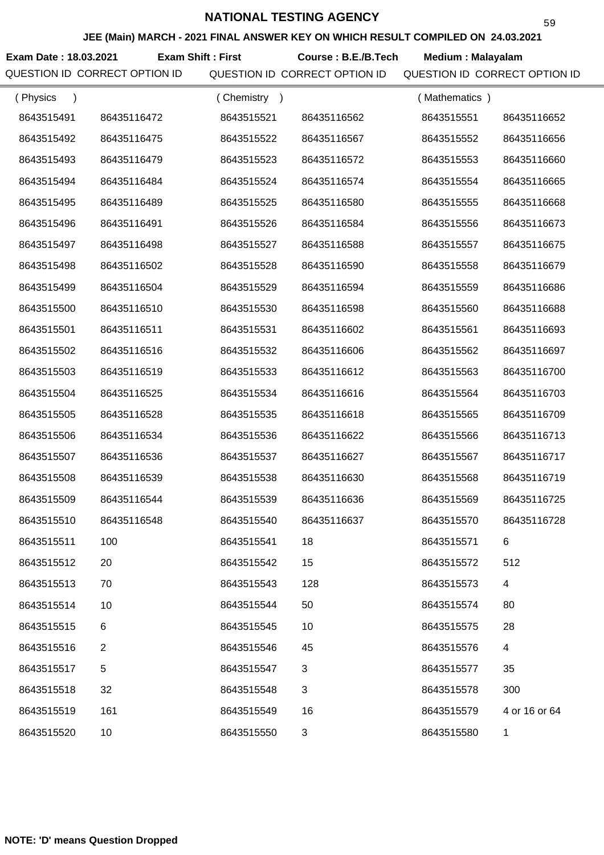**JEE (Main) MARCH - 2021 FINAL ANSWER KEY ON WHICH RESULT COMPILED ON 24.03.2021**

**Exam Date : 18.03.2021 Course : B.E./B.Tech Medium : Malayalam Exam Shift : First**

| (Physics<br>$\lambda$ |             | (Chemistry<br>$\rightarrow$ |             | (Mathematics) |               |
|-----------------------|-------------|-----------------------------|-------------|---------------|---------------|
| 8643515491            | 86435116472 | 8643515521                  | 86435116562 | 8643515551    | 86435116652   |
| 8643515492            | 86435116475 | 8643515522                  | 86435116567 | 8643515552    | 86435116656   |
| 8643515493            | 86435116479 | 8643515523                  | 86435116572 | 8643515553    | 86435116660   |
| 8643515494            | 86435116484 | 8643515524                  | 86435116574 | 8643515554    | 86435116665   |
| 8643515495            | 86435116489 | 8643515525                  | 86435116580 | 8643515555    | 86435116668   |
| 8643515496            | 86435116491 | 8643515526                  | 86435116584 | 8643515556    | 86435116673   |
| 8643515497            | 86435116498 | 8643515527                  | 86435116588 | 8643515557    | 86435116675   |
| 8643515498            | 86435116502 | 8643515528                  | 86435116590 | 8643515558    | 86435116679   |
| 8643515499            | 86435116504 | 8643515529                  | 86435116594 | 8643515559    | 86435116686   |
| 8643515500            | 86435116510 | 8643515530                  | 86435116598 | 8643515560    | 86435116688   |
| 8643515501            | 86435116511 | 8643515531                  | 86435116602 | 8643515561    | 86435116693   |
| 8643515502            | 86435116516 | 8643515532                  | 86435116606 | 8643515562    | 86435116697   |
| 8643515503            | 86435116519 | 8643515533                  | 86435116612 | 8643515563    | 86435116700   |
| 8643515504            | 86435116525 | 8643515534                  | 86435116616 | 8643515564    | 86435116703   |
| 8643515505            | 86435116528 | 8643515535                  | 86435116618 | 8643515565    | 86435116709   |
| 8643515506            | 86435116534 | 8643515536                  | 86435116622 | 8643515566    | 86435116713   |
| 8643515507            | 86435116536 | 8643515537                  | 86435116627 | 8643515567    | 86435116717   |
| 8643515508            | 86435116539 | 8643515538                  | 86435116630 | 8643515568    | 86435116719   |
| 8643515509            | 86435116544 | 8643515539                  | 86435116636 | 8643515569    | 86435116725   |
| 8643515510            | 86435116548 | 8643515540                  | 86435116637 | 8643515570    | 86435116728   |
| 8643515511            | 100         | 8643515541                  | 18          | 8643515571    | 6             |
| 8643515512            | 20          | 8643515542                  | 15          | 8643515572    | 512           |
| 8643515513            | 70          | 8643515543                  | 128         | 8643515573    | 4             |
| 8643515514            | 10          | 8643515544                  | 50          | 8643515574    | 80            |
| 8643515515            | 6           | 8643515545                  | 10          | 8643515575    | 28            |
| 8643515516            | 2           | 8643515546                  | 45          | 8643515576    | 4             |
| 8643515517            | 5           | 8643515547                  | 3           | 8643515577    | 35            |
| 8643515518            | 32          | 8643515548                  | 3           | 8643515578    | 300           |
| 8643515519            | 161         | 8643515549                  | 16          | 8643515579    | 4 or 16 or 64 |
| 8643515520            | 10          | 8643515550                  | 3           | 8643515580    | 1             |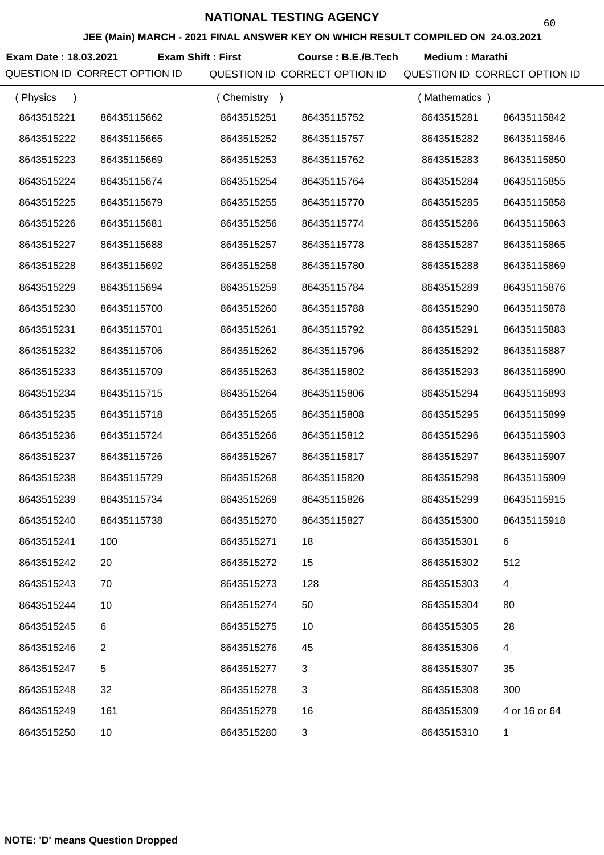**JEE (Main) MARCH - 2021 FINAL ANSWER KEY ON WHICH RESULT COMPILED ON 24.03.2021**

**Exam Date : 18.03.2021 Course : B.E./B.Tech Medium : Marathi Exam Shift : First**

| (Physics<br>$\lambda$ |                | (Chemistry)<br>$\rightarrow$ |             | (Mathematics) |               |
|-----------------------|----------------|------------------------------|-------------|---------------|---------------|
| 8643515221            | 86435115662    | 8643515251                   | 86435115752 | 8643515281    | 86435115842   |
| 8643515222            | 86435115665    | 8643515252                   | 86435115757 | 8643515282    | 86435115846   |
| 8643515223            | 86435115669    | 8643515253                   | 86435115762 | 8643515283    | 86435115850   |
| 8643515224            | 86435115674    | 8643515254                   | 86435115764 | 8643515284    | 86435115855   |
| 8643515225            | 86435115679    | 8643515255                   | 86435115770 | 8643515285    | 86435115858   |
| 8643515226            | 86435115681    | 8643515256                   | 86435115774 | 8643515286    | 86435115863   |
| 8643515227            | 86435115688    | 8643515257                   | 86435115778 | 8643515287    | 86435115865   |
| 8643515228            | 86435115692    | 8643515258                   | 86435115780 | 8643515288    | 86435115869   |
| 8643515229            | 86435115694    | 8643515259                   | 86435115784 | 8643515289    | 86435115876   |
| 8643515230            | 86435115700    | 8643515260                   | 86435115788 | 8643515290    | 86435115878   |
| 8643515231            | 86435115701    | 8643515261                   | 86435115792 | 8643515291    | 86435115883   |
| 8643515232            | 86435115706    | 8643515262                   | 86435115796 | 8643515292    | 86435115887   |
| 8643515233            | 86435115709    | 8643515263                   | 86435115802 | 8643515293    | 86435115890   |
| 8643515234            | 86435115715    | 8643515264                   | 86435115806 | 8643515294    | 86435115893   |
| 8643515235            | 86435115718    | 8643515265                   | 86435115808 | 8643515295    | 86435115899   |
| 8643515236            | 86435115724    | 8643515266                   | 86435115812 | 8643515296    | 86435115903   |
| 8643515237            | 86435115726    | 8643515267                   | 86435115817 | 8643515297    | 86435115907   |
| 8643515238            | 86435115729    | 8643515268                   | 86435115820 | 8643515298    | 86435115909   |
| 8643515239            | 86435115734    | 8643515269                   | 86435115826 | 8643515299    | 86435115915   |
| 8643515240            | 86435115738    | 8643515270                   | 86435115827 | 8643515300    | 86435115918   |
| 8643515241            | 100            | 8643515271                   | 18          | 8643515301    | 6             |
| 8643515242            | 20             | 8643515272                   | 15          | 8643515302    | 512           |
| 8643515243            | 70             | 8643515273                   | 128         | 8643515303    | 4             |
| 8643515244            | 10             | 8643515274                   | 50          | 8643515304    | 80            |
| 8643515245            | 6              | 8643515275                   | 10          | 8643515305    | 28            |
| 8643515246            | $\overline{2}$ | 8643515276                   | 45          | 8643515306    | 4             |
| 8643515247            | 5              | 8643515277                   | 3           | 8643515307    | 35            |
| 8643515248            | 32             | 8643515278                   | 3           | 8643515308    | 300           |
| 8643515249            | 161            | 8643515279                   | 16          | 8643515309    | 4 or 16 or 64 |
| 8643515250            | 10             | 8643515280                   | 3           | 8643515310    | 1             |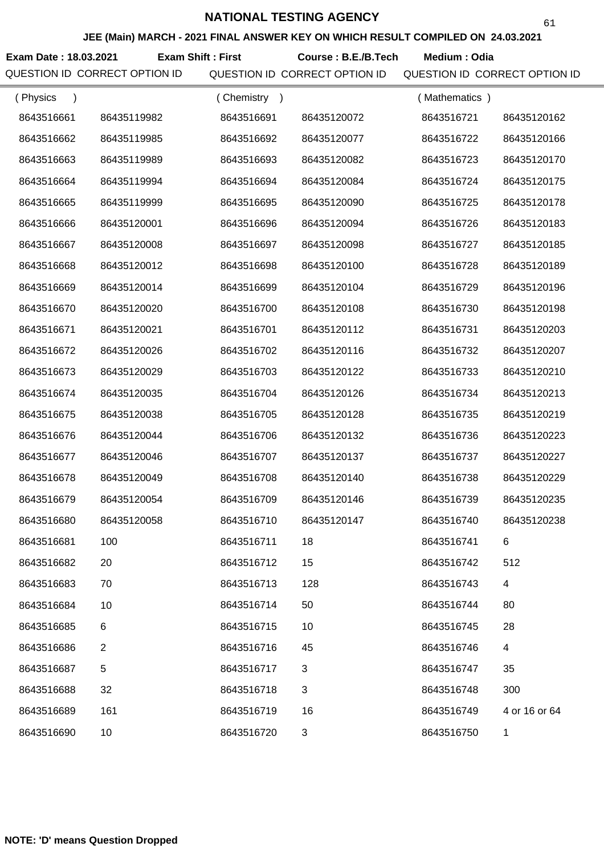**JEE (Main) MARCH - 2021 FINAL ANSWER KEY ON WHICH RESULT COMPILED ON 24.03.2021**

**Exam Date : 18.03.2021 Course : B.E./B.Tech Medium : Odia Exam Shift : First**

QUESTION ID CORRECT OPTION ID QUESTION ID CORRECT OPTION ID QUESTION ID CORRECT OPTION ID

61

| (Physics   |                | (Chemistry)<br>$\rightarrow$ |             | (Mathematics) |               |
|------------|----------------|------------------------------|-------------|---------------|---------------|
| 8643516661 | 86435119982    | 8643516691                   | 86435120072 | 8643516721    | 86435120162   |
| 8643516662 | 86435119985    | 8643516692                   | 86435120077 | 8643516722    | 86435120166   |
| 8643516663 | 86435119989    | 8643516693                   | 86435120082 | 8643516723    | 86435120170   |
| 8643516664 | 86435119994    | 8643516694                   | 86435120084 | 8643516724    | 86435120175   |
| 8643516665 | 86435119999    | 8643516695                   | 86435120090 | 8643516725    | 86435120178   |
| 8643516666 | 86435120001    | 8643516696                   | 86435120094 | 8643516726    | 86435120183   |
| 8643516667 | 86435120008    | 8643516697                   | 86435120098 | 8643516727    | 86435120185   |
| 8643516668 | 86435120012    | 8643516698                   | 86435120100 | 8643516728    | 86435120189   |
| 8643516669 | 86435120014    | 8643516699                   | 86435120104 | 8643516729    | 86435120196   |
| 8643516670 | 86435120020    | 8643516700                   | 86435120108 | 8643516730    | 86435120198   |
| 8643516671 | 86435120021    | 8643516701                   | 86435120112 | 8643516731    | 86435120203   |
| 8643516672 | 86435120026    | 8643516702                   | 86435120116 | 8643516732    | 86435120207   |
| 8643516673 | 86435120029    | 8643516703                   | 86435120122 | 8643516733    | 86435120210   |
| 8643516674 | 86435120035    | 8643516704                   | 86435120126 | 8643516734    | 86435120213   |
| 8643516675 | 86435120038    | 8643516705                   | 86435120128 | 8643516735    | 86435120219   |
| 8643516676 | 86435120044    | 8643516706                   | 86435120132 | 8643516736    | 86435120223   |
| 8643516677 | 86435120046    | 8643516707                   | 86435120137 | 8643516737    | 86435120227   |
| 8643516678 | 86435120049    | 8643516708                   | 86435120140 | 8643516738    | 86435120229   |
| 8643516679 | 86435120054    | 8643516709                   | 86435120146 | 8643516739    | 86435120235   |
| 8643516680 | 86435120058    | 8643516710                   | 86435120147 | 8643516740    | 86435120238   |
| 8643516681 | 100            | 8643516711                   | 18          | 8643516741    | 6             |
| 8643516682 | 20             | 8643516712                   | 15          | 8643516742    | 512           |
| 8643516683 | 70             | 8643516713                   | 128         | 8643516743    | 4             |
| 8643516684 | 10             | 8643516714                   | 50          | 8643516744    | 80            |
| 8643516685 | 6              | 8643516715                   | 10          | 8643516745    | 28            |
| 8643516686 | $\overline{2}$ | 8643516716                   | 45          | 8643516746    | 4             |
| 8643516687 | 5              | 8643516717                   | 3           | 8643516747    | 35            |
| 8643516688 | 32             | 8643516718                   | 3           | 8643516748    | 300           |
| 8643516689 | 161            | 8643516719                   | 16          | 8643516749    | 4 or 16 or 64 |
| 8643516690 | 10             | 8643516720                   | 3           | 8643516750    | 1             |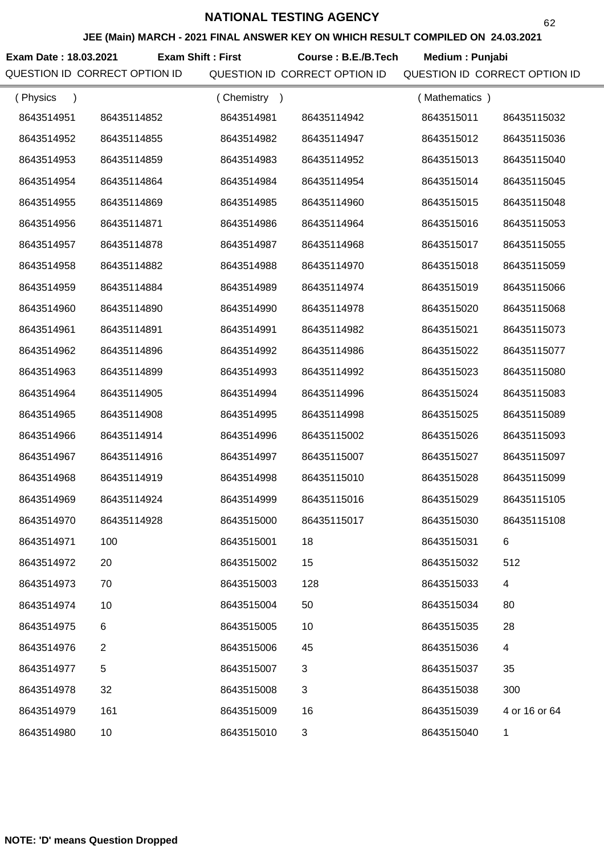**JEE (Main) MARCH - 2021 FINAL ANSWER KEY ON WHICH RESULT COMPILED ON 24.03.2021**

**Exam Date : 18.03.2021 Course : B.E./B.Tech Medium : Punjabi Exam Shift : First**

| (Physics<br>$\lambda$ |                | (Chemistry) |             | (Mathematics) |               |
|-----------------------|----------------|-------------|-------------|---------------|---------------|
| 8643514951            | 86435114852    | 8643514981  | 86435114942 | 8643515011    | 86435115032   |
| 8643514952            | 86435114855    | 8643514982  | 86435114947 | 8643515012    | 86435115036   |
| 8643514953            | 86435114859    | 8643514983  | 86435114952 | 8643515013    | 86435115040   |
| 8643514954            | 86435114864    | 8643514984  | 86435114954 | 8643515014    | 86435115045   |
| 8643514955            | 86435114869    | 8643514985  | 86435114960 | 8643515015    | 86435115048   |
| 8643514956            | 86435114871    | 8643514986  | 86435114964 | 8643515016    | 86435115053   |
| 8643514957            | 86435114878    | 8643514987  | 86435114968 | 8643515017    | 86435115055   |
| 8643514958            | 86435114882    | 8643514988  | 86435114970 | 8643515018    | 86435115059   |
| 8643514959            | 86435114884    | 8643514989  | 86435114974 | 8643515019    | 86435115066   |
| 8643514960            | 86435114890    | 8643514990  | 86435114978 | 8643515020    | 86435115068   |
| 8643514961            | 86435114891    | 8643514991  | 86435114982 | 8643515021    | 86435115073   |
| 8643514962            | 86435114896    | 8643514992  | 86435114986 | 8643515022    | 86435115077   |
| 8643514963            | 86435114899    | 8643514993  | 86435114992 | 8643515023    | 86435115080   |
| 8643514964            | 86435114905    | 8643514994  | 86435114996 | 8643515024    | 86435115083   |
| 8643514965            | 86435114908    | 8643514995  | 86435114998 | 8643515025    | 86435115089   |
| 8643514966            | 86435114914    | 8643514996  | 86435115002 | 8643515026    | 86435115093   |
| 8643514967            | 86435114916    | 8643514997  | 86435115007 | 8643515027    | 86435115097   |
| 8643514968            | 86435114919    | 8643514998  | 86435115010 | 8643515028    | 86435115099   |
| 8643514969            | 86435114924    | 8643514999  | 86435115016 | 8643515029    | 86435115105   |
| 8643514970            | 86435114928    | 8643515000  | 86435115017 | 8643515030    | 86435115108   |
| 8643514971            | 100            | 8643515001  | 18          | 8643515031    |               |
| 8643514972            | 20             | 8643515002  | 15          | 8643515032    | 512           |
| 8643514973            | 70             | 8643515003  | 128         | 8643515033    | 4             |
| 8643514974            | 10             | 8643515004  | 50          | 8643515034    | 80            |
| 8643514975            | 6              | 8643515005  | 10          | 8643515035    | 28            |
| 8643514976            | $\overline{2}$ | 8643515006  | 45          | 8643515036    | 4             |
| 8643514977            | 5              | 8643515007  | 3           | 8643515037    | 35            |
| 8643514978            | 32             | 8643515008  | 3           | 8643515038    | 300           |
| 8643514979            | 161            | 8643515009  | 16          | 8643515039    | 4 or 16 or 64 |
| 8643514980            | 10             | 8643515010  | 3           | 8643515040    | 1             |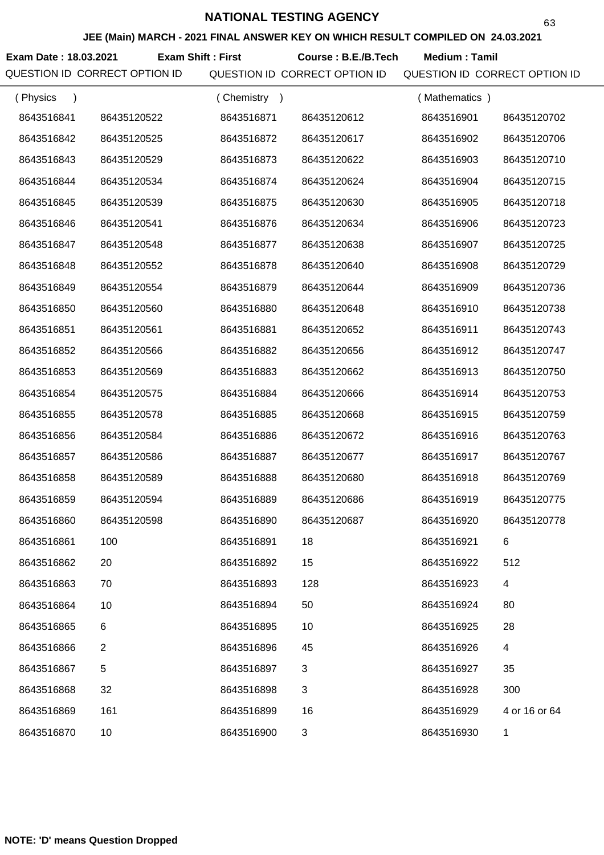**JEE (Main) MARCH - 2021 FINAL ANSWER KEY ON WHICH RESULT COMPILED ON 24.03.2021**

**Exam Date : 18.03.2021 Course : B.E./B.Tech Medium : Tamil Exam Shift : First**

| (Physics<br>$\lambda$ |              | Chemistry<br>$\rightarrow$ |             | (Mathematics) |               |
|-----------------------|--------------|----------------------------|-------------|---------------|---------------|
| 8643516841            | 86435120522  | 8643516871                 | 86435120612 | 8643516901    | 86435120702   |
| 8643516842            | 86435120525  | 8643516872                 | 86435120617 | 8643516902    | 86435120706   |
| 8643516843            | 86435120529  | 8643516873                 | 86435120622 | 8643516903    | 86435120710   |
| 8643516844            | 86435120534  | 8643516874                 | 86435120624 | 8643516904    | 86435120715   |
| 8643516845            | 86435120539  | 8643516875                 | 86435120630 | 8643516905    | 86435120718   |
| 8643516846            | 86435120541  | 8643516876                 | 86435120634 | 8643516906    | 86435120723   |
| 8643516847            | 86435120548  | 8643516877                 | 86435120638 | 8643516907    | 86435120725   |
| 8643516848            | 86435120552  | 8643516878                 | 86435120640 | 8643516908    | 86435120729   |
| 8643516849            | 86435120554  | 8643516879                 | 86435120644 | 8643516909    | 86435120736   |
| 8643516850            | 86435120560  | 8643516880                 | 86435120648 | 8643516910    | 86435120738   |
| 8643516851            | 86435120561  | 8643516881                 | 86435120652 | 8643516911    | 86435120743   |
| 8643516852            | 86435120566  | 8643516882                 | 86435120656 | 8643516912    | 86435120747   |
| 8643516853            | 86435120569  | 8643516883                 | 86435120662 | 8643516913    | 86435120750   |
| 8643516854            | 86435120575  | 8643516884                 | 86435120666 | 8643516914    | 86435120753   |
| 8643516855            | 86435120578  | 8643516885                 | 86435120668 | 8643516915    | 86435120759   |
| 8643516856            | 86435120584  | 8643516886                 | 86435120672 | 8643516916    | 86435120763   |
| 8643516857            | 86435120586  | 8643516887                 | 86435120677 | 8643516917    | 86435120767   |
| 8643516858            | 86435120589  | 8643516888                 | 86435120680 | 8643516918    | 86435120769   |
| 8643516859            | 86435120594  | 8643516889                 | 86435120686 | 8643516919    | 86435120775   |
| 8643516860            | 86435120598  | 8643516890                 | 86435120687 | 8643516920    | 86435120778   |
| 8643516861            | 100          | 8643516891                 | 18          | 8643516921    |               |
| 8643516862            | 20           | 8643516892                 | 15          | 8643516922    | 512           |
| 8643516863            | 70           | 8643516893                 | 128         | 8643516923    | 4             |
| 8643516864            | 10           | 8643516894                 | 50          | 8643516924    | 80            |
| 8643516865            | 6            | 8643516895                 | 10          | 8643516925    | 28            |
| 8643516866            | $\mathbf{2}$ | 8643516896                 | 45          | 8643516926    | 4             |
| 8643516867            | 5            | 8643516897                 | 3           | 8643516927    | 35            |
| 8643516868            | 32           | 8643516898                 | 3           | 8643516928    | 300           |
| 8643516869            | 161          | 8643516899                 | 16          | 8643516929    | 4 or 16 or 64 |
| 8643516870            | 10           | 8643516900                 | 3           | 8643516930    | 1             |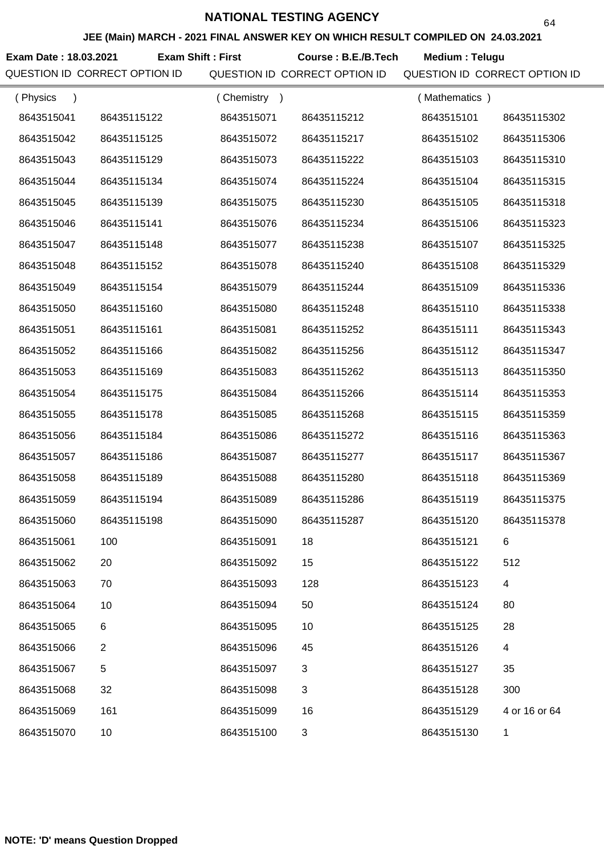**JEE (Main) MARCH - 2021 FINAL ANSWER KEY ON WHICH RESULT COMPILED ON 24.03.2021**

**Exam Date : 18.03.2021 Course : B.E./B.Tech Medium : Telugu Exam Shift : First**

| (Physics<br>$\lambda$ |                | (Chemistry) |             | (Mathematics) |               |
|-----------------------|----------------|-------------|-------------|---------------|---------------|
| 8643515041            | 86435115122    | 8643515071  | 86435115212 | 8643515101    | 86435115302   |
| 8643515042            | 86435115125    | 8643515072  | 86435115217 | 8643515102    | 86435115306   |
| 8643515043            | 86435115129    | 8643515073  | 86435115222 | 8643515103    | 86435115310   |
| 8643515044            | 86435115134    | 8643515074  | 86435115224 | 8643515104    | 86435115315   |
| 8643515045            | 86435115139    | 8643515075  | 86435115230 | 8643515105    | 86435115318   |
| 8643515046            | 86435115141    | 8643515076  | 86435115234 | 8643515106    | 86435115323   |
| 8643515047            | 86435115148    | 8643515077  | 86435115238 | 8643515107    | 86435115325   |
| 8643515048            | 86435115152    | 8643515078  | 86435115240 | 8643515108    | 86435115329   |
| 8643515049            | 86435115154    | 8643515079  | 86435115244 | 8643515109    | 86435115336   |
| 8643515050            | 86435115160    | 8643515080  | 86435115248 | 8643515110    | 86435115338   |
| 8643515051            | 86435115161    | 8643515081  | 86435115252 | 8643515111    | 86435115343   |
| 8643515052            | 86435115166    | 8643515082  | 86435115256 | 8643515112    | 86435115347   |
| 8643515053            | 86435115169    | 8643515083  | 86435115262 | 8643515113    | 86435115350   |
| 8643515054            | 86435115175    | 8643515084  | 86435115266 | 8643515114    | 86435115353   |
| 8643515055            | 86435115178    | 8643515085  | 86435115268 | 8643515115    | 86435115359   |
| 8643515056            | 86435115184    | 8643515086  | 86435115272 | 8643515116    | 86435115363   |
| 8643515057            | 86435115186    | 8643515087  | 86435115277 | 8643515117    | 86435115367   |
| 8643515058            | 86435115189    | 8643515088  | 86435115280 | 8643515118    | 86435115369   |
| 8643515059            | 86435115194    | 8643515089  | 86435115286 | 8643515119    | 86435115375   |
| 8643515060            | 86435115198    | 8643515090  | 86435115287 | 8643515120    | 86435115378   |
| 8643515061            | 100            | 8643515091  | 18          | 8643515121    | 6             |
| 8643515062            | 20             | 8643515092  | 15          | 8643515122    | 512           |
| 8643515063            | 70             | 8643515093  | 128         | 8643515123    | 4             |
| 8643515064            | 10             | 8643515094  | 50          | 8643515124    | 80            |
| 8643515065            | 6              | 8643515095  | 10          | 8643515125    | 28            |
| 8643515066            | $\overline{2}$ | 8643515096  | 45          | 8643515126    | 4             |
| 8643515067            | $\,$ 5 $\,$    | 8643515097  | 3           | 8643515127    | 35            |
| 8643515068            | 32             | 8643515098  | 3           | 8643515128    | 300           |
| 8643515069            | 161            | 8643515099  | 16          | 8643515129    | 4 or 16 or 64 |
| 8643515070            | 10             | 8643515100  | 3           | 8643515130    | 1             |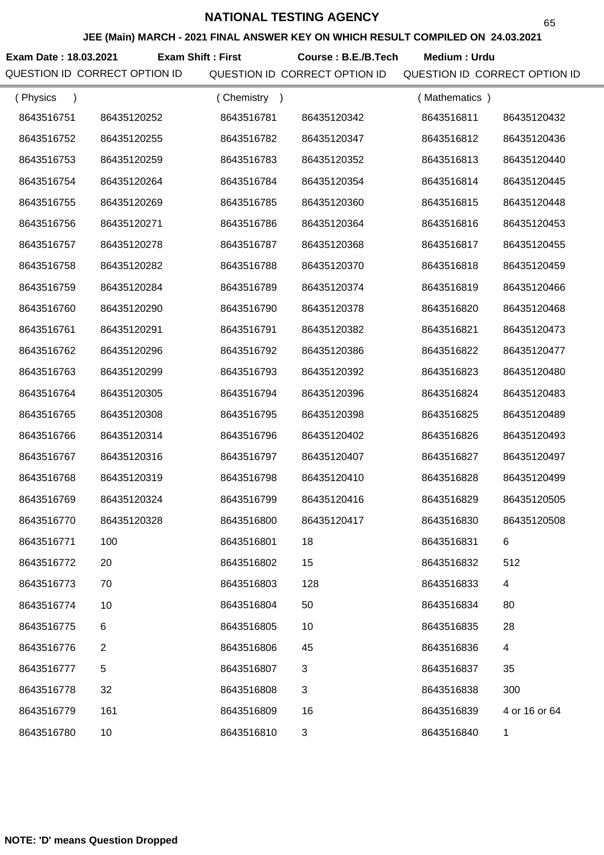**JEE (Main) MARCH - 2021 FINAL ANSWER KEY ON WHICH RESULT COMPILED ON 24.03.2021**

**Exam Date : 18.03.2021 Course : B.E./B.Tech Medium : Urdu Exam Shift : First**

| (Physics   |                | Chemistry<br>$\rightarrow$ |             | (Mathematics) |               |
|------------|----------------|----------------------------|-------------|---------------|---------------|
| 8643516751 | 86435120252    | 8643516781                 | 86435120342 | 8643516811    | 86435120432   |
| 8643516752 | 86435120255    | 8643516782                 | 86435120347 | 8643516812    | 86435120436   |
| 8643516753 | 86435120259    | 8643516783                 | 86435120352 | 8643516813    | 86435120440   |
| 8643516754 | 86435120264    | 8643516784                 | 86435120354 | 8643516814    | 86435120445   |
| 8643516755 | 86435120269    | 8643516785                 | 86435120360 | 8643516815    | 86435120448   |
| 8643516756 | 86435120271    | 8643516786                 | 86435120364 | 8643516816    | 86435120453   |
| 8643516757 | 86435120278    | 8643516787                 | 86435120368 | 8643516817    | 86435120455   |
| 8643516758 | 86435120282    | 8643516788                 | 86435120370 | 8643516818    | 86435120459   |
| 8643516759 | 86435120284    | 8643516789                 | 86435120374 | 8643516819    | 86435120466   |
| 8643516760 | 86435120290    | 8643516790                 | 86435120378 | 8643516820    | 86435120468   |
| 8643516761 | 86435120291    | 8643516791                 | 86435120382 | 8643516821    | 86435120473   |
| 8643516762 | 86435120296    | 8643516792                 | 86435120386 | 8643516822    | 86435120477   |
| 8643516763 | 86435120299    | 8643516793                 | 86435120392 | 8643516823    | 86435120480   |
| 8643516764 | 86435120305    | 8643516794                 | 86435120396 | 8643516824    | 86435120483   |
| 8643516765 | 86435120308    | 8643516795                 | 86435120398 | 8643516825    | 86435120489   |
| 8643516766 | 86435120314    | 8643516796                 | 86435120402 | 8643516826    | 86435120493   |
| 8643516767 | 86435120316    | 8643516797                 | 86435120407 | 8643516827    | 86435120497   |
| 8643516768 | 86435120319    | 8643516798                 | 86435120410 | 8643516828    | 86435120499   |
| 8643516769 | 86435120324    | 8643516799                 | 86435120416 | 8643516829    | 86435120505   |
| 8643516770 | 86435120328    | 8643516800                 | 86435120417 | 8643516830    | 86435120508   |
| 8643516771 | 100            | 8643516801                 | 18          | 8643516831    | 6             |
| 8643516772 | 20             | 8643516802                 | 15          | 8643516832    | 512           |
| 8643516773 | 70             | 8643516803                 | 128         | 8643516833    | 4             |
| 8643516774 | 10             | 8643516804                 | 50          | 8643516834    | 80            |
| 8643516775 | 6              | 8643516805                 | 10          | 8643516835    | 28            |
| 8643516776 | $\overline{2}$ | 8643516806                 | 45          | 8643516836    | 4             |
| 8643516777 | $\mathbf 5$    | 8643516807                 | 3           | 8643516837    | 35            |
| 8643516778 | 32             | 8643516808                 | 3           | 8643516838    | 300           |
| 8643516779 | 161            | 8643516809                 | 16          | 8643516839    | 4 or 16 or 64 |
| 8643516780 | 10             | 8643516810                 | 3           | 8643516840    | 1             |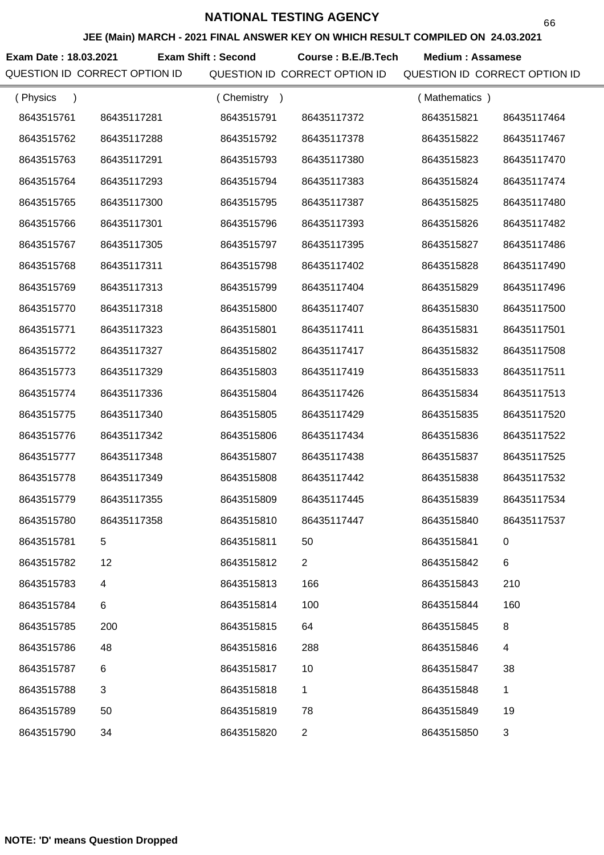**JEE (Main) MARCH - 2021 FINAL ANSWER KEY ON WHICH RESULT COMPILED ON 24.03.2021**

**Exam Date : 18.03.2021 Exam Shift : Second Course : B.E./B.Tech Medium : Assamese** 

| (Physics<br>$\lambda$ |             | (Chemistry<br>$\rightarrow$ |                | (Mathematics) |                |
|-----------------------|-------------|-----------------------------|----------------|---------------|----------------|
| 8643515761            | 86435117281 | 8643515791                  | 86435117372    | 8643515821    | 86435117464    |
| 8643515762            | 86435117288 | 8643515792                  | 86435117378    | 8643515822    | 86435117467    |
| 8643515763            | 86435117291 | 8643515793                  | 86435117380    | 8643515823    | 86435117470    |
| 8643515764            | 86435117293 | 8643515794                  | 86435117383    | 8643515824    | 86435117474    |
| 8643515765            | 86435117300 | 8643515795                  | 86435117387    | 8643515825    | 86435117480    |
| 8643515766            | 86435117301 | 8643515796                  | 86435117393    | 8643515826    | 86435117482    |
| 8643515767            | 86435117305 | 8643515797                  | 86435117395    | 8643515827    | 86435117486    |
| 8643515768            | 86435117311 | 8643515798                  | 86435117402    | 8643515828    | 86435117490    |
| 8643515769            | 86435117313 | 8643515799                  | 86435117404    | 8643515829    | 86435117496    |
| 8643515770            | 86435117318 | 8643515800                  | 86435117407    | 8643515830    | 86435117500    |
| 8643515771            | 86435117323 | 8643515801                  | 86435117411    | 8643515831    | 86435117501    |
| 8643515772            | 86435117327 | 8643515802                  | 86435117417    | 8643515832    | 86435117508    |
| 8643515773            | 86435117329 | 8643515803                  | 86435117419    | 8643515833    | 86435117511    |
| 8643515774            | 86435117336 | 8643515804                  | 86435117426    | 8643515834    | 86435117513    |
| 8643515775            | 86435117340 | 8643515805                  | 86435117429    | 8643515835    | 86435117520    |
| 8643515776            | 86435117342 | 8643515806                  | 86435117434    | 8643515836    | 86435117522    |
| 8643515777            | 86435117348 | 8643515807                  | 86435117438    | 8643515837    | 86435117525    |
| 8643515778            | 86435117349 | 8643515808                  | 86435117442    | 8643515838    | 86435117532    |
| 8643515779            | 86435117355 | 8643515809                  | 86435117445    | 8643515839    | 86435117534    |
| 8643515780            | 86435117358 | 8643515810                  | 86435117447    | 8643515840    | 86435117537    |
| 8643515781            |             | 8643515811                  | 50             | 8643515841    | 0              |
| 8643515782            | 12          | 8643515812                  | $\overline{2}$ | 8643515842    | 6              |
| 8643515783            | 4           | 8643515813                  | 166            | 8643515843    | 210            |
| 8643515784            | 6           | 8643515814                  | 100            | 8643515844    | 160            |
| 8643515785            | 200         | 8643515815                  | 64             | 8643515845    | 8              |
| 8643515786            | 48          | 8643515816                  | 288            | 8643515846    | 4              |
| 8643515787            | 6           | 8643515817                  | 10             | 8643515847    | 38             |
| 8643515788            | 3           | 8643515818                  | 1              | 8643515848    | 1              |
| 8643515789            | 50          | 8643515819                  | 78             | 8643515849    | 19             |
| 8643515790            | 34          | 8643515820                  | $\overline{2}$ | 8643515850    | $\mathfrak{S}$ |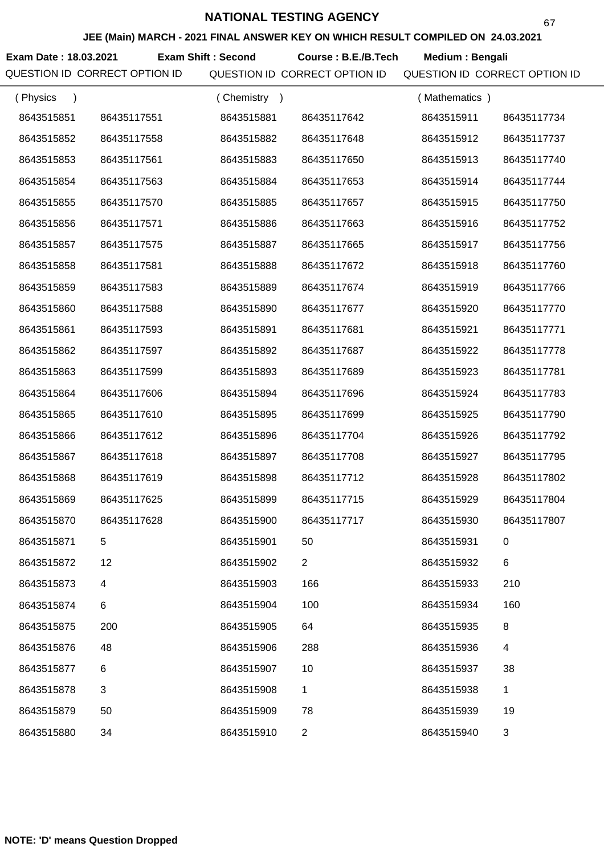**JEE (Main) MARCH - 2021 FINAL ANSWER KEY ON WHICH RESULT COMPILED ON 24.03.2021**

**Exam Date : 18.03.2021 Course : B.E./B.Tech Medium : Bengali Exam Shift : Second**

| (Physics   |             | Chemistry<br>$\rightarrow$ |                | (Mathematics) |             |
|------------|-------------|----------------------------|----------------|---------------|-------------|
| 8643515851 | 86435117551 | 8643515881                 | 86435117642    | 8643515911    | 86435117734 |
| 8643515852 | 86435117558 | 8643515882                 | 86435117648    | 8643515912    | 86435117737 |
| 8643515853 | 86435117561 | 8643515883                 | 86435117650    | 8643515913    | 86435117740 |
| 8643515854 | 86435117563 | 8643515884                 | 86435117653    | 8643515914    | 86435117744 |
| 8643515855 | 86435117570 | 8643515885                 | 86435117657    | 8643515915    | 86435117750 |
| 8643515856 | 86435117571 | 8643515886                 | 86435117663    | 8643515916    | 86435117752 |
| 8643515857 | 86435117575 | 8643515887                 | 86435117665    | 8643515917    | 86435117756 |
| 8643515858 | 86435117581 | 8643515888                 | 86435117672    | 8643515918    | 86435117760 |
| 8643515859 | 86435117583 | 8643515889                 | 86435117674    | 8643515919    | 86435117766 |
| 8643515860 | 86435117588 | 8643515890                 | 86435117677    | 8643515920    | 86435117770 |
| 8643515861 | 86435117593 | 8643515891                 | 86435117681    | 8643515921    | 86435117771 |
| 8643515862 | 86435117597 | 8643515892                 | 86435117687    | 8643515922    | 86435117778 |
| 8643515863 | 86435117599 | 8643515893                 | 86435117689    | 8643515923    | 86435117781 |
| 8643515864 | 86435117606 | 8643515894                 | 86435117696    | 8643515924    | 86435117783 |
| 8643515865 | 86435117610 | 8643515895                 | 86435117699    | 8643515925    | 86435117790 |
| 8643515866 | 86435117612 | 8643515896                 | 86435117704    | 8643515926    | 86435117792 |
| 8643515867 | 86435117618 | 8643515897                 | 86435117708    | 8643515927    | 86435117795 |
| 8643515868 | 86435117619 | 8643515898                 | 86435117712    | 8643515928    | 86435117802 |
| 8643515869 | 86435117625 | 8643515899                 | 86435117715    | 8643515929    | 86435117804 |
| 8643515870 | 86435117628 | 8643515900                 | 86435117717    | 8643515930    | 86435117807 |
| 8643515871 | 5           | 8643515901                 | 50             | 8643515931    |             |
| 8643515872 | 12          | 8643515902                 | $\overline{2}$ | 8643515932    | 6           |
| 8643515873 | 4           | 8643515903                 | 166            | 8643515933    | 210         |
| 8643515874 | 6           | 8643515904                 | 100            | 8643515934    | 160         |
| 8643515875 | 200         | 8643515905                 | 64             | 8643515935    | 8           |
| 8643515876 | 48          | 8643515906                 | 288            | 8643515936    | 4           |
| 8643515877 | 6           | 8643515907                 | 10             | 8643515937    | 38          |
| 8643515878 | 3           | 8643515908                 | 1              | 8643515938    | 1           |
| 8643515879 | 50          | 8643515909                 | 78             | 8643515939    | 19          |
| 8643515880 | 34          | 8643515910                 | $\overline{c}$ | 8643515940    | 3           |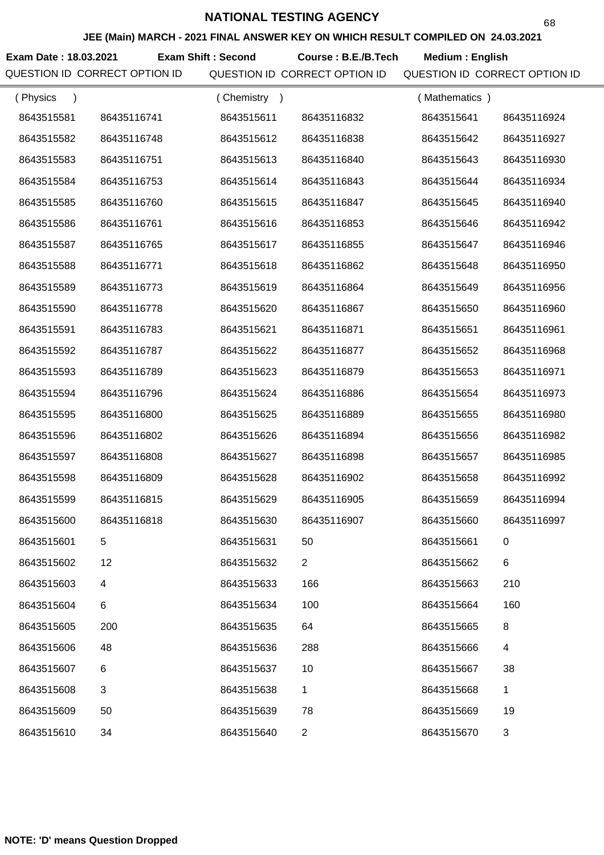**JEE (Main) MARCH - 2021 FINAL ANSWER KEY ON WHICH RESULT COMPILED ON 24.03.2021**

**Exam Date : 18.03.2021 Course : B.E./B.Tech Medium : English Exam Shift : Second**

| (Physics<br>$\lambda$ |             | (Chemistry)<br>$\rightarrow$ |                | (Mathematics) |                |
|-----------------------|-------------|------------------------------|----------------|---------------|----------------|
| 8643515581            | 86435116741 | 8643515611                   | 86435116832    | 8643515641    | 86435116924    |
| 8643515582            | 86435116748 | 8643515612                   | 86435116838    | 8643515642    | 86435116927    |
| 8643515583            | 86435116751 | 8643515613                   | 86435116840    | 8643515643    | 86435116930    |
| 8643515584            | 86435116753 | 8643515614                   | 86435116843    | 8643515644    | 86435116934    |
| 8643515585            | 86435116760 | 8643515615                   | 86435116847    | 8643515645    | 86435116940    |
| 8643515586            | 86435116761 | 8643515616                   | 86435116853    | 8643515646    | 86435116942    |
| 8643515587            | 86435116765 | 8643515617                   | 86435116855    | 8643515647    | 86435116946    |
| 8643515588            | 86435116771 | 8643515618                   | 86435116862    | 8643515648    | 86435116950    |
| 8643515589            | 86435116773 | 8643515619                   | 86435116864    | 8643515649    | 86435116956    |
| 8643515590            | 86435116778 | 8643515620                   | 86435116867    | 8643515650    | 86435116960    |
| 8643515591            | 86435116783 | 8643515621                   | 86435116871    | 8643515651    | 86435116961    |
| 8643515592            | 86435116787 | 8643515622                   | 86435116877    | 8643515652    | 86435116968    |
| 8643515593            | 86435116789 | 8643515623                   | 86435116879    | 8643515653    | 86435116971    |
| 8643515594            | 86435116796 | 8643515624                   | 86435116886    | 8643515654    | 86435116973    |
| 8643515595            | 86435116800 | 8643515625                   | 86435116889    | 8643515655    | 86435116980    |
| 8643515596            | 86435116802 | 8643515626                   | 86435116894    | 8643515656    | 86435116982    |
| 8643515597            | 86435116808 | 8643515627                   | 86435116898    | 8643515657    | 86435116985    |
| 8643515598            | 86435116809 | 8643515628                   | 86435116902    | 8643515658    | 86435116992    |
| 8643515599            | 86435116815 | 8643515629                   | 86435116905    | 8643515659    | 86435116994    |
| 8643515600            | 86435116818 | 8643515630                   | 86435116907    | 8643515660    | 86435116997    |
| 8643515601            | 5           | 8643515631                   | 50             | 8643515661    | 0              |
| 8643515602            | 12          | 8643515632                   | $\overline{2}$ | 8643515662    | 6              |
| 8643515603            | 4           | 8643515633                   | 166            | 8643515663    | 210            |
| 8643515604            | 6           | 8643515634                   | 100            | 8643515664    | 160            |
| 8643515605            | 200         | 8643515635                   | 64             | 8643515665    | 8              |
| 8643515606            | 48          | 8643515636                   | 288            | 8643515666    | 4              |
| 8643515607            | 6           | 8643515637                   | 10             | 8643515667    | 38             |
| 8643515608            | 3           | 8643515638                   | 1              | 8643515668    | 1              |
| 8643515609            | 50          | 8643515639                   | 78             | 8643515669    | 19             |
| 8643515610            | 34          | 8643515640                   | $\overline{2}$ | 8643515670    | $\mathfrak{S}$ |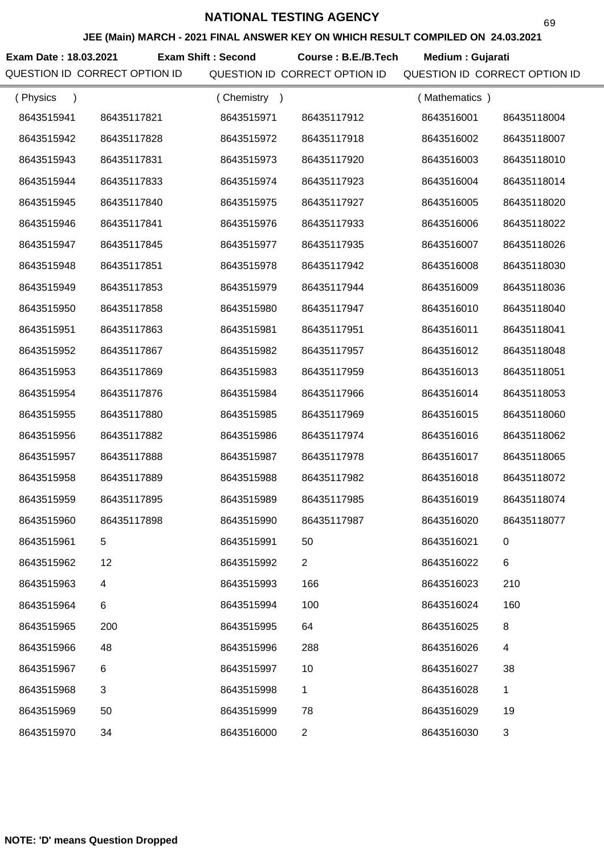**JEE (Main) MARCH - 2021 FINAL ANSWER KEY ON WHICH RESULT COMPILED ON 24.03.2021**

**Exam Date : 18.03.2021 Exam Shift : Second Course : B.E./B.Tech Medium : Gujarati** 

| (Physics   |             | Chemistry<br>$\rightarrow$ |                | (Mathematics) |             |
|------------|-------------|----------------------------|----------------|---------------|-------------|
| 8643515941 | 86435117821 | 8643515971                 | 86435117912    | 8643516001    | 86435118004 |
| 8643515942 | 86435117828 | 8643515972                 | 86435117918    | 8643516002    | 86435118007 |
| 8643515943 | 86435117831 | 8643515973                 | 86435117920    | 8643516003    | 86435118010 |
| 8643515944 | 86435117833 | 8643515974                 | 86435117923    | 8643516004    | 86435118014 |
| 8643515945 | 86435117840 | 8643515975                 | 86435117927    | 8643516005    | 86435118020 |
| 8643515946 | 86435117841 | 8643515976                 | 86435117933    | 8643516006    | 86435118022 |
| 8643515947 | 86435117845 | 8643515977                 | 86435117935    | 8643516007    | 86435118026 |
| 8643515948 | 86435117851 | 8643515978                 | 86435117942    | 8643516008    | 86435118030 |
| 8643515949 | 86435117853 | 8643515979                 | 86435117944    | 8643516009    | 86435118036 |
| 8643515950 | 86435117858 | 8643515980                 | 86435117947    | 8643516010    | 86435118040 |
| 8643515951 | 86435117863 | 8643515981                 | 86435117951    | 8643516011    | 86435118041 |
| 8643515952 | 86435117867 | 8643515982                 | 86435117957    | 8643516012    | 86435118048 |
| 8643515953 | 86435117869 | 8643515983                 | 86435117959    | 8643516013    | 86435118051 |
| 8643515954 | 86435117876 | 8643515984                 | 86435117966    | 8643516014    | 86435118053 |
| 8643515955 | 86435117880 | 8643515985                 | 86435117969    | 8643516015    | 86435118060 |
| 8643515956 | 86435117882 | 8643515986                 | 86435117974    | 8643516016    | 86435118062 |
| 8643515957 | 86435117888 | 8643515987                 | 86435117978    | 8643516017    | 86435118065 |
| 8643515958 | 86435117889 | 8643515988                 | 86435117982    | 8643516018    | 86435118072 |
| 8643515959 | 86435117895 | 8643515989                 | 86435117985    | 8643516019    | 86435118074 |
| 8643515960 | 86435117898 | 8643515990                 | 86435117987    | 8643516020    | 86435118077 |
| 8643515961 |             | 8643515991                 | 50             | 8643516021    |             |
| 8643515962 | 12          | 8643515992                 | $\overline{2}$ | 8643516022    | 6           |
| 8643515963 | 4           | 8643515993                 | 166            | 8643516023    | 210         |
| 8643515964 | 6           | 8643515994                 | 100            | 8643516024    | 160         |
| 8643515965 | 200         | 8643515995                 | 64             | 8643516025    | 8           |
| 8643515966 | 48          | 8643515996                 | 288            | 8643516026    | 4           |
| 8643515967 | 6           | 8643515997                 | 10             | 8643516027    | 38          |
| 8643515968 | 3           | 8643515998                 | 1              | 8643516028    | 1           |
| 8643515969 | 50          | 8643515999                 | 78             | 8643516029    | 19          |
| 8643515970 | 34          | 8643516000                 | $\overline{2}$ | 8643516030    | 3           |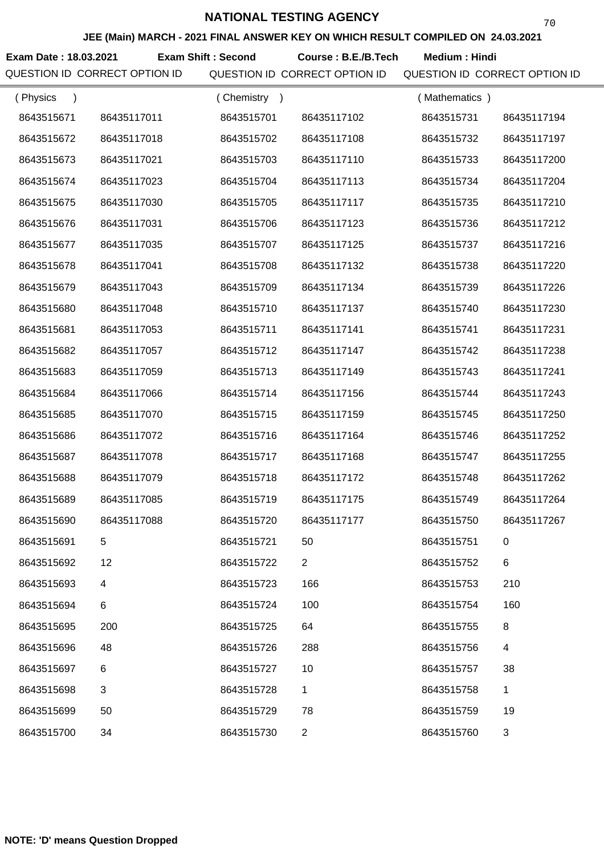**JEE (Main) MARCH - 2021 FINAL ANSWER KEY ON WHICH RESULT COMPILED ON 24.03.2021**

**Exam Date : 18.03.2021 Exam Shift : Second Course : B.E./B.Tech Medium : Hindi** 

| (Physics<br>$\lambda$ |             | (Chemistry<br>$\rightarrow$ |                | (Mathematics) |                |
|-----------------------|-------------|-----------------------------|----------------|---------------|----------------|
| 8643515671            | 86435117011 | 8643515701                  | 86435117102    | 8643515731    | 86435117194    |
| 8643515672            | 86435117018 | 8643515702                  | 86435117108    | 8643515732    | 86435117197    |
| 8643515673            | 86435117021 | 8643515703                  | 86435117110    | 8643515733    | 86435117200    |
| 8643515674            | 86435117023 | 8643515704                  | 86435117113    | 8643515734    | 86435117204    |
| 8643515675            | 86435117030 | 8643515705                  | 86435117117    | 8643515735    | 86435117210    |
| 8643515676            | 86435117031 | 8643515706                  | 86435117123    | 8643515736    | 86435117212    |
| 8643515677            | 86435117035 | 8643515707                  | 86435117125    | 8643515737    | 86435117216    |
| 8643515678            | 86435117041 | 8643515708                  | 86435117132    | 8643515738    | 86435117220    |
| 8643515679            | 86435117043 | 8643515709                  | 86435117134    | 8643515739    | 86435117226    |
| 8643515680            | 86435117048 | 8643515710                  | 86435117137    | 8643515740    | 86435117230    |
| 8643515681            | 86435117053 | 8643515711                  | 86435117141    | 8643515741    | 86435117231    |
| 8643515682            | 86435117057 | 8643515712                  | 86435117147    | 8643515742    | 86435117238    |
| 8643515683            | 86435117059 | 8643515713                  | 86435117149    | 8643515743    | 86435117241    |
| 8643515684            | 86435117066 | 8643515714                  | 86435117156    | 8643515744    | 86435117243    |
| 8643515685            | 86435117070 | 8643515715                  | 86435117159    | 8643515745    | 86435117250    |
| 8643515686            | 86435117072 | 8643515716                  | 86435117164    | 8643515746    | 86435117252    |
| 8643515687            | 86435117078 | 8643515717                  | 86435117168    | 8643515747    | 86435117255    |
| 8643515688            | 86435117079 | 8643515718                  | 86435117172    | 8643515748    | 86435117262    |
| 8643515689            | 86435117085 | 8643515719                  | 86435117175    | 8643515749    | 86435117264    |
| 8643515690            | 86435117088 | 8643515720                  | 86435117177    | 8643515750    | 86435117267    |
| 8643515691            |             | 8643515721                  | 50             | 8643515751    | 0              |
| 8643515692            | 12          | 8643515722                  | $\overline{2}$ | 8643515752    | 6              |
| 8643515693            | 4           | 8643515723                  | 166            | 8643515753    | 210            |
| 8643515694            | 6           | 8643515724                  | 100            | 8643515754    | 160            |
| 8643515695            | 200         | 8643515725                  | 64             | 8643515755    | 8              |
| 8643515696            | 48          | 8643515726                  | 288            | 8643515756    | 4              |
| 8643515697            | $\,6$       | 8643515727                  | 10             | 8643515757    | 38             |
| 8643515698            | 3           | 8643515728                  | 1              | 8643515758    | 1              |
| 8643515699            | 50          | 8643515729                  | 78             | 8643515759    | 19             |
| 8643515700            | 34          | 8643515730                  | $\overline{2}$ | 8643515760    | $\mathfrak{S}$ |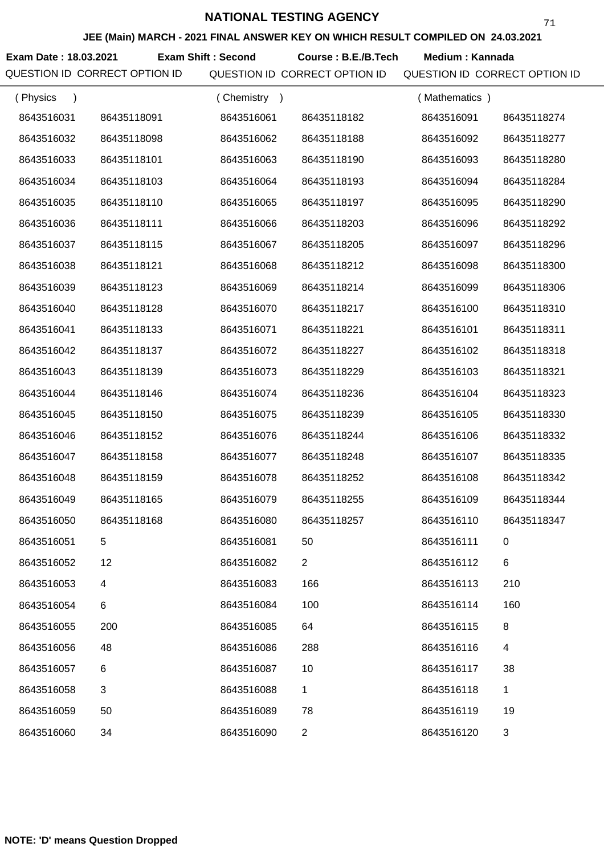**JEE (Main) MARCH - 2021 FINAL ANSWER KEY ON WHICH RESULT COMPILED ON 24.03.2021**

Exam Date : 18.03.2021 Exam Shift : Second Course : B.E./B.Tech Medium : Kannada

| (Physics<br>$\lambda$ |             | Chemistry<br>$\rightarrow$ |                | (Mathematics) |             |
|-----------------------|-------------|----------------------------|----------------|---------------|-------------|
| 8643516031            | 86435118091 | 8643516061                 | 86435118182    | 8643516091    | 86435118274 |
| 8643516032            | 86435118098 | 8643516062                 | 86435118188    | 8643516092    | 86435118277 |
| 8643516033            | 86435118101 | 8643516063                 | 86435118190    | 8643516093    | 86435118280 |
| 8643516034            | 86435118103 | 8643516064                 | 86435118193    | 8643516094    | 86435118284 |
| 8643516035            | 86435118110 | 8643516065                 | 86435118197    | 8643516095    | 86435118290 |
| 8643516036            | 86435118111 | 8643516066                 | 86435118203    | 8643516096    | 86435118292 |
| 8643516037            | 86435118115 | 8643516067                 | 86435118205    | 8643516097    | 86435118296 |
| 8643516038            | 86435118121 | 8643516068                 | 86435118212    | 8643516098    | 86435118300 |
| 8643516039            | 86435118123 | 8643516069                 | 86435118214    | 8643516099    | 86435118306 |
| 8643516040            | 86435118128 | 8643516070                 | 86435118217    | 8643516100    | 86435118310 |
| 8643516041            | 86435118133 | 8643516071                 | 86435118221    | 8643516101    | 86435118311 |
| 8643516042            | 86435118137 | 8643516072                 | 86435118227    | 8643516102    | 86435118318 |
| 8643516043            | 86435118139 | 8643516073                 | 86435118229    | 8643516103    | 86435118321 |
| 8643516044            | 86435118146 | 8643516074                 | 86435118236    | 8643516104    | 86435118323 |
| 8643516045            | 86435118150 | 8643516075                 | 86435118239    | 8643516105    | 86435118330 |
| 8643516046            | 86435118152 | 8643516076                 | 86435118244    | 8643516106    | 86435118332 |
| 8643516047            | 86435118158 | 8643516077                 | 86435118248    | 8643516107    | 86435118335 |
| 8643516048            | 86435118159 | 8643516078                 | 86435118252    | 8643516108    | 86435118342 |
| 8643516049            | 86435118165 | 8643516079                 | 86435118255    | 8643516109    | 86435118344 |
| 8643516050            | 86435118168 | 8643516080                 | 86435118257    | 8643516110    | 86435118347 |
| 8643516051            |             | 8643516081                 | 50             | 8643516111    |             |
| 8643516052            | 12          | 8643516082                 | $\overline{2}$ | 8643516112    | 6           |
| 8643516053            | 4           | 8643516083                 | 166            | 8643516113    | 210         |
| 8643516054            | 6           | 8643516084                 | 100            | 8643516114    | 160         |
| 8643516055            | 200         | 8643516085                 | 64             | 8643516115    | 8           |
| 8643516056            | 48          | 8643516086                 | 288            | 8643516116    | 4           |
| 8643516057            | 6           | 8643516087                 | 10             | 8643516117    | 38          |
| 8643516058            | 3           | 8643516088                 | 1              | 8643516118    | 1           |
| 8643516059            | 50          | 8643516089                 | 78             | 8643516119    | 19          |
| 8643516060            | 34          | 8643516090                 | $\overline{2}$ | 8643516120    | 3           |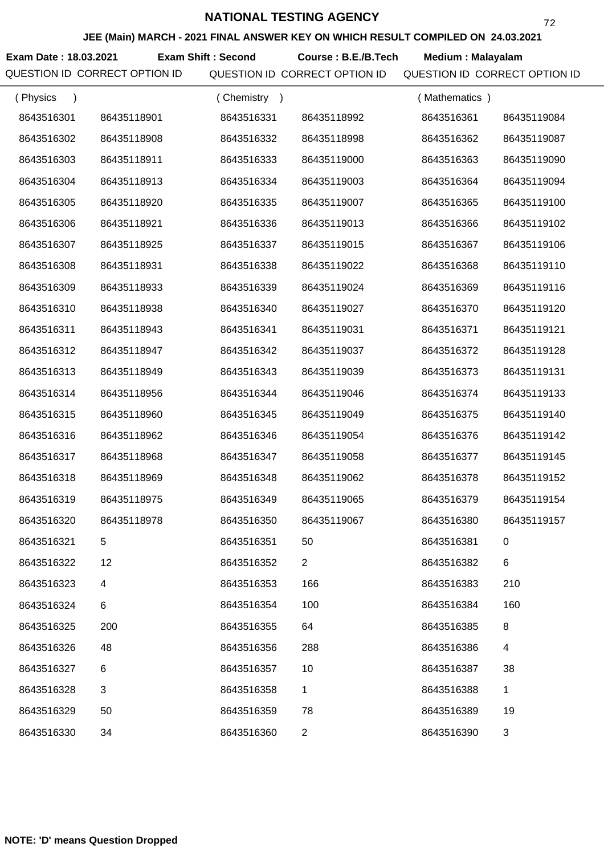**JEE (Main) MARCH - 2021 FINAL ANSWER KEY ON WHICH RESULT COMPILED ON 24.03.2021**

**Exam Date : 18.03.2021 Exam Shift : Second Course : B.E./B.Tech Medium : Malayalam** 

| (Physics<br>$\lambda$ |             | (Chemistry)<br>$\rightarrow$ |                | (Mathematics) |                |
|-----------------------|-------------|------------------------------|----------------|---------------|----------------|
| 8643516301            | 86435118901 | 8643516331                   | 86435118992    | 8643516361    | 86435119084    |
| 8643516302            | 86435118908 | 8643516332                   | 86435118998    | 8643516362    | 86435119087    |
| 8643516303            | 86435118911 | 8643516333                   | 86435119000    | 8643516363    | 86435119090    |
| 8643516304            | 86435118913 | 8643516334                   | 86435119003    | 8643516364    | 86435119094    |
| 8643516305            | 86435118920 | 8643516335                   | 86435119007    | 8643516365    | 86435119100    |
| 8643516306            | 86435118921 | 8643516336                   | 86435119013    | 8643516366    | 86435119102    |
| 8643516307            | 86435118925 | 8643516337                   | 86435119015    | 8643516367    | 86435119106    |
| 8643516308            | 86435118931 | 8643516338                   | 86435119022    | 8643516368    | 86435119110    |
| 8643516309            | 86435118933 | 8643516339                   | 86435119024    | 8643516369    | 86435119116    |
| 8643516310            | 86435118938 | 8643516340                   | 86435119027    | 8643516370    | 86435119120    |
| 8643516311            | 86435118943 | 8643516341                   | 86435119031    | 8643516371    | 86435119121    |
| 8643516312            | 86435118947 | 8643516342                   | 86435119037    | 8643516372    | 86435119128    |
| 8643516313            | 86435118949 | 8643516343                   | 86435119039    | 8643516373    | 86435119131    |
| 8643516314            | 86435118956 | 8643516344                   | 86435119046    | 8643516374    | 86435119133    |
| 8643516315            | 86435118960 | 8643516345                   | 86435119049    | 8643516375    | 86435119140    |
| 8643516316            | 86435118962 | 8643516346                   | 86435119054    | 8643516376    | 86435119142    |
| 8643516317            | 86435118968 | 8643516347                   | 86435119058    | 8643516377    | 86435119145    |
| 8643516318            | 86435118969 | 8643516348                   | 86435119062    | 8643516378    | 86435119152    |
| 8643516319            | 86435118975 | 8643516349                   | 86435119065    | 8643516379    | 86435119154    |
| 8643516320            | 86435118978 | 8643516350                   | 86435119067    | 8643516380    | 86435119157    |
| 8643516321            | 5           | 8643516351                   | 50             | 8643516381    | 0              |
| 8643516322            | 12          | 8643516352                   | $\overline{2}$ | 8643516382    | 6              |
| 8643516323            | 4           | 8643516353                   | 166            | 8643516383    | 210            |
| 8643516324            | 6           | 8643516354                   | 100            | 8643516384    | 160            |
| 8643516325            | 200         | 8643516355                   | 64             | 8643516385    | 8              |
| 8643516326            | 48          | 8643516356                   | 288            | 8643516386    | 4              |
| 8643516327            | 6           | 8643516357                   | 10             | 8643516387    | 38             |
| 8643516328            | 3           | 8643516358                   | 1              | 8643516388    | 1              |
| 8643516329            | 50          | 8643516359                   | 78             | 8643516389    | 19             |
| 8643516330            | 34          | 8643516360                   | $\overline{2}$ | 8643516390    | $\mathfrak{S}$ |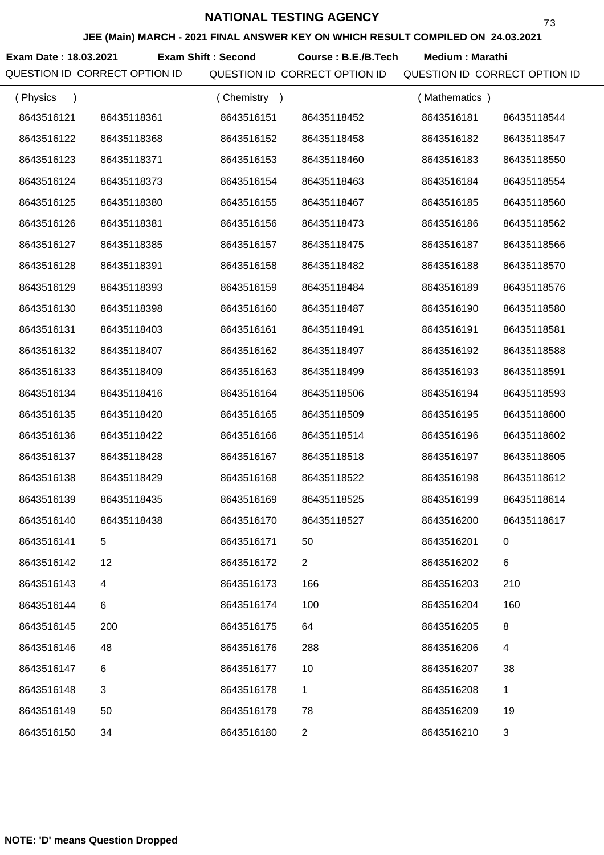**JEE (Main) MARCH - 2021 FINAL ANSWER KEY ON WHICH RESULT COMPILED ON 24.03.2021**

**Exam Date : 18.03.2021 Course : B.E./B.Tech Medium : Marathi Exam Shift : Second**

| (Physics   |             | (Chemistry) |                | (Mathematics) |             |
|------------|-------------|-------------|----------------|---------------|-------------|
| 8643516121 | 86435118361 | 8643516151  | 86435118452    | 8643516181    | 86435118544 |
| 8643516122 | 86435118368 | 8643516152  | 86435118458    | 8643516182    | 86435118547 |
| 8643516123 | 86435118371 | 8643516153  | 86435118460    | 8643516183    | 86435118550 |
| 8643516124 | 86435118373 | 8643516154  | 86435118463    | 8643516184    | 86435118554 |
| 8643516125 | 86435118380 | 8643516155  | 86435118467    | 8643516185    | 86435118560 |
| 8643516126 | 86435118381 | 8643516156  | 86435118473    | 8643516186    | 86435118562 |
| 8643516127 | 86435118385 | 8643516157  | 86435118475    | 8643516187    | 86435118566 |
| 8643516128 | 86435118391 | 8643516158  | 86435118482    | 8643516188    | 86435118570 |
| 8643516129 | 86435118393 | 8643516159  | 86435118484    | 8643516189    | 86435118576 |
| 8643516130 | 86435118398 | 8643516160  | 86435118487    | 8643516190    | 86435118580 |
| 8643516131 | 86435118403 | 8643516161  | 86435118491    | 8643516191    | 86435118581 |
| 8643516132 | 86435118407 | 8643516162  | 86435118497    | 8643516192    | 86435118588 |
| 8643516133 | 86435118409 | 8643516163  | 86435118499    | 8643516193    | 86435118591 |
| 8643516134 | 86435118416 | 8643516164  | 86435118506    | 8643516194    | 86435118593 |
| 8643516135 | 86435118420 | 8643516165  | 86435118509    | 8643516195    | 86435118600 |
| 8643516136 | 86435118422 | 8643516166  | 86435118514    | 8643516196    | 86435118602 |
| 8643516137 | 86435118428 | 8643516167  | 86435118518    | 8643516197    | 86435118605 |
| 8643516138 | 86435118429 | 8643516168  | 86435118522    | 8643516198    | 86435118612 |
| 8643516139 | 86435118435 | 8643516169  | 86435118525    | 8643516199    | 86435118614 |
| 8643516140 | 86435118438 | 8643516170  | 86435118527    | 8643516200    | 86435118617 |
| 8643516141 |             | 8643516171  | 50             | 8643516201    |             |
| 8643516142 | 12          | 8643516172  | $\overline{2}$ | 8643516202    | $\,6$       |
| 8643516143 | 4           | 8643516173  | 166            | 8643516203    | 210         |
| 8643516144 | 6           | 8643516174  | 100            | 8643516204    | 160         |
| 8643516145 | 200         | 8643516175  | 64             | 8643516205    | 8           |
| 8643516146 | 48          | 8643516176  | 288            | 8643516206    | 4           |
| 8643516147 | 6           | 8643516177  | 10             | 8643516207    | 38          |
| 8643516148 | 3           | 8643516178  | 1              | 8643516208    | 1           |
| 8643516149 | 50          | 8643516179  | 78             | 8643516209    | 19          |
| 8643516150 | 34          | 8643516180  | $\overline{2}$ | 8643516210    | 3           |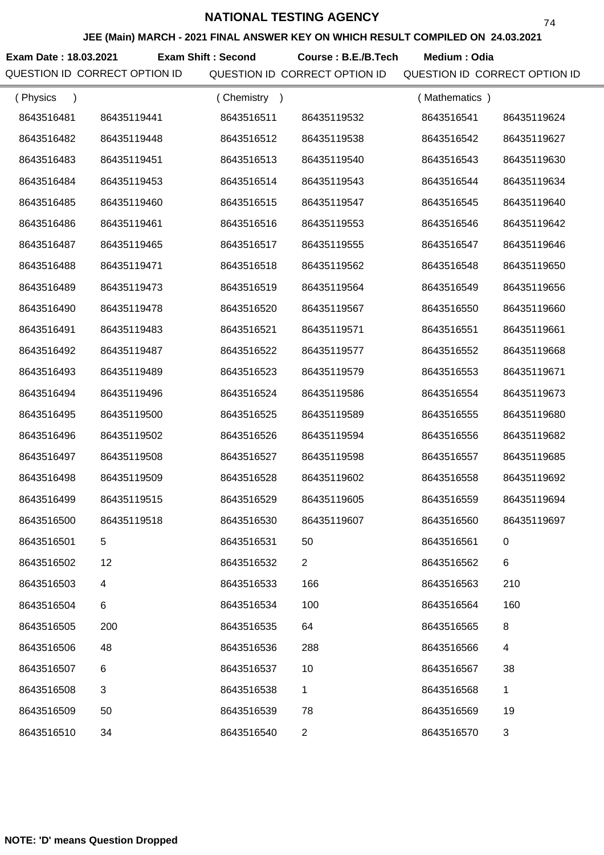**JEE (Main) MARCH - 2021 FINAL ANSWER KEY ON WHICH RESULT COMPILED ON 24.03.2021**

Exam Date : 18.03.2021 Exam Shift : Second Course : B.E./B.Tech Medium : Odia

| (Physics<br>$\lambda$ |             | (Chemistry) |                | (Mathematics) |             |
|-----------------------|-------------|-------------|----------------|---------------|-------------|
| 8643516481            | 86435119441 | 8643516511  | 86435119532    | 8643516541    | 86435119624 |
| 8643516482            | 86435119448 | 8643516512  | 86435119538    | 8643516542    | 86435119627 |
| 8643516483            | 86435119451 | 8643516513  | 86435119540    | 8643516543    | 86435119630 |
| 8643516484            | 86435119453 | 8643516514  | 86435119543    | 8643516544    | 86435119634 |
| 8643516485            | 86435119460 | 8643516515  | 86435119547    | 8643516545    | 86435119640 |
| 8643516486            | 86435119461 | 8643516516  | 86435119553    | 8643516546    | 86435119642 |
| 8643516487            | 86435119465 | 8643516517  | 86435119555    | 8643516547    | 86435119646 |
| 8643516488            | 86435119471 | 8643516518  | 86435119562    | 8643516548    | 86435119650 |
| 8643516489            | 86435119473 | 8643516519  | 86435119564    | 8643516549    | 86435119656 |
| 8643516490            | 86435119478 | 8643516520  | 86435119567    | 8643516550    | 86435119660 |
| 8643516491            | 86435119483 | 8643516521  | 86435119571    | 8643516551    | 86435119661 |
| 8643516492            | 86435119487 | 8643516522  | 86435119577    | 8643516552    | 86435119668 |
| 8643516493            | 86435119489 | 8643516523  | 86435119579    | 8643516553    | 86435119671 |
| 8643516494            | 86435119496 | 8643516524  | 86435119586    | 8643516554    | 86435119673 |
| 8643516495            | 86435119500 | 8643516525  | 86435119589    | 8643516555    | 86435119680 |
| 8643516496            | 86435119502 | 8643516526  | 86435119594    | 8643516556    | 86435119682 |
| 8643516497            | 86435119508 | 8643516527  | 86435119598    | 8643516557    | 86435119685 |
| 8643516498            | 86435119509 | 8643516528  | 86435119602    | 8643516558    | 86435119692 |
| 8643516499            | 86435119515 | 8643516529  | 86435119605    | 8643516559    | 86435119694 |
| 8643516500            | 86435119518 | 8643516530  | 86435119607    | 8643516560    | 86435119697 |
| 8643516501            | 5           | 8643516531  | 50             | 8643516561    |             |
| 8643516502            | 12          | 8643516532  | $\overline{2}$ | 8643516562    | $\,6$       |
| 8643516503            | 4           | 8643516533  | 166            | 8643516563    | 210         |
| 8643516504            | 6           | 8643516534  | 100            | 8643516564    | 160         |
| 8643516505            | 200         | 8643516535  | 64             | 8643516565    | 8           |
| 8643516506            | 48          | 8643516536  | 288            | 8643516566    | 4           |
| 8643516507            | 6           | 8643516537  | 10             | 8643516567    | 38          |
| 8643516508            | 3           | 8643516538  | 1              | 8643516568    | 1           |
| 8643516509            | 50          | 8643516539  | 78             | 8643516569    | 19          |
| 8643516510            | 34          | 8643516540  | $\overline{c}$ | 8643516570    | 3           |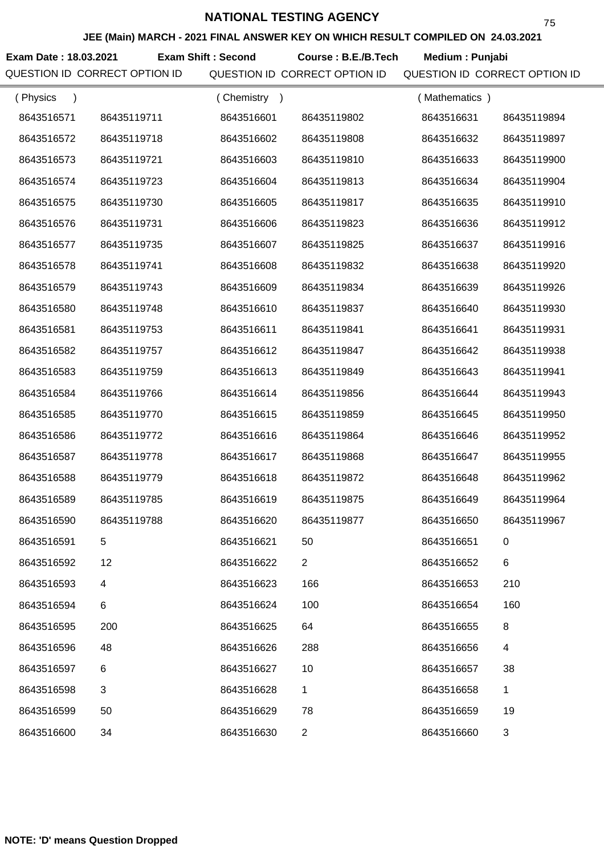**JEE (Main) MARCH - 2021 FINAL ANSWER KEY ON WHICH RESULT COMPILED ON 24.03.2021**

**Exam Date : 18.03.2021 Course : B.E./B.Tech Medium : Punjabi Exam Shift : Second**

| (Physics<br>$\lambda$ |                          | Chemistry<br>$\rightarrow$ |                | (Mathematics) |             |
|-----------------------|--------------------------|----------------------------|----------------|---------------|-------------|
| 8643516571            | 86435119711              | 8643516601                 | 86435119802    | 8643516631    | 86435119894 |
| 8643516572            | 86435119718              | 8643516602                 | 86435119808    | 8643516632    | 86435119897 |
| 8643516573            | 86435119721              | 8643516603                 | 86435119810    | 8643516633    | 86435119900 |
| 8643516574            | 86435119723              | 8643516604                 | 86435119813    | 8643516634    | 86435119904 |
| 8643516575            | 86435119730              | 8643516605                 | 86435119817    | 8643516635    | 86435119910 |
| 8643516576            | 86435119731              | 8643516606                 | 86435119823    | 8643516636    | 86435119912 |
| 8643516577            | 86435119735              | 8643516607                 | 86435119825    | 8643516637    | 86435119916 |
| 8643516578            | 86435119741              | 8643516608                 | 86435119832    | 8643516638    | 86435119920 |
| 8643516579            | 86435119743              | 8643516609                 | 86435119834    | 8643516639    | 86435119926 |
| 8643516580            | 86435119748              | 8643516610                 | 86435119837    | 8643516640    | 86435119930 |
| 8643516581            | 86435119753              | 8643516611                 | 86435119841    | 8643516641    | 86435119931 |
| 8643516582            | 86435119757              | 8643516612                 | 86435119847    | 8643516642    | 86435119938 |
| 8643516583            | 86435119759              | 8643516613                 | 86435119849    | 8643516643    | 86435119941 |
| 8643516584            | 86435119766              | 8643516614                 | 86435119856    | 8643516644    | 86435119943 |
| 8643516585            | 86435119770              | 8643516615                 | 86435119859    | 8643516645    | 86435119950 |
| 8643516586            | 86435119772              | 8643516616                 | 86435119864    | 8643516646    | 86435119952 |
| 8643516587            | 86435119778              | 8643516617                 | 86435119868    | 8643516647    | 86435119955 |
| 8643516588            | 86435119779              | 8643516618                 | 86435119872    | 8643516648    | 86435119962 |
| 8643516589            | 86435119785              | 8643516619                 | 86435119875    | 8643516649    | 86435119964 |
| 8643516590            | 86435119788              | 8643516620                 | 86435119877    | 8643516650    | 86435119967 |
| 8643516591            | 5                        | 8643516621                 | 50             | 8643516651    |             |
| 8643516592            | 12                       | 8643516622                 | $\overline{2}$ | 8643516652    | $\,6$       |
| 8643516593            | $\overline{\mathcal{A}}$ | 8643516623                 | 166            | 8643516653    | 210         |
| 8643516594            | 6                        | 8643516624                 | 100            | 8643516654    | 160         |
| 8643516595            | 200                      | 8643516625                 | 64             | 8643516655    | 8           |
| 8643516596            | 48                       | 8643516626                 | 288            | 8643516656    | 4           |
| 8643516597            | 6                        | 8643516627                 | 10             | 8643516657    | 38          |
| 8643516598            | 3                        | 8643516628                 | 1              | 8643516658    | 1           |
| 8643516599            | 50                       | 8643516629                 | 78             | 8643516659    | 19          |
| 8643516600            | 34                       | 8643516630                 | $\overline{c}$ | 8643516660    | 3           |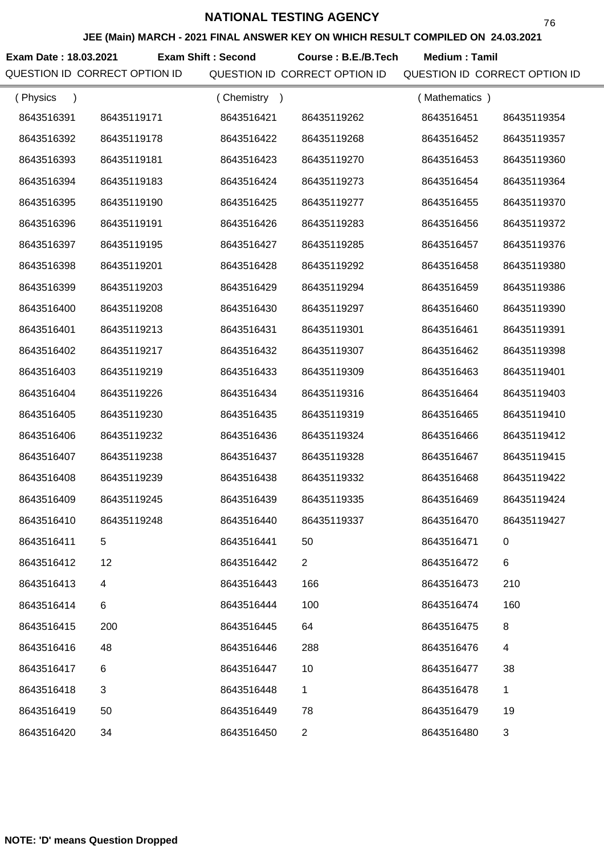**JEE (Main) MARCH - 2021 FINAL ANSWER KEY ON WHICH RESULT COMPILED ON 24.03.2021**

**Exam Date : 18.03.2021 Course : B.E./B.Tech Medium : Tamil Exam Shift : Second**

QUESTION ID CORRECT OPTION ID QUESTION ID CORRECT OPTION ID QUESTION ID CORRECT OPTION ID

76

| (Physics   |             | (Chemistry) |                | (Mathematics) |                |
|------------|-------------|-------------|----------------|---------------|----------------|
| 8643516391 | 86435119171 | 8643516421  | 86435119262    | 8643516451    | 86435119354    |
| 8643516392 | 86435119178 | 8643516422  | 86435119268    | 8643516452    | 86435119357    |
| 8643516393 | 86435119181 | 8643516423  | 86435119270    | 8643516453    | 86435119360    |
| 8643516394 | 86435119183 | 8643516424  | 86435119273    | 8643516454    | 86435119364    |
| 8643516395 | 86435119190 | 8643516425  | 86435119277    | 8643516455    | 86435119370    |
| 8643516396 | 86435119191 | 8643516426  | 86435119283    | 8643516456    | 86435119372    |
| 8643516397 | 86435119195 | 8643516427  | 86435119285    | 8643516457    | 86435119376    |
| 8643516398 | 86435119201 | 8643516428  | 86435119292    | 8643516458    | 86435119380    |
| 8643516399 | 86435119203 | 8643516429  | 86435119294    | 8643516459    | 86435119386    |
| 8643516400 | 86435119208 | 8643516430  | 86435119297    | 8643516460    | 86435119390    |
| 8643516401 | 86435119213 | 8643516431  | 86435119301    | 8643516461    | 86435119391    |
| 8643516402 | 86435119217 | 8643516432  | 86435119307    | 8643516462    | 86435119398    |
| 8643516403 | 86435119219 | 8643516433  | 86435119309    | 8643516463    | 86435119401    |
| 8643516404 | 86435119226 | 8643516434  | 86435119316    | 8643516464    | 86435119403    |
| 8643516405 | 86435119230 | 8643516435  | 86435119319    | 8643516465    | 86435119410    |
| 8643516406 | 86435119232 | 8643516436  | 86435119324    | 8643516466    | 86435119412    |
| 8643516407 | 86435119238 | 8643516437  | 86435119328    | 8643516467    | 86435119415    |
| 8643516408 | 86435119239 | 8643516438  | 86435119332    | 8643516468    | 86435119422    |
| 8643516409 | 86435119245 | 8643516439  | 86435119335    | 8643516469    | 86435119424    |
| 8643516410 | 86435119248 | 8643516440  | 86435119337    | 8643516470    | 86435119427    |
| 8643516411 | 5           | 8643516441  | 50             | 8643516471    |                |
| 8643516412 | 12          | 8643516442  | $\overline{2}$ | 8643516472    | 6              |
| 8643516413 | 4           | 8643516443  | 166            | 8643516473    | 210            |
| 8643516414 | 6           | 8643516444  | 100            | 8643516474    | 160            |
| 8643516415 | 200         | 8643516445  | 64             | 8643516475    | 8              |
| 8643516416 | 48          | 8643516446  | 288            | 8643516476    | 4              |
| 8643516417 | 6           | 8643516447  | 10             | 8643516477    | 38             |
| 8643516418 | 3           | 8643516448  | 1              | 8643516478    | 1              |
| 8643516419 | 50          | 8643516449  | 78             | 8643516479    | 19             |
| 8643516420 | 34          | 8643516450  | $\overline{c}$ | 8643516480    | $\mathfrak{S}$ |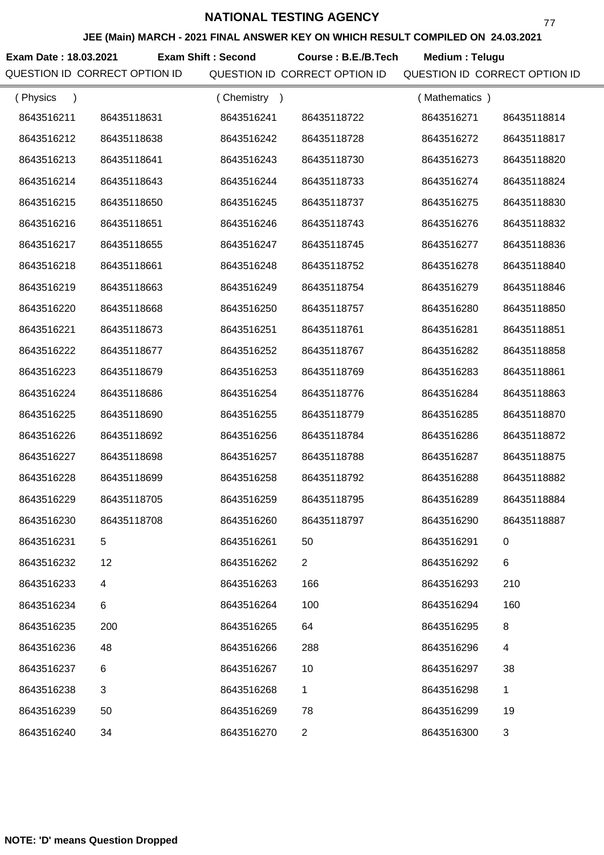**JEE (Main) MARCH - 2021 FINAL ANSWER KEY ON WHICH RESULT COMPILED ON 24.03.2021**

Exam Date : 18.03.2021 Exam Shift : Second Course : B.E./B.Tech Medium : Telugu

QUESTION ID CORRECT OPTION ID QUESTION ID CORRECT OPTION ID QUESTION ID CORRECT OPTION ID

77

| (Physics   |             | (Chemistry) |                | (Mathematics) |                |
|------------|-------------|-------------|----------------|---------------|----------------|
| 8643516211 | 86435118631 | 8643516241  | 86435118722    | 8643516271    | 86435118814    |
| 8643516212 | 86435118638 | 8643516242  | 86435118728    | 8643516272    | 86435118817    |
| 8643516213 | 86435118641 | 8643516243  | 86435118730    | 8643516273    | 86435118820    |
| 8643516214 | 86435118643 | 8643516244  | 86435118733    | 8643516274    | 86435118824    |
| 8643516215 | 86435118650 | 8643516245  | 86435118737    | 8643516275    | 86435118830    |
| 8643516216 | 86435118651 | 8643516246  | 86435118743    | 8643516276    | 86435118832    |
| 8643516217 | 86435118655 | 8643516247  | 86435118745    | 8643516277    | 86435118836    |
| 8643516218 | 86435118661 | 8643516248  | 86435118752    | 8643516278    | 86435118840    |
| 8643516219 | 86435118663 | 8643516249  | 86435118754    | 8643516279    | 86435118846    |
| 8643516220 | 86435118668 | 8643516250  | 86435118757    | 8643516280    | 86435118850    |
| 8643516221 | 86435118673 | 8643516251  | 86435118761    | 8643516281    | 86435118851    |
| 8643516222 | 86435118677 | 8643516252  | 86435118767    | 8643516282    | 86435118858    |
| 8643516223 | 86435118679 | 8643516253  | 86435118769    | 8643516283    | 86435118861    |
| 8643516224 | 86435118686 | 8643516254  | 86435118776    | 8643516284    | 86435118863    |
| 8643516225 | 86435118690 | 8643516255  | 86435118779    | 8643516285    | 86435118870    |
| 8643516226 | 86435118692 | 8643516256  | 86435118784    | 8643516286    | 86435118872    |
| 8643516227 | 86435118698 | 8643516257  | 86435118788    | 8643516287    | 86435118875    |
| 8643516228 | 86435118699 | 8643516258  | 86435118792    | 8643516288    | 86435118882    |
| 8643516229 | 86435118705 | 8643516259  | 86435118795    | 8643516289    | 86435118884    |
| 8643516230 | 86435118708 | 8643516260  | 86435118797    | 8643516290    | 86435118887    |
| 8643516231 | 5           | 8643516261  | 50             | 8643516291    |                |
| 8643516232 | 12          | 8643516262  | $\overline{2}$ | 8643516292    | 6              |
| 8643516233 | 4           | 8643516263  | 166            | 8643516293    | 210            |
| 8643516234 | 6           | 8643516264  | 100            | 8643516294    | 160            |
| 8643516235 | 200         | 8643516265  | 64             | 8643516295    | 8              |
| 8643516236 | 48          | 8643516266  | 288            | 8643516296    | 4              |
| 8643516237 | 6           | 8643516267  | 10             | 8643516297    | 38             |
| 8643516238 | 3           | 8643516268  | 1              | 8643516298    | 1              |
| 8643516239 | 50          | 8643516269  | 78             | 8643516299    | 19             |
| 8643516240 | 34          | 8643516270  | $\overline{c}$ | 8643516300    | $\mathfrak{S}$ |